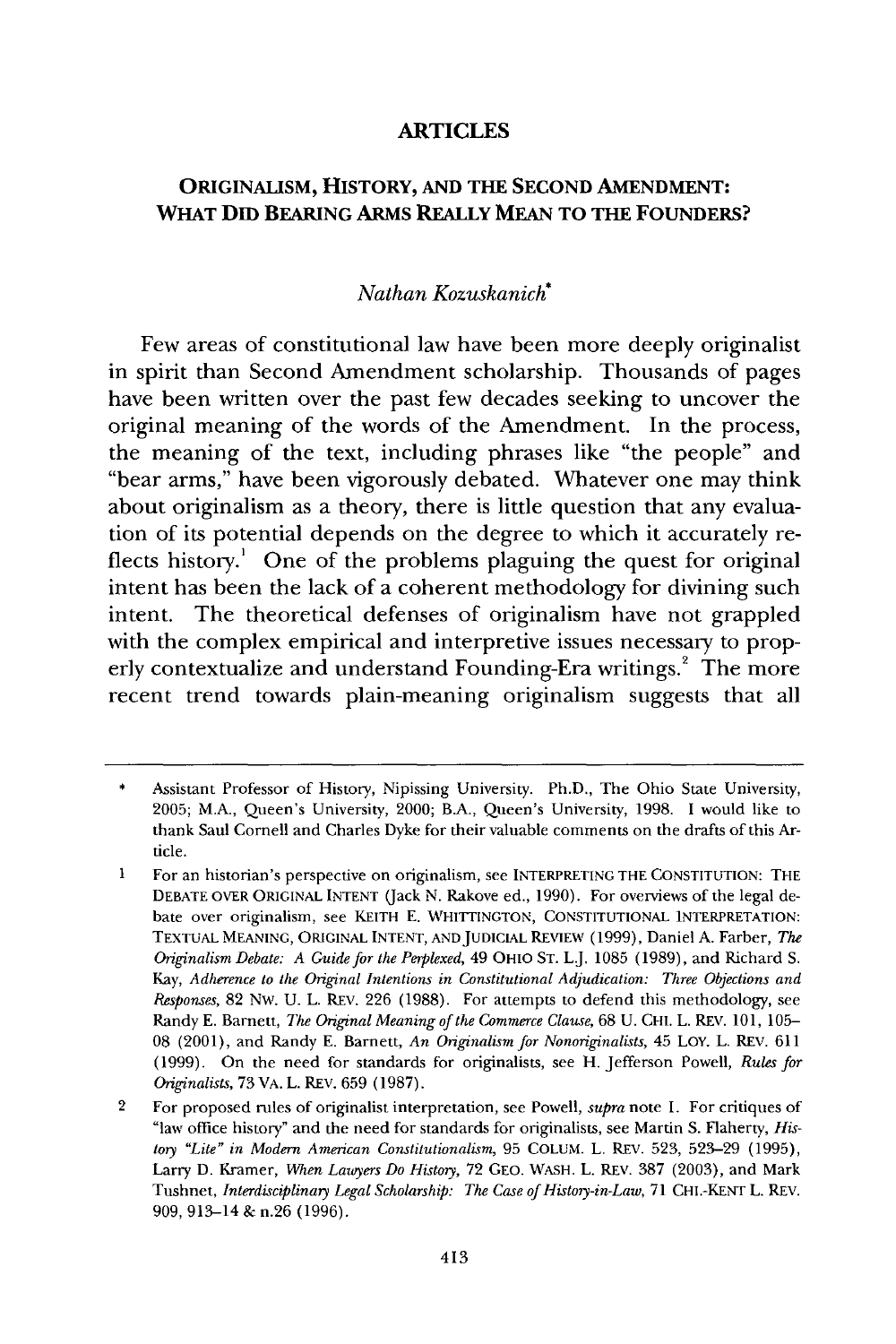#### **ARTICLES**

## **ORIGINALISM, HISTORY, AND THE SECOND AMENDMENT: WHAT DID BEARING ARMS REALLY MEAN TO THE FOUNDERS?**

### *Nathan Kozuskanich\**

Few areas of constitutional law have been more deeply originalist in spirit than Second Amendment scholarship. Thousands of pages have been written over the past few decades seeking to uncover the original meaning of the words of the Amendment. In the process, the meaning of the text, including phrases like "the people" and "bear arms," have been vigorously debated. Whatever one may think about originalism as a theory, there is little question that any evaluation of its potential depends on the degree to which it accurately reflects history.' One of the problems plaguing the quest for original intent has been the lack of a coherent methodology for divining such intent. The theoretical defenses of originalism have not grappled with the complex empirical and interpretive issues necessary to properly contextualize and understand Founding-Era writings.<sup>2</sup> The more recent trend towards plain-meaning originalism suggests that all

Assistant Professor of History, Nipissing University. Ph.D., The Ohio State University, 2005; M.A., Queen's University, 2000; B.A., Queen's University, 1998. I would like to thank Saul Cornell and Charles Dyke for their valuable comments on the drafts of this Article.

**<sup>1</sup>** For an historian's perspective on originalism, see INTERPRETING THE **CONSTITUTION:** THE **DEBATE** OVER **ORIGINAL INTENT** (Jack N. Rakove ed., 1990). For overviews of the legal debate over originalism, see KEITH E. **WHITTINGTON, CONSTITUTIONAL** INTERPRETATION: **TEXTUAL MEANING, ORIGINAL INTENT, ANDJUDICIAL** REVIEW (1999), Daniel A. Farber, *The Originalism Debate: A Guide for the Perplexed,* 49 OHIO ST. L.J. 1085 (1989), and Richard S. Kay, *Adherence to the Original Intentions in Constitutional Adjudication: Three Objections and Responses,* 82 Nw. U. L. REV. 226 (1988). For attempts to defend this methodology, see Randy E. Barnett, *The Original Meaning of the Commerce Clause,* 68 U. CHI. L. REV. 101, 105- 08 (2001), and Randy E. Barnett, *An Originalism for Nonoriginalists,* 45 LOY. L. REV. 611 (1999). On the need for standards for originalists, see H. Jefferson Powell, *Rules for Originalists,* 73 VA. L. REV. 659 (1987).

<sup>2</sup> For proposed rules of originalist interpretation, see Powell, *supra* note 1. For critiques of "law office history" and the need for standards for originalists, see Martin S. Flaherty, *History "Lite" in Modern American Constitutionalism,* 95 COLUM. L. REV. 523, 523-29 (1995), Larry D. Kramer, *Wen Lawyers Do History,* 72 GEO. **WASH.** L. REV. 387 (2003), and Mark Tushnet, *Interdisciplinary Legal Scholarship: The Case of History-in-Law,* 71 CHI.-KENT L. REV. 909,913-14 & n.26 (1996).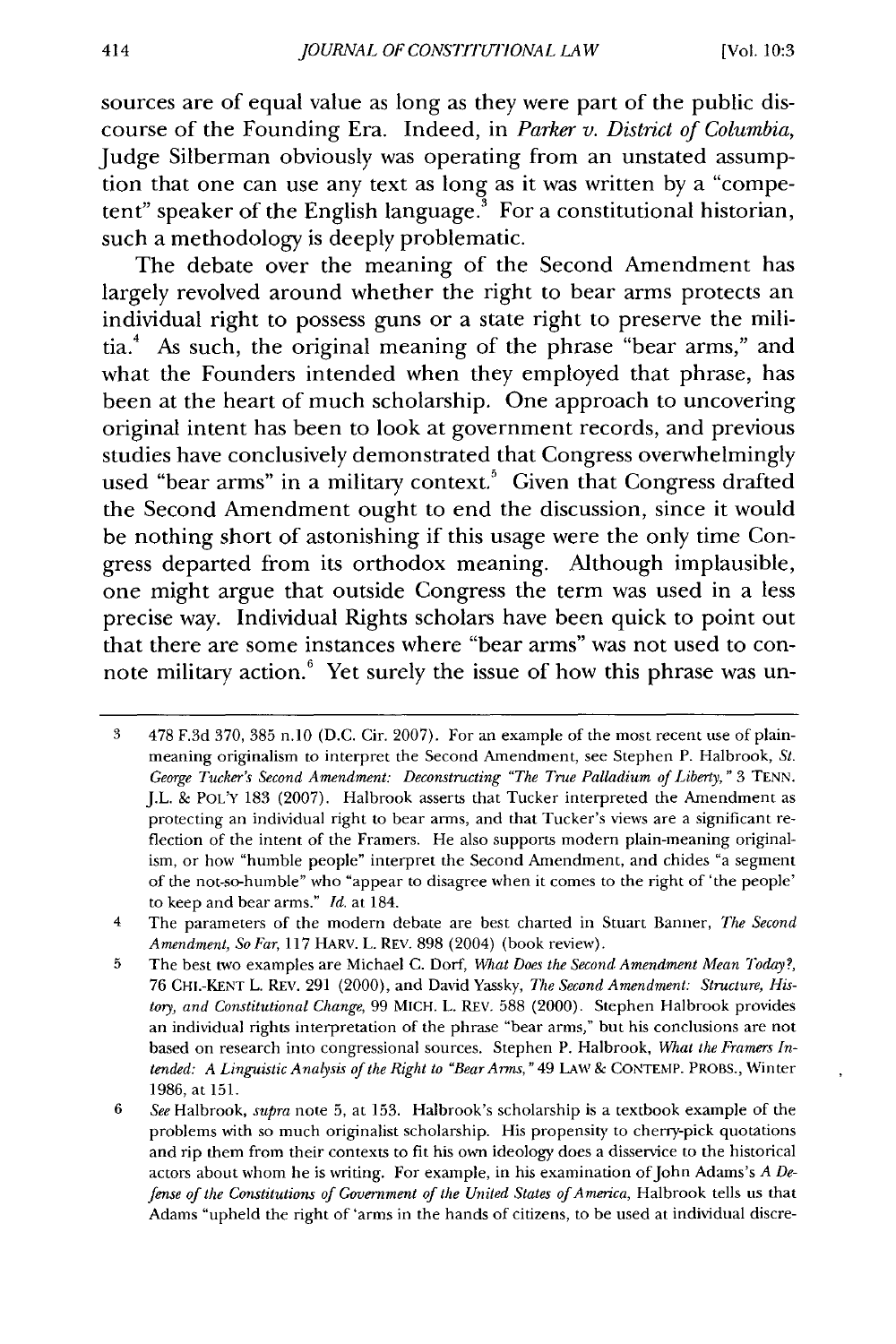sources are of equal value as long as they were part of the public discourse of the Founding Era. Indeed, in *Parker v. District of Columbia,* Judge Silberman obviously was operating from an unstated assumption that one can use any text as long as it was written **by** a "competent" speaker of the English language. $^3$  For a constitutional historian, such a methodology is deeply problematic.

The debate over the meaning of the Second Amendment has largely revolved around whether the right to bear arms protects an individual right to possess guns or a state right to preserve the militia.4 As such, the original meaning of the phrase "bear arms," and what the Founders intended when they employed that phrase, has been at the heart of much scholarship. One approach to uncovering original intent has been to look at government records, and previous studies have conclusively demonstrated that Congress overwhelmingly used "bear arms" in a military context.<sup>5</sup> Given that Congress drafted the Second Amendment ought to end the discussion, since it would be nothing short of astonishing if this usage were the only time Congress departed from its orthodox meaning. Although implausible, one might argue that outside Congress the term was used in a less precise way. Individual Rights scholars have been quick to point out that there are some instances where "bear arms" was not used to connote military action.<sup>6</sup> Yet surely the issue of how this phrase was un-

<sup>3 478</sup> F.3d 370, 385 n.10 (D.C. Cir. 2007). For an example of the most recent use of plainmeaning originalism to interpret the Second Amendment, see Stephen P. Halbrook, St. George Tucker's Second Amendment: Deconstructing "The True Palladium of Liberty," 3 TENN. J.L. **&** POL'Y 183 (2007). Halbrook asserts that Tucker interpreted the Amendment as protecting an individual right to bear arms, and that Tucker's views are a significant reflection of the intent of the Framers. He also supports modern plain-meaning originalism, or how "humble people" interpret the Second Amendment, and chides "a segment of the not-so-humble" who "appear to disagree when it comes to the right of 'the people' to keep and bear arms." *Id.* at 184.

<sup>4</sup> The parameters of the modern debate are best charted in Stuart Banner, *The Second Amendment, So Far,* 117 HARV. **L.** REv. 898 (2004) (book review).

**<sup>5</sup>** The best two examples are Michael C. Doff, *What Does the Second Amendment Mean Today?,* 76 CHI.-KENT L. REv. 291 (2000), and David Yassky, *The Second Amendment: Structure, History, and Constitutional Change,* 99 MICH. L. REv. 588 (2000). Stephen Halbrook provides an individual rights interpretation of the phrase "bear arms," but his conclusions are not based on research into congressional sources. Stephen P. Halbrook, What the Framers In*tended: A Linguistic Analysis of the Right to "Bear Arms,* "49 LAw & **CONTEMP.** PROBS., Winter 1986, at 151.

<sup>6</sup> *See* Halbrook, *supra* note 5, at 153. Halbrook's scholarship is a textbook example of the problems with so much originalist scholarship. His propensity to cherry-pick quotations and rip them from their contexts to fit his own ideology does a disservice to the historical actors about whom he is writing. For example, in his examination of John Adams's *A Defense of the Constitutions of Government of the United States of America, Halbrook tells us that* Adams "upheld the right of 'arms in the hands of citizens, to be used at individual discre-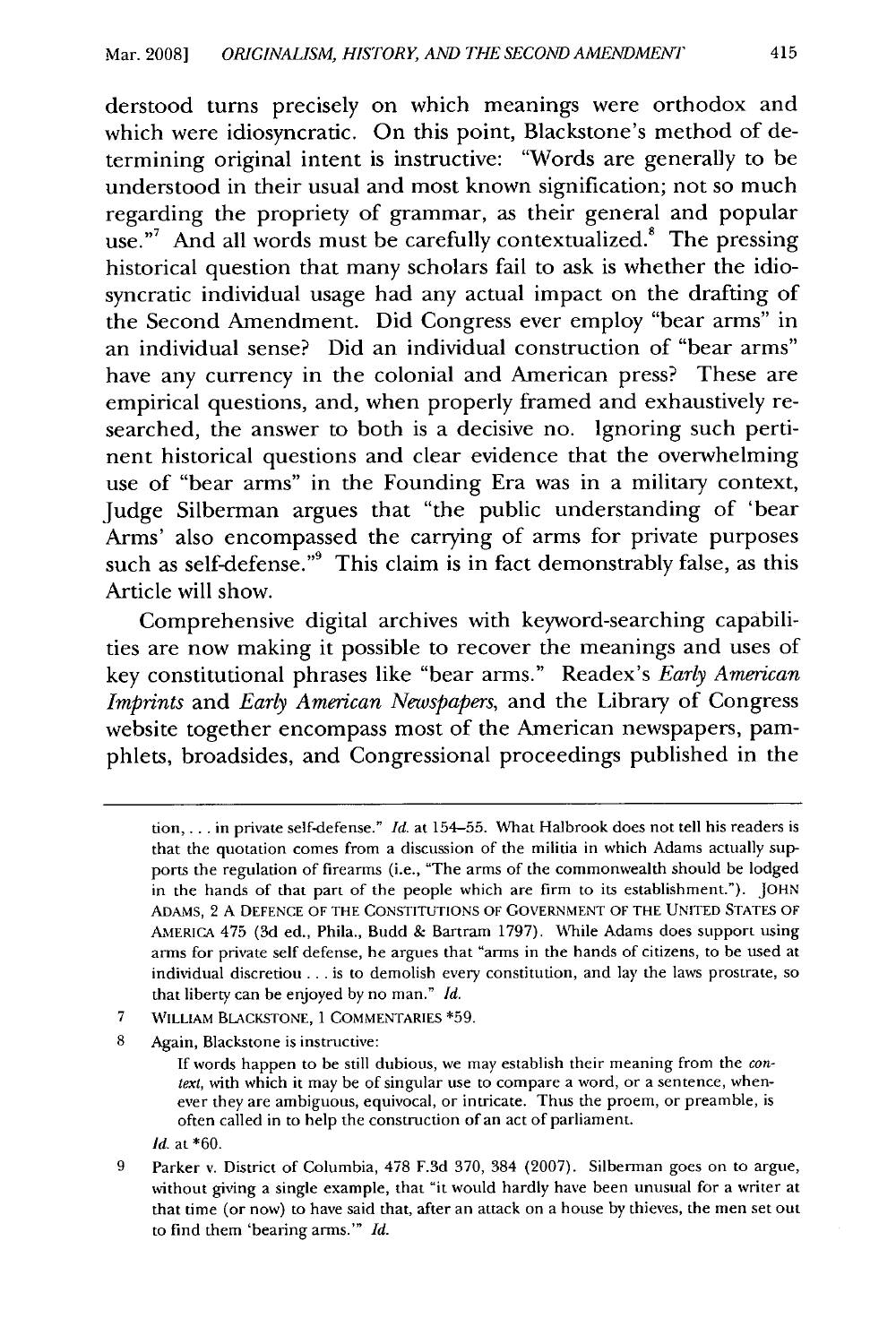derstood turns precisely on which meanings were orthodox and which were idiosyncratic. On this point, Blackstone's method of determining original intent is instructive: "Words are generally to be understood in their usual and most known signification; not so much regarding the propriety of grammar, as their general and popular use."<sup>7</sup> And all words must be carefully contextualized. $\degree$  The pressing historical question that many scholars fail to ask is whether the idiosyncratic individual usage had any actual impact on the drafting of the Second Amendment. Did Congress ever employ "bear arms" in an individual sense? Did an individual construction of "bear arms" have any currency in the colonial and American press? These are empirical questions, and, when properly framed and exhaustively researched, the answer to both is a decisive no. Ignoring such pertinent historical questions and clear evidence that the overwhelming use of "bear arms" in the Founding Era was in a military context, Judge Silberman argues that "the public understanding of 'bear Arms' also encompassed the carrying of arms for private purposes such as self-defense."<sup>9</sup> This claim is in fact demonstrably false, as this Article will show.

Comprehensive digital archives with keyword-searching capabilities are now making it possible to recover the meanings and uses of key constitutional phrases like "bear arms." Readex's *Early American Imprints* and *Early American Newspapers,* and the Library of Congress website together encompass most of the American newspapers, pamphlets, broadsides, and Congressional proceedings published in the

- 7 WILLIAM **BLACKSTONE, 1** COMMENTARIES \*59.
- 8 Again, Blackstone is instructive:

If words happen to be still dubious, we may establish their meaning from the *context,* with which it may be of singular use to compare a word, or a sentence, whenever they are ambiguous, equivocal, or intricate. Thus the proem, or preamble, is often called in to help the construction of an act of parliament.

- *Id.* at \*60.
- **9** Parker v. District of Columbia, 478 F.3d 370, 384 (2007). Silberman goes on to argue, without giving a single example, that "it would hardly have been unusual for a writer at that time (or now) to have said that, after an attack on a house by thieves, the men set out to find them 'bearing arms.'" *Id.*

tion.... in private self-defense." *Id.* at 154-55. What Halbrook does not tell his readers is that the quotation comes from a discussion of the militia in which Adams actually supports the regulation of firearms (i.e., "The arms of the commonwealth should be lodged in the hands of that part of the people which are firm to its establishment."). **JOHN** ADAMS, 2 A DEFENCE OF THE CONSTITUTIONS OF GOVERNMENT OF THE UNITED STATES OF AMERIcA 475 (3d ed., Phila., Budd & Bartram 1797). While Adams does support using arms for private self defense, he argues that "arms in the hands of citizens, to be used at individual discretion **...** is to demolish every constitution, and lay the laws prostrate, so that liberty can be enjoyed by no man." *Id.*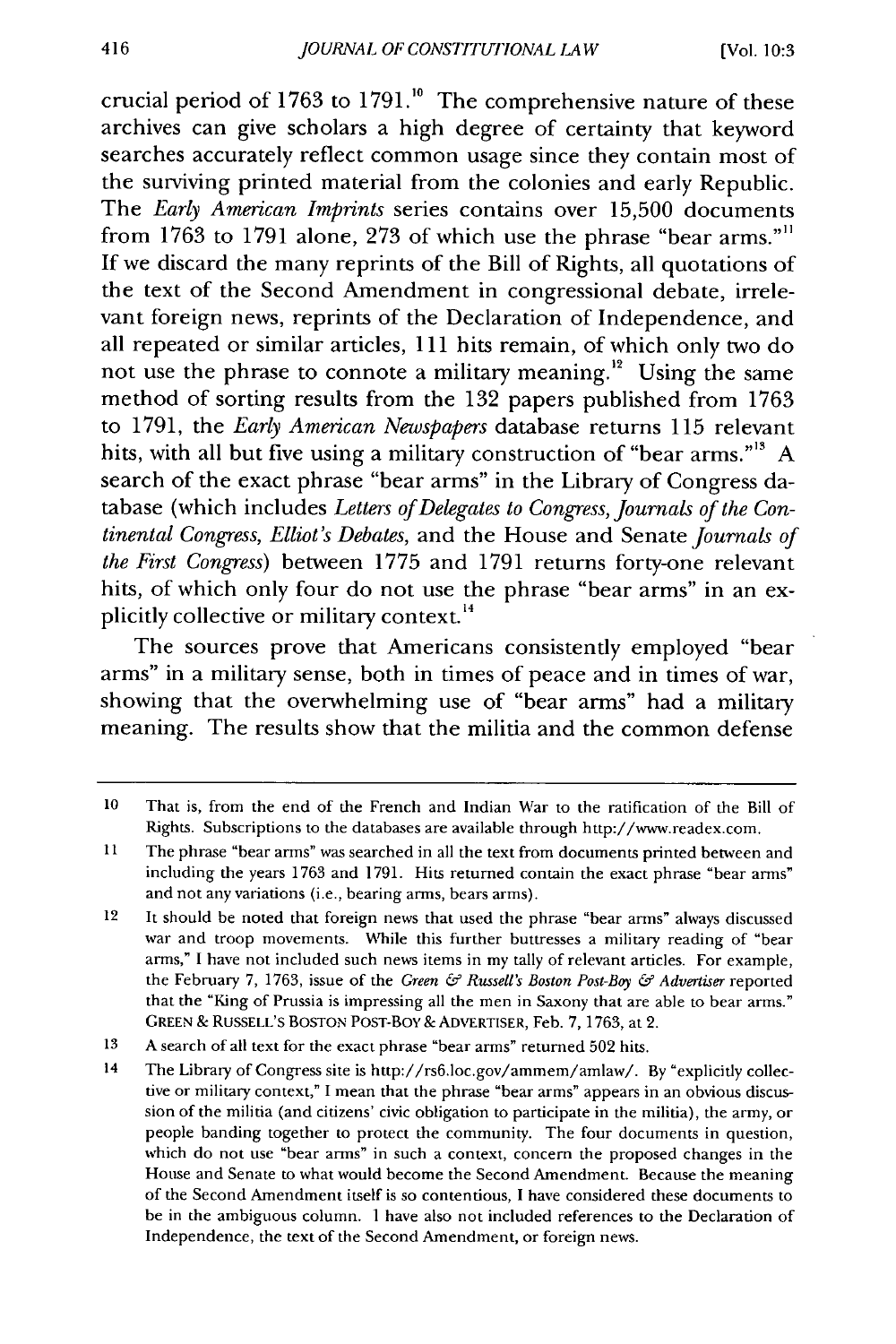crucial period of 1763 to 1791.<sup>10</sup> The comprehensive nature of these archives can give scholars a high degree of certainty that keyword searches accurately reflect common usage since they contain most of the surviving printed material from the colonies and early Republic. The *Early American Imprints* series contains over 15,500 documents from 1763 to 1791 alone, 273 of which use the phrase "bear arms."" If we discard the many reprints of the Bill of Rights, all quotations of the text of the Second Amendment in congressional debate, irrelevant foreign news, reprints of the Declaration of Independence, and all repeated or similar articles, 111 hits remain, of which only two do not use the phrase to connote a military meaning.<sup>12</sup> Using the same method of sorting results from the **132** papers published from **1763** to **1791,** the *Early American Newspapers* database returns **115** relevant hits, with all but five using a military construction of "bear arms."<sup>13</sup> A search of the exact phrase "bear arms" in the Library of Congress database (which includes *Letters of Delegates to Congress, Journals of the Continental Congress, Elliot's Debates,* and the House and Senate *Journals of the First Congress)* between **1775** and **1791** returns forty-one relevant hits, of which only four do not use the phrase "bear arms" in an explicitly collective or military context.<sup>14</sup>

The sources prove that Americans consistently employed "bear arms" in a military sense, both in times of peace and in times of war, showing that the overwhelming use of "bear arms" had a military meaning. The results show that the militia and the common defense

**<sup>10</sup>**That is, from the end of the French and Indian War **to** the ratification of the Bill of Rights. Subscriptions to the databases are available through http://www.readex.com.

<sup>11</sup> The phrase "bear arms" was searched in all the text from documents printed between and including the years 1763 and 1791. Hits returned contain the exact phrase "bear arms" and not any variations (i.e., bearing arms, bears arms).

<sup>12</sup> It should be noted that foreign news that used the phrase "bear arms" always discussed war and troop movements. While this further buttresses a military reading of "bear arms," I have not included such news items in my tally of relevant articles. For example, the February 7, 1763, issue of the *Green & Russell's Boston Post-Boy & Advertiser* reported that the "King of Prussia is impressing all the men in Saxony that are able to bear arms." GREEN **&** RUSSELL'S BOSTON POST-Boy **&** ADVERTISER, Feb. 7, 1763, at 2.

<sup>13</sup> A search of all text for the exact phrase "bear arms" returned 502 hits.

<sup>14</sup> The Library of Congress site is http://rs6.loc.gov/ammem/amlaw/. By "explicitly collective or military context," I mean that the phrase "bear arms" appears in an obvious discussion of the militia (and citizens' civic obligation to participate in the militia), the army, or people banding together to protect the community. The four documents in question, which do not use "bear arms" in such a context, concern the proposed changes in the House and Senate to what would become the Second Amendment. Because the meaning of the Second Amendment itself is so contentious, I have considered these documents to be in the ambiguous column. I have also not included references to the Declaration of Independence, the text of the Second Amendment, or foreign news.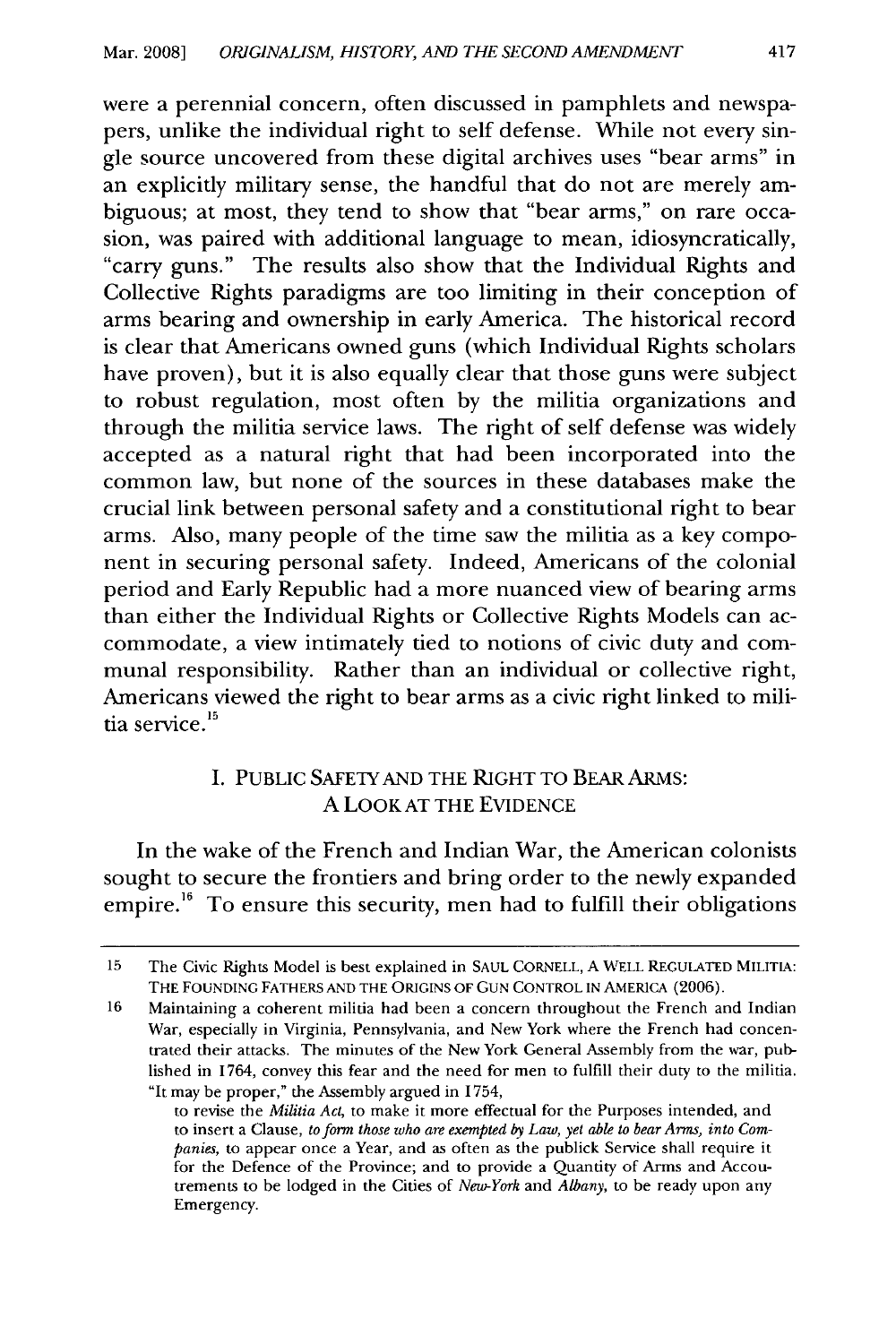were a perennial concern, often discussed in pamphlets and newspapers, unlike the individual right to self defense. While not every single source uncovered from these digital archives uses "bear arms" in an explicitly military sense, the handful that do not are merely ambiguous; at most, they tend to show that "bear arms," on rare occasion, was paired with additional language to mean, idiosyncratically, "carry guns." The results also show that the Individual Rights and Collective Rights paradigms are too limiting in their conception of arms bearing and ownership in early America. The historical record is clear that Americans owned guns (which Individual Rights scholars have proven), but it is also equally clear that those guns were subject to robust regulation, most often by the militia organizations and through the militia service laws. The right of self defense was widely accepted as a natural right that had been incorporated into the common law, but none of the sources in these databases make the crucial link between personal safety and a constitutional right to bear arms. Also, many people of the time saw the militia as a key component in securing personal safety. Indeed, Americans of the colonial period and Early Republic had a more nuanced view of bearing arms than either the Individual Rights or Collective Rights Models can accommodate, a view intimately tied to notions of civic duty and communal responsibility. Rather than an individual or collective right, Americans viewed the right to bear arms as a civic right linked to militia service.<sup>15</sup>

# I. PUBLIC SAFETY AND THE RIGHT TO BEAR ARMS: A LOOK AT THE EVIDENCE

In the wake of the French and Indian War, the American colonists sought to secure the frontiers and bring order to the newly expanded empire.<sup>16</sup> To ensure this security, men had to fulfill their obligations

<sup>15</sup> The Civic Rights Model is best explained in SAUL CORNELL, A WELL REGULATED MILITIA: THE FOUNDING FATHERS AND THE ORIGINS OF GUN CONTROL IN AMERICA (2006).

<sup>16</sup> Maintaining a coherent militia had been a concern throughout the French and Indian War, especially in Virginia, Pennsylvania, and New York where the French had concentrated their attacks. The minutes of the New York General Assembly from the war, published in 1764, convey this fear and the need for men to fulfill their duty to the militia. "It may be proper," the Assembly argued in 1754,

to revise the *Militia Act,* to make it more effectual for the Purposes intended, and to insert a Clause, *to form those who are exempted 6y Law, yet able to bear Arms, into Companies,* to appear once a Year, and as often as the publick Service shall require it for the Defence of the Province; and to provide a Quantity of Arms and Accoutrements to be lodged in the Cities of *New-York* and *Albany,* to be ready upon any Emergency.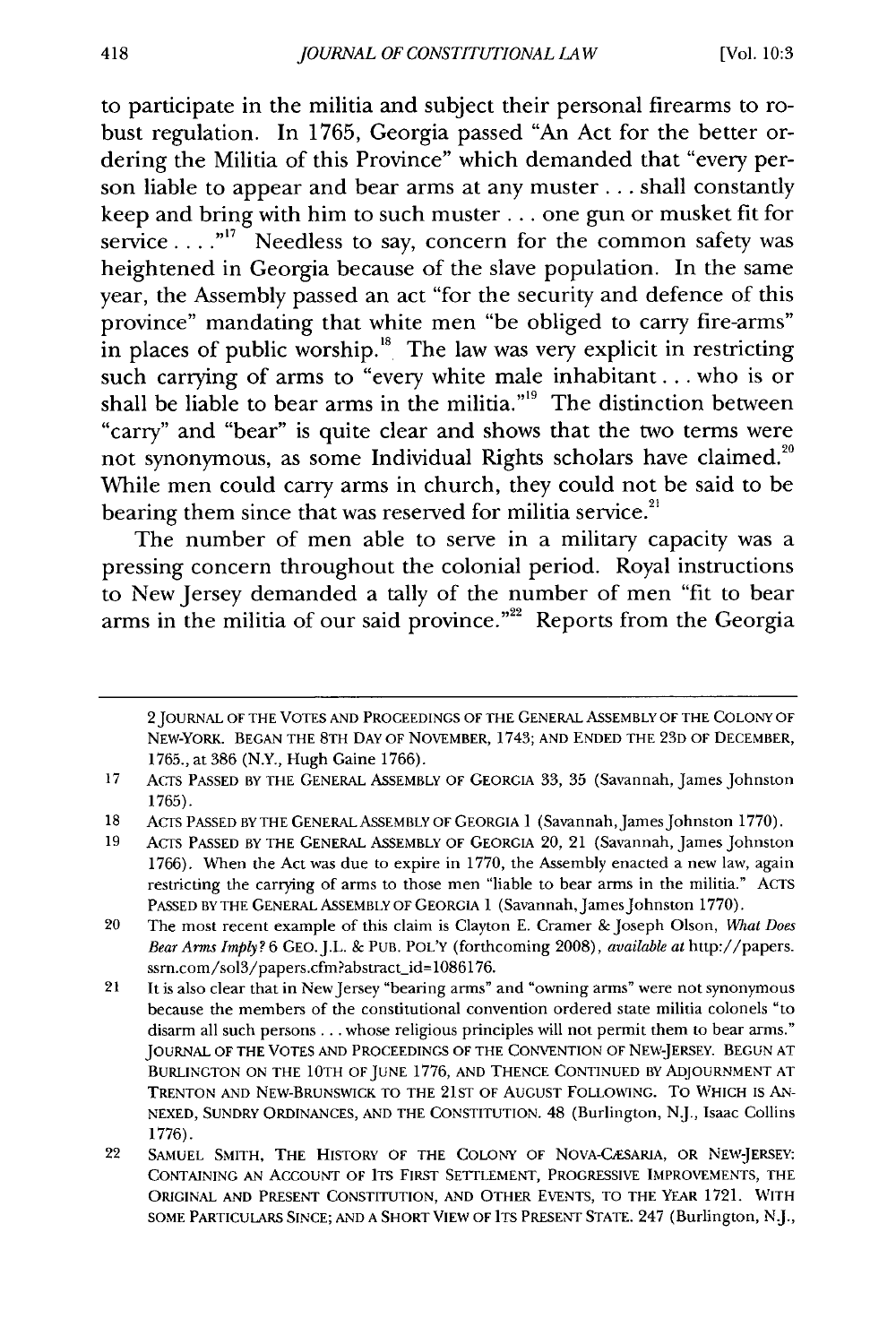to participate in the militia and subject their personal firearms to robust regulation. In 1765, Georgia passed "An Act for the better ordering the Militia of this Province" which demanded that "every person liable to appear and bear arms at any muster **...** shall constantly keep and bring with him to such muster **...** one gun or musket fit for service . . . .<sup>"17</sup> Needless to say, concern for the common safety was heightened in Georgia because of the slave population. In the same year, the Assembly passed an act "for the security and defence of this province" mandating that white men "be obliged to carry fire-arms" in places of public worship.<sup>18</sup> The law was very explicit in restricting such carrying of arms to "every white male inhabitant... who is or shall be liable to bear arms in the militia."<sup>19</sup> The distinction between "carry" and "bear" is quite clear and shows that the two terms were not synonymous, as some Individual Rights scholars have claimed.<sup>20</sup> While men could carry arms in church, they could not be said to be bearing them since that was reserved for militia service.<sup>21</sup>

The number of men able to serve in a military capacity was a pressing concern throughout the colonial period. Royal instructions to New Jersey demanded a tally of the number of men "fit to bear arms in the militia of our said province."<sup>22</sup> Reports from the Georgia

<sup>2</sup> JOURNAL OF THE VOTES AND PROCEEDINGS OF THE GENERAL ASSEMBLY OF THE COLONY OF NEW-YORK. BEGAN THE 8TH DAY OF NOVEMBER, 1743; AND ENDED THE 23D OF DECEMBER, 1765., at 386 (N.Y., Hugh Gaine 1766).

<sup>17</sup> ACTS PASSED BY THE GENERAL ASSEMBLY OF GEORGIA 33, **35** (Savannah, James Johnston 1765).

<sup>18</sup> ACTS PASSED BY THE GENERAL ASSEMBLY OF GEORGIA 1 (Savannah,James Johnston 1770).

<sup>19</sup> ACTS PASSED BY THE GENERAL ASSEMBLY OF GEORGIA 20, 21 (Savannah, James Johnston 1766). When the Act was due to expire in 1770, the Assembly enacted a new law, again restricting the carrying of arms to those men "liable to bear arms in the militia." ACTS PASSED BY THE GENERAL ASSEMBLY OF GEORGIA 1 (Savannah, James Johnston 1770).

<sup>20</sup> The most recent example of this claim is Clayton **E.** Cramer & Joseph Olson, *Wat Does Bear Arms Imply?* 6 GEO.J.L. & PUB. POL'Y (forthcoming 2008), *available at* http://papers. ssrn.com/sol3/papers.cfm?abstract\_id=1086176.

<sup>21</sup> It is also clear that in NewJersey "bearing arms" and "owning arms" were not synonymous because the members of the constitutional convention ordered state militia colonels "to disarm all such persons.., whose religious principles will not permit them to bear arms." JOURNAL OF THE VOTES AND PROCEEDINGS OF THE CONVENTION OF NEW-JERSEY. BEGUN AT BURLINGTON ON THE 10TH OF JUNE 1776, **AND** THENCE CONTINUED BY ADJOURNMENT AT TRENTON AND NEW-BRUNSWICK TO THE 21ST OF AUGUST FOLLOWING. To **WHICH** IS **AN-**NEXED, SUNDRY ORDINANCES, AND THE CONSTITUTION. 48 (Burlington, N.J., Isaac Collins 1776).

<sup>22</sup> SAMUEL SMITH, THE HISTORY OF THE COLONY OF NOVA-CESARIA, OR NEW-JERSEY: CONTAINING AN ACCOUNT OF ITS FIRST SETTLEMENT, PROGRESSIVE IMPROVEMENTS, THE ORIGINAL AND PRESENT CONSTITUTION, AND OTHER EVENTS, TO THE YEAR 1721. WITH SOME PARTICULARS SINCE; AND A SHORT VIEW OF ITS PRESENT STATE. 247 (Burlington, NJ.,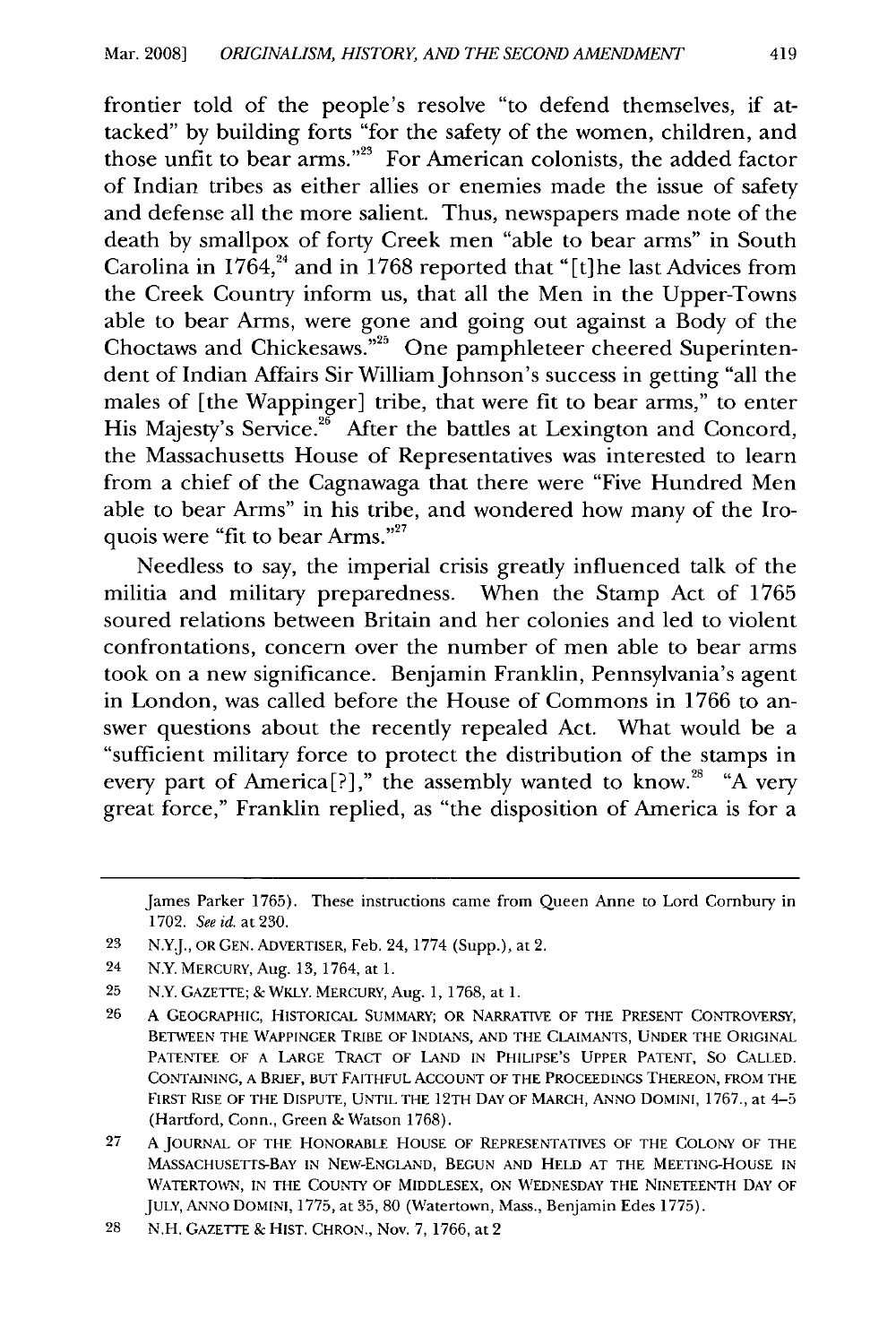frontier told of the people's resolve "to defend themselves, if attacked" by building forts "for the safety of the women, children, and those unfit to bear arms."<sup>23</sup> For American colonists, the added factor of Indian tribes as either allies or enemies made the issue of safety and defense all the more salient. Thus, newspapers made note of the death by smallpox of forty Creek men "able to bear arms" in South Carolina in 1764,<sup>24</sup> and in 1768 reported that "[t]he last Advices from the Creek Country inform us, that all the Men in the Upper-Towns able to bear Arms, were gone and going out against a Body of the Choctaws and Chickesaws."<sup>25</sup> One pamphleteer cheered Superintendent of Indian Affairs Sir William Johnson's success in getting "all the males of [the Wappinger] tribe, that were fit to bear arms," to enter His Majesty's Service.<sup>26</sup> After the battles at Lexington and Concord, the Massachusetts House of Representatives was interested to learn from a chief of the Cagnawaga that there were "Five Hundred Men able to bear Arms" in his tribe, and wondered how many of the Iroquois were "fit to bear Arms."<sup>27</sup>

Needless to say, the imperial crisis greatly influenced talk of the militia and military preparedness. When the Stamp Act of 1765 soured relations between Britain and her colonies and led to violent confrontations, concern over the number of men able to bear arms took on a new significance. Benjamin Franklin, Pennsylvania's agent in London, was called before the House of Commons in 1766 to answer questions about the recently repealed Act. What would be a "sufficient military force to protect the distribution of the stamps in every part of America<sup>[?]</sup>," the assembly wanted to know.<sup>28</sup> "A very great force," Franklin replied, as "the disposition of America is for a

23 N.Y.J., OR GEN. ADVERTISER, Feb. 24, 1774 (Supp.), at 2.

- 25 N.Y. GAZETTE; & WKLY. MERCURY, Aug. 1, 1768, at 1.
- **26 A** GEOGRAPHIC, HISTORICAL SUMMARY; OR NARRATIVE OF THE **PRESENT** CONTROVERSY, **BETWEEN** THE WAAPPINGER TRIBE OF **INDIANS, AND** THE **CLAIMANTS, UNDER** THE ORIGINAL PATENTEE OF **A** LARGE TRACT OF **LAND IN PHILIPSE'S** UPPER **PATENT, SO CALLED. CONTAINING, A** BRIEF, **BUT FAITHFUL** ACCOUNT OF THE PROCEEDINGS THEREON, FROM THE FIRST **RISE** OF THE DISPUTE, **UNTIL** THE 12TH **DAY** OF MARCH, ANNO DOMINI, 1767., at 4-5 (Hartford, Conn., Green & Watson 1768).
- **27** A **JOURNAL** OF THE HONORABLE **HOUSE** OF REPRESENTATIVES OF THE **COLONY** OF THE MASSACHUSETS-BAY **IN** NEW-ENGLAND, **BEGUN AND HELD AT** THE MEETING-HOUSE **IN** WATERTOWN, **IN** THE **COUNTY** OF **MIDDLESEX, ON WEDNESDAY** THE **NINETEENTH DAY** OF JULY, **ANNO DOMINI,** 1775, at 35, 80 (Watertown, Mass., Benjamin Edes 1775).

James Parker 1765). These instructions came from Queen Anne to Lord Cornbury in 1702. *See id.* at 230.

<sup>24</sup> N.Y. MERCURY, Aug. 13, 1764, at 1.

**<sup>28</sup> N.H. GAZETTE & HIST.** CHRON., Nov. 7,1766, at 2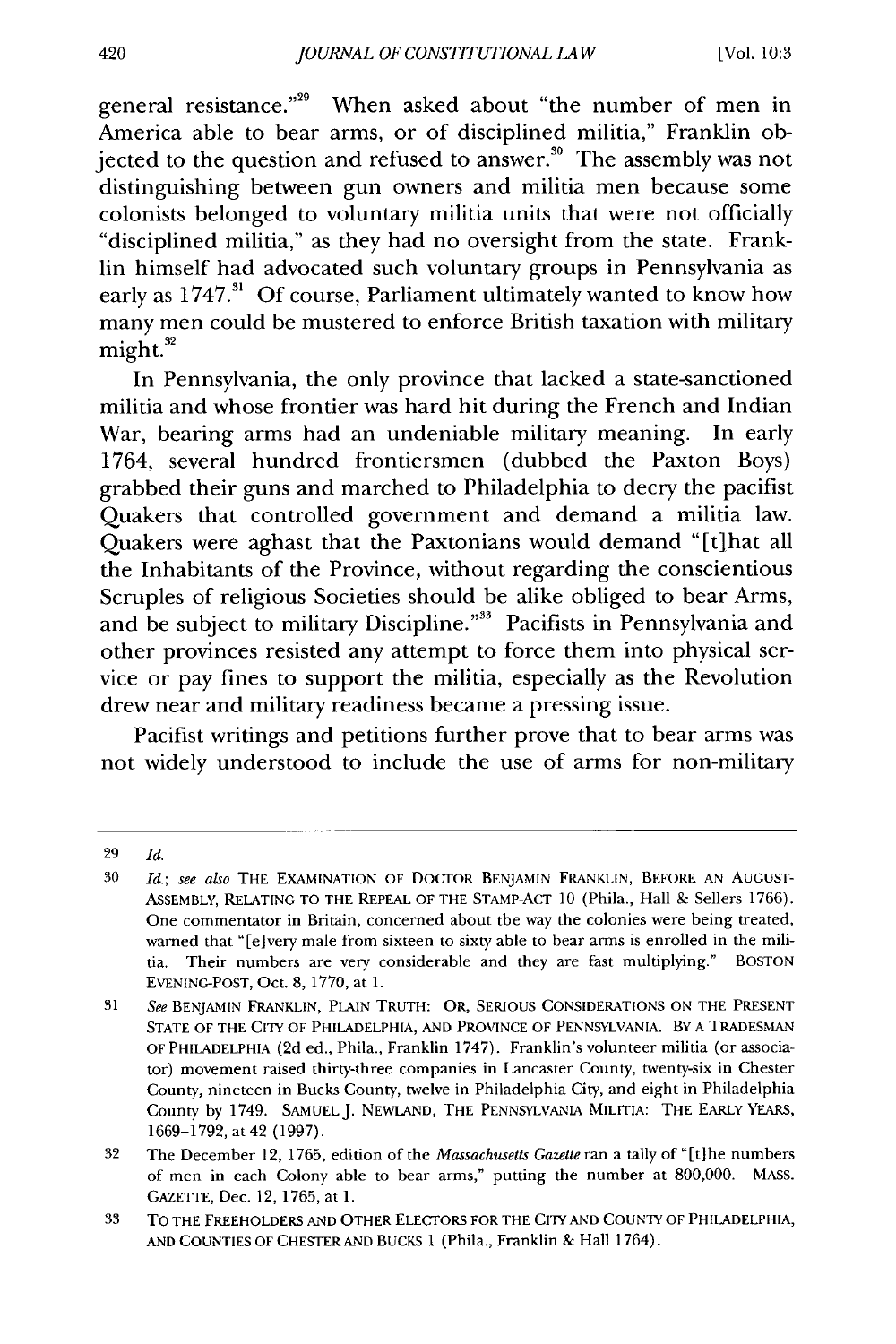general resistance."<sup>29</sup> When asked about "the number of men in America able to bear arms, or of disciplined militia," Franklin objected to the question and refused to answer.<sup>30</sup> The assembly was not distinguishing between gun owners and militia men because some colonists belonged to voluntary militia units that were not officially "disciplined militia," as they had no oversight from the state. Franklin himself had advocated such voluntary groups in Pennsylvania as early as 1747.<sup>31</sup> Of course, Parliament ultimately wanted to know how many men could be mustered to enforce British taxation with military  $might.<sup>32</sup>$ 

In Pennsylvania, the only province that lacked a state-sanctioned militia and whose frontier was hard hit during the French and Indian War, bearing arms had an undeniable military meaning. In early 1764, several hundred frontiersmen (dubbed the Paxton Boys) grabbed their guns and marched to Philadelphia to decry the pacifist Quakers that controlled government and demand a militia law. Quakers were aghast that the Paxtonians would demand "[tihat all the Inhabitants of the Province, without regarding the conscientious Scruples of religious Societies should be alike obliged to bear Arms, and be subject to military Discipline."<sup>33</sup> Pacifists in Pennsylvania and other provinces resisted any attempt to force them into physical service or pay fines to support the militia, especially as the Revolution drew near and military readiness became a pressing issue.

Pacifist writings and petitions further prove that to bear arms was not widely understood to include the use of arms for non-military

<sup>29</sup> *Id.*

<sup>30</sup> *Id.;* see also THE EXAMINATION OF DOCTOR BENJAMIN FRANKLIN, BEFORE AN AUGUST-ASSEMBLY, RELATING TO THE REPEAL OF THE STAMP-ACT 10 (Phila., Hall & Sellers 1766). One commentator in Britain, concerned about the way the colonies were being treated, warned that "[elvery male from sixteen to sixty able to bear arms is enrolled in the militia. Their numbers are very considerable and they are fast multiplying." BOSTON EVENING-POST, Oct. 8, 1770, at 1.

<sup>31</sup> *See* BENJAMIN FRANKLIN, PLAIN TRUTH: OR, SERIOUS CONSIDERATIONS ON THE PRESENT STATE OF THE CITY OF PHILADELPHIA, AND PROVINCE OF PENNSYLVANIA. BY A TRADESMAN OF PHILADELPHIA (2d ed., Phila., Franklin 1747). Franklin's volunteer militia (or associator) movement raised thirty-three companies in Lancaster County, twenty-six in Chester County, nineteen in Bucks County, twelve in Philadelphia City, and eight in Philadelphia County by 1749. SAMUEL J. NEWLAND, THE PENNSYLVANIA MILITIA: THE EARLY YEARS, 1669-1792, at 42 (1997).

<sup>32</sup> The December 12, 1765, edition of the *Massachusetts Gazette* ran a tally of"[t]he numbers of men in each Colony able to bear arms," putting the number at 800,000. MASS. GAZETTE, Dec. 12, 1765, at 1.

<sup>33</sup> TO THE FREEHOLDERS AND OTHER ELECTORS FOR THE CITY AND COUNTY OF PHILADELPHIA, AND COUNTIES OF CHESTER AND BUCKS 1 (Phila., Franklin & Hall 1764).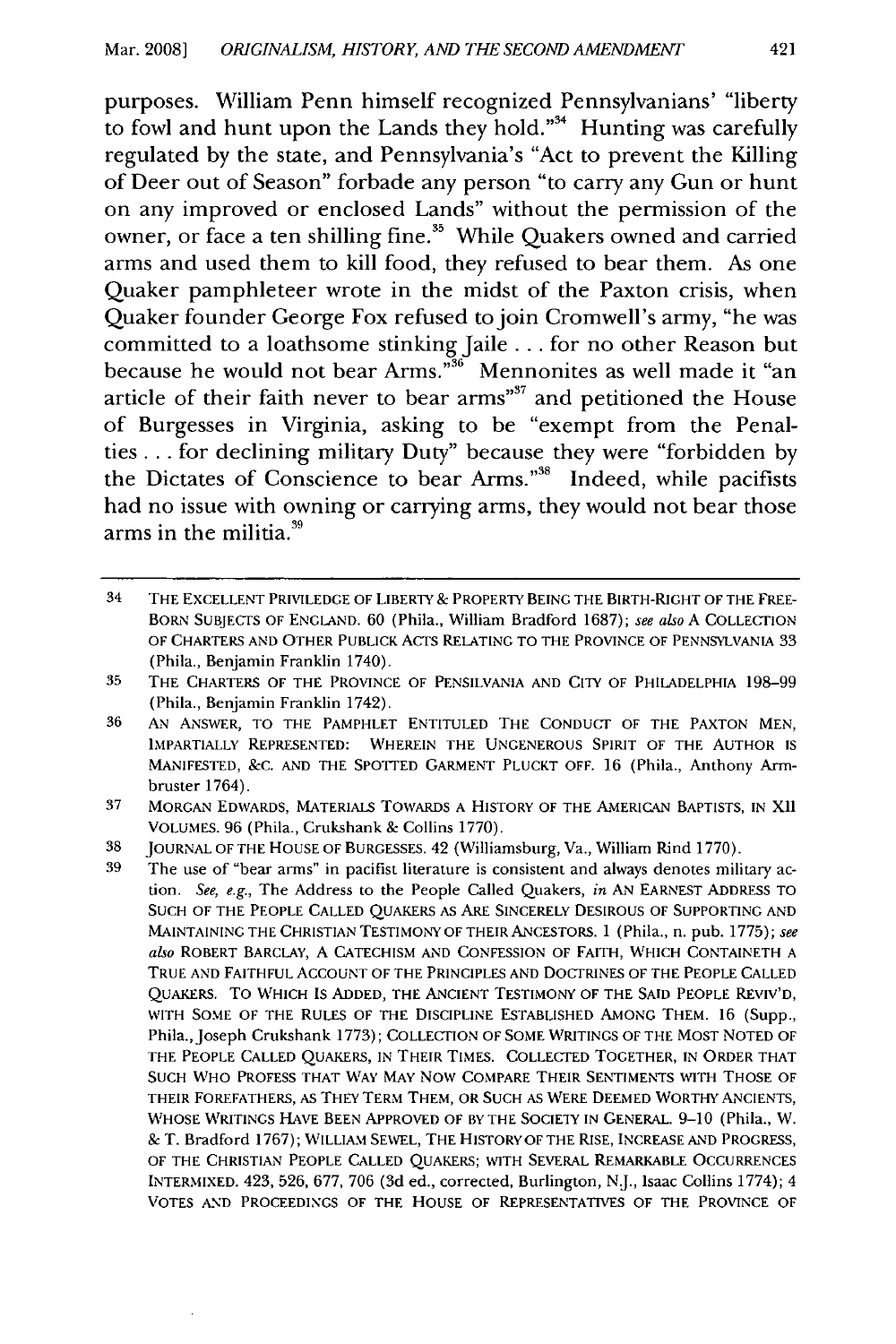purposes. William Penn himself recognized Pennsylvanians' "liberty to fowl and hunt upon the Lands they hold."<sup>34</sup> Hunting was carefully regulated **by** the state, and Pennsylvania's "Act to prevent the Killing of Deer out of Season" forbade any person "to carry any Gun or hunt on any improved or enclosed Lands" without the permission of the owner, or face a ten shilling fine.<sup>35</sup> While Quakers owned and carried arms and used them to kill food, they refused to bear them. As one Quaker pamphleteer wrote in the midst of the Paxton crisis, when Quaker founder George Fox refused to join Cromwell's army, "he was committed to a loathsome stinking Jaile... for no other Reason but because he would not bear Arms."<sup>36</sup> Mennonites as well made it "an article of their faith never to bear **arms 3'7** and petitioned the House of Burgesses in Virginia, asking to be "exempt from the Penalties **...** for declining military Duty" because they were "forbidden **by** the Dictates of Conscience to bear Arms."<sup>38</sup> Indeed, while pacifists had no issue with owning or carrying arms, they would not bear those arms in the militia. $39$ 

<sup>34</sup> THE EXCELLENT PRIVILEDGE OF LIBERTY & PROPERTY BEING THE BIRTH-RIGHT OF THE FREE-BORN SUBJECTS OF ENGLAND. 60 (Phila., William Bradford **1687);** *see also* A COLLECTION OF CHARTERS AND OTHER PUBLICK ACTS RELATING TO THE PROVINCE OF PENNSYLVANIA 33 (Phila., Benjamin Franklin 1740).

<sup>35</sup> THE CHARTERS OF THE PROVINCE OF PENSILVANIA AND CITY OF PHILADELPHIA 198-99 (Phila., Benjamin Franklin 1742).

<sup>36</sup> **AN** ANSWER, TO THE PAMPHLET ENTITULED THE CONDUCT OF THE PAXTON MEN, IMPARTIALLY REPRESENTED: WHEREIN THE UNGENEROUS SPIRIT OF THE AUTHOR IS MANIFESTED, &C. **AND** THE SPOTTED GARMENT PLUCKT OFF. 16 (Phila., Anthony Armbruster 1764).

<sup>37</sup> MORGAN EDWARDS, MATERIALS TOWARDS A HISTORY OF THE AMERICAN BAPTISTS, IN XII VOLUMES. 96 (Phila., Crukshank & Collins 1770).

<sup>38</sup> JOURNAL OF THE HOUSE OF BURGESSES. 42 (Williamsburg, Va., William Rind 1770).

**<sup>39</sup>** The use of "bear arms" in pacifist literature is consistent and always denotes military ac**tion.** *See, e.g.,* The Address to the People Called Quakers, *in* AN EARNEST ADDRESS TO SUCH OF THE PEOPLE CALLED QUAKERS AS ARE SINCERELY DESIROUS OF SUPPORTING AND MAINTAINING THE CHRISTIAN TESTIMONY OF THEIR ANCESTORS. 1 (Phila., n. pub. 1775); *see also* ROBERT BARCLAY, A CATECHISM **AND** CONFESSION OF FAITH, WHICH CONTAINETH A TRUE AND FAITHFUL ACCOUNT OF THE PRINCIPLES AND DOCTRINES OF THE PEOPLE CALLED QUAKERS. TO WHICH IS ADDED, THE ANCIENT TESTIMONY OF THE SAID PEOPLE REVIV'D, WITH SOME OF THE RULES OF THE DISCIPLINE ESTABLISHED AMONG THEM. 16 (Supp., Phila., Joseph Crukshank 1773); COLLECTION OF SOME WRITINGS OF THE MOST NOTED OF THE PEOPLE CALLED QUAKERS, IN THEIR TIMES. COLLECTED TOGETHER, IN ORDER THAT SUCH WHO PROFESS THAT **WAY** MAY NOW COMPARE THEIR SENTIMENTS WITH THOSE OF THEIR FOREFATHERS, AS THEY TERM THEM, OR SUCH AS WERE DEEMED WORTHY ANCIENTS, WHOSE WRITINGS HAVE BEEN APPROVED OF BY THE SOCIETY IN GENERAL. 9-10 (Phila., W. & T. Bradford 1767); WILLIAM SEWEL, THE HISTORY OF THE RISE, INCREASE **AND** PROGRESS, OF THE CHRISTIAN PEOPLE CALLED QUAKERS; WITH SEVERAL REMARKABLE OCCURRENCES INTERMIXED. 423, 526, 677, 706 (3d ed., corrected, Burlington, **NJ.,** Isaac Collins 1774); 4 VOTES AND PROCEEDINGS OF THE HOUSE OF REPRESENTATIVES OF THE PROVINCE OF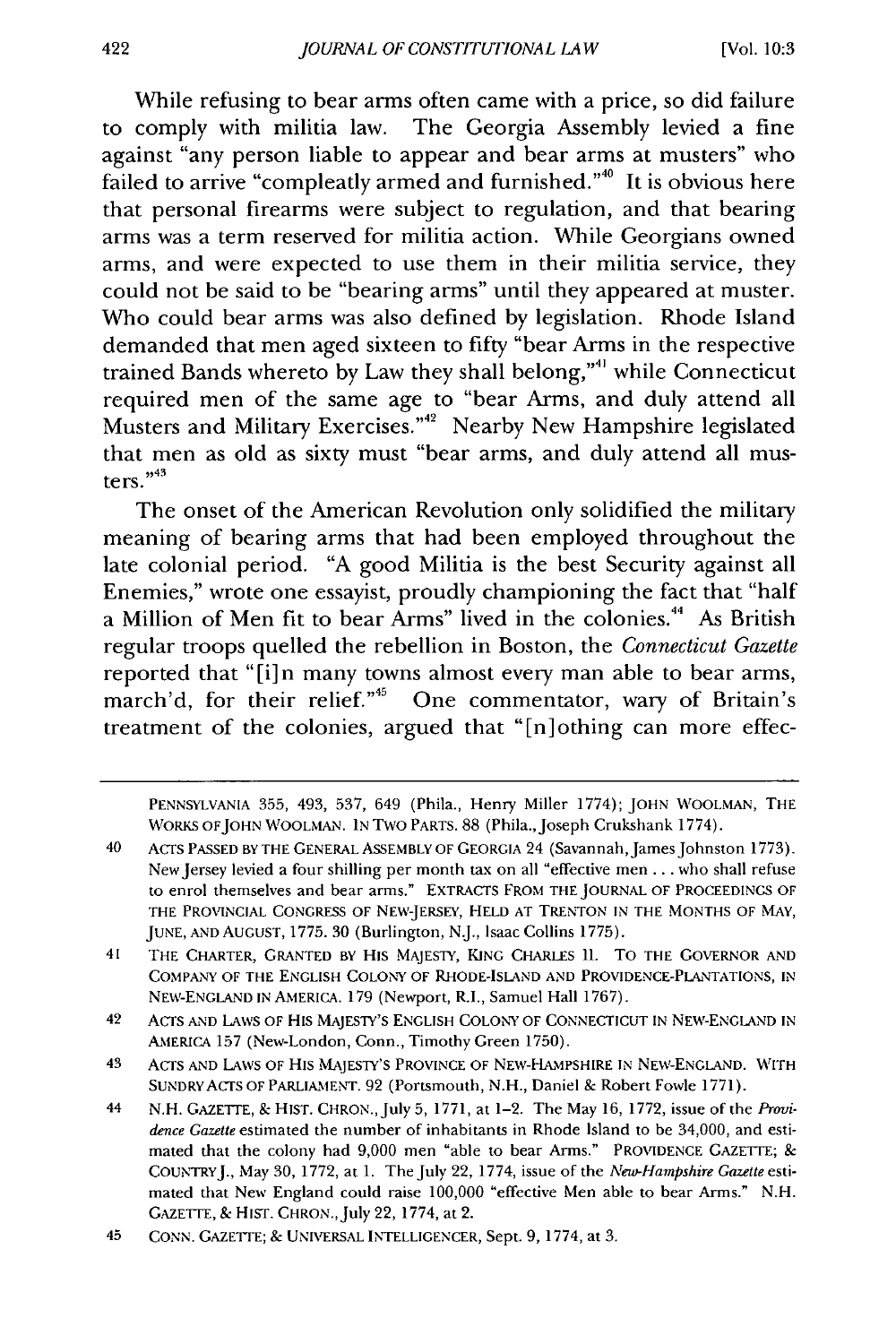While refusing to bear arms often came with a price, so did failure to comply with militia law. The Georgia Assembly levied a fine against "any person liable to appear and bear arms at musters" who failed to arrive "compleatly armed and furnished." $\theta$  It is obvious here that personal firearms were subject to regulation, and that bearing arms was a term reserved for militia action. While Georgians owned arms, and were expected to use them in their militia service, they could not be said to be "bearing arms" until they appeared at muster. Who could bear arms was also defined by legislation. Rhode Island demanded that men aged sixteen to fifty "bear Arms in the respective trained Bands whereto by Law they shall belong,"<sup>41</sup> while Connecticut required men of the same age to "bear Arms, and duly attend all Musters and Military Exercises."<sup>42</sup> Nearby New Hampshire legislated that men as old as sixty must "bear arms, and duly attend all musters." $43$ 

The onset of the American Revolution only solidified the military meaning of bearing arms that had been employed throughout the late colonial period. "A good Militia is the best Security against all Enemies," wrote one essayist, proudly championing the fact that "half a Million of Men fit to bear Arms" lived in the colonies.<sup>44</sup> As British regular troops quelled the rebellion in Boston, the *Connecticut Gazette* reported that "[i]n many towns almost every man able to bear arms, march'd, for their relief."<sup>45</sup> One commentator, wary of Britain's treatment of the colonies, argued that "[n]othing can more effec-

PENNSYLVANIA 355, 493, 537, 649 (Phila., Henry Miller 1774); JOHN WOOLMAN, THE WORKS OFJOHN WOOLMAN. IN Two PARTS. 88 (Phila.,Joseph Crukshank 1774).

<sup>40</sup> ACTS PASSED BY THE GENERAL ASSEMBLY OF GEORGIA 24 (Savannah, James Johnston 1773). New Jersey levied a four shilling per month tax on all "effective men **...** who shall refuse to enrol themselves and bear arms." EXTRACTS FROM THE JOURNAL OF PROCEEDINGS OF THE PROVINCIAL CONGRESS OF NEW-JERSEY, HELD AT TRENTON IN THE MONTHS OF MAY, JUNE, AND AUGUST, 1775. 30 (Burlington, N.J., Isaac Collins 1775).

<sup>41</sup> THE CHARTER, GRANTED BY HIS MAJESTY, KING CHARLES II. TO THE GOVERNOR AND COMPANY OF THE ENGLISH COLONY OF RHODE-ISLAND AND PROVIDENCE-PLANTATIONS, *IN* NEW-ENGLAND IN AMERICA. 179 (Newport, R.I., Samuel Hall 1767).

<sup>42</sup> ACTS AND LAWS OF HIS MAJESTY'S ENGLISH COLONY OF CONNECTICUT IN NEW-ENGLAND IN AMERICA 157 (New-London, Conn., Timothy Green 1750).

<sup>43</sup> ACTS AND LAWS OF HIS MAJESTY'S PROVINCE OF NEW-HAMPSHIRE IN NEW-ENGLAND. WITH SUNDRYACTS OF PARLIAMENT. 92 (Portsmouth, N.H., Daniel & Robert Fowle 1771).

<sup>44</sup> N.H. GAZETTE, & HIST. CHRON.,July 5, 1771, at 1-2. The May 16, 1772, issue of the *Providence Gazette* estimated the number of inhabitants in Rhode Island to be 34,000, and estimated that the colony had 9,000 men "able to bear Arms." PROVIDENCE GAZETTE; & COUNTRYJ., May 30, 1772, at 1. The July 22, 1774, issue of the *New-Hampshire Gazette* estimated that New England could raise 100,000 "effective Men able to bear Arms." N.H. GAZETTE, & HIST. CHRON., July 22, 1774, at 2.

<sup>45</sup> CONN. GAZETTE; & UNIVERSAL INTELLIGENCER, Sept. 9, 1774, at 3.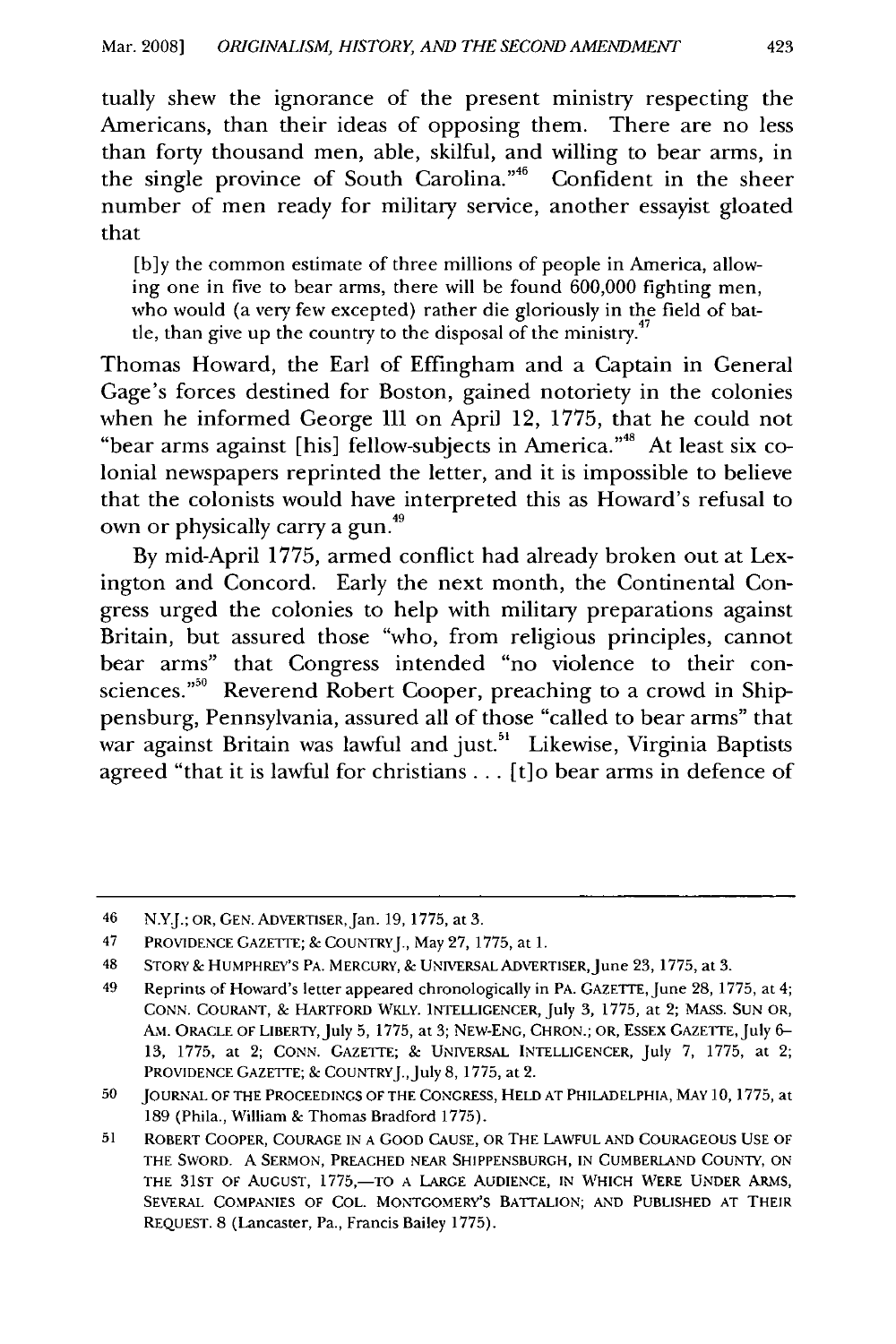tually shew the ignorance of the present ministry respecting the Americans, than their ideas of opposing them. There are no less than forty thousand men, able, skilful, and willing to bear arms, in the single province of South Carolina."<sup>46</sup> Confident in the sheer number of men ready for military service, another essayist gloated that

[b]y the common estimate of three millions of people in America, allowing one in five to bear arms, there will be found 600,000 fighting men, who would (a very few excepted) rather die gloriously in the field of battle, than give up the country to the disposal of the ministry. $^4$ 

Thomas Howard, the Earl of Effingham and a Captain in General Gage's forces destined for Boston, gained notoriety in the colonies when he informed George III on April 12, 1775, that he could not "bear arms against [his] fellow-subjects in America."<sup>48</sup> At least six colonial newspapers reprinted the letter, and it is impossible to believe that the colonists would have interpreted this as Howard's refusal to own or physically carry a gun.<sup>49</sup>

By mid-April 1775, armed conflict had already broken out at Lexington and Concord. Early the next month, the Continental Congress urged the colonies to help with military preparations against Britain, but assured those "who, from religious principles, cannot bear arms" that Congress intended "no violence to their consciences."<sup>50</sup> Reverend Robert Cooper, preaching to a crowd in Shippensburg, Pennsylvania, assured all of those "called to bear arms" that war against Britain was lawful and just.<sup>51</sup> Likewise, Virginia Baptists agreed "that it is lawful for christians ... [t]o bear arms in defence of

<sup>46</sup> N.Y.J.; OR, GEN. ADVERTISER, Jan. 19, 1775, at 3.

<sup>47</sup> PROVIDENCE GAZETTE; & COUNTRYJ., May 27, 1775, at 1.

<sup>48</sup> STORY& HUMPHREY'S PA. MERCURY, **&** UNIVERSAL ADVERTISER, June 23, 1775, at 3.

<sup>49</sup> Reprints of Howard's letter appeared chronologically in PA. GAZETTE, June 28, 1775, at 4; CONN. COURANT, & HARTFORD WKLY. INTELLIGENCER, July 3, 1775, at 2; MASS. SUN OR, AM. ORACLE OF LIBERTY, July 5, 1775, at 3; NEw-ENG, CHRON.; OR, ESSEX GAZETTE, July 6- 13, 1775, at 2; CONN. GAZETTE; & UNIVERSAL INTELLIGENCER, July 7, 1775, at 2; PROVIDENCE GAZETTE; & COUNTRYJ., July 8, 1775, at 2.

<sup>50</sup> JOURNAL OF THE PROCEEDINGS OF THE CONGRESS, HELD AT PHILADELPHIA, MAY 10, 1775, at 189 (Phila., William & Thomas Bradford 1775).

<sup>51</sup> ROBERT COOPER, COURAGE **IN** A GOOD CAUSE, OR THE LAWFUL **AND** COURAGEOUS **USE** OF THE SWORD. A SERMON, PREACHED NEAR SHIPPENSBURGH, IN CUMBERLAND COUNTY, ON THE 31ST OF AUGUST, 1775,-TO A LARGE AUDIENCE, IN WHICH WERE UNDER ARMS, SEVERAL COMPANIES OF COL. MONTGOMERY'S BATTALION; AND PUBLISHED AT THEIR REQUEST. 8 (Lancaster, Pa., Francis Bailey 1775).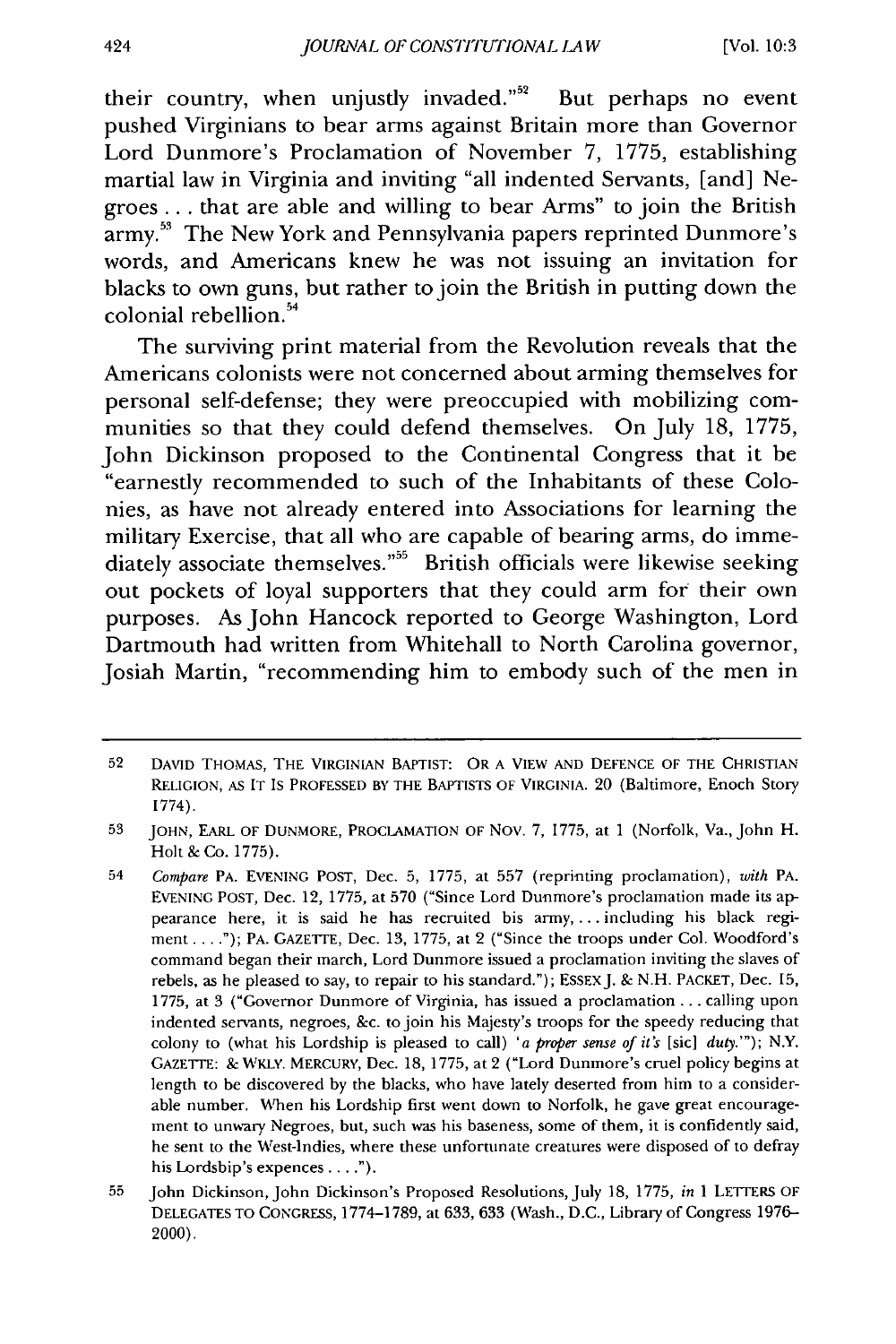their country, when unjustly invaded." $52$  But perhaps no event pushed Virginians to bear arms against Britain more than Governor Lord Dunmore's Proclamation of November **7, 1775,** establishing martial law in Virginia and inviting "all indented Servants, [and] Negroes... that are able and willing to bear Arms" to join the British **army.53** The New York and Pennsylvania papers reprinted Dunmore's words, and Americans knew he was not issuing an invitation for blacks to own guns, but rather to join the British in putting down the  $\frac{1}{2}$  colonial rebellion.<sup>54</sup>

The surviving print material from the Revolution reveals that the Americans colonists were not concerned about arming themselves for personal self-defense; they were preoccupied with mobilizing communities so that they could defend themselves. On July **18, 1775,** John Dickinson proposed to the Continental Congress that it be "earnestly recommended to such of the Inhabitants of these Colonies, as have not already entered into Associations for learning the military Exercise, that all who are capable of bearing arms, do immediately associate themselves."<sup>55</sup> British officials were likewise seeking out pockets of loyal supporters that they could arm for their own purposes. As John Hancock reported to George Washington, Lord Dartmouth had written from Whitehall to North Carolina governor, Josiah Martin, "recommending him to embody such of the men in

<sup>52</sup> DAVID THOMAS, THE VIRGINIAN BAPTIST: OR A VIEW AND DEFENCE OF THE CHRISTIAN RELIGION, AS IT IS PROFESSED BY THE BAPTISTS OF VIRGINIA. 20 (Baltimore, Enoch Story 1774).

**<sup>53</sup>** JOHN, EARL OF DUNMORE, PROCLAMATION OF Nov. 7, 1775, at 1 (Norfolk, Va., John H. Holt & Co. 1775).

<sup>54</sup> *Compare* PA. EVENING POST, Dec. 5, 1775, at 557 (reprinting proclamation), *with* PA. EVENING POST, Dec. 12, 1775, at 570 ("Since Lord Dunmore's proclamation made its appearance here, it is said he has recruited his **army,...** including his black regiment...."); PA. GAZETTE, Dec. 13, 1775, at 2 ("Since the troops under Col. Woodford's command began their march, Lord Dunmore issued a proclamation inviting the slaves of rebels, as he pleased to say, to repair to his standard."); ESSEXJ. & N.H. PACKET, Dec. 15, 1775, at 3 ("Governor Dunmore of Virginia, has issued a proclamation ... calling upon indented **servants, negroes,** &c. tojoin his **Majesty's troops for** the speedy reducing that colony to (what his Lordship is pleased to call) 'a *proper sense of it's* [sic] *duty.'");* N.Y. GAZETTE: & WKLY. MERCURY, Dec. 18, 1775, at 2 ("Lord Dunmore's cruel policy begins at length to be discovered by the blacks, who have lately deserted from him to a considerable number. When his Lordship first went down to Norfolk, he gave great encouragement to unwary Negroes, but, such was his baseness, some of them, it is confidently said, he sent to the West-Indies, where these unfortunate creatures were disposed of to defray his Lordship's expences **.... ").**

<sup>55</sup> John Dickinson, John Dickinson's Proposed Resolutions, July 18, 1775, *in* 1 LETTERS OF DELEGATES TO CONGRESS, 1774-1789, at 633, 633 (Wash., D.C., Library of Congress 1976- 2000).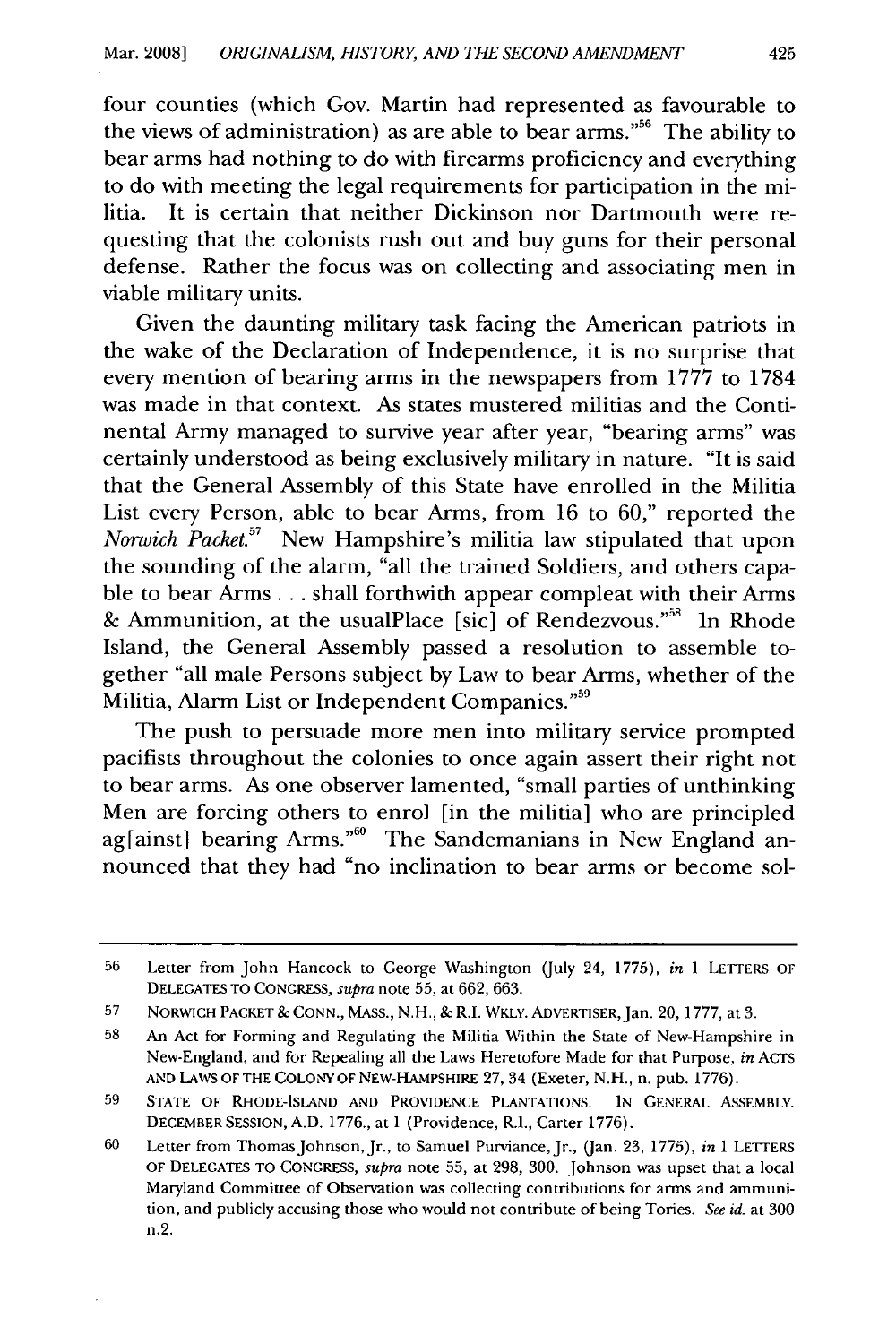four counties (which Gov. Martin had represented as favourable to the views of administration) as are able to bear arms."<sup>56</sup> The ability to bear arms had nothing to do with firearms proficiency and everything to do with meeting the legal requirements for participation in the militia. It is certain that neither Dickinson nor Dartmouth were requesting that the colonists rush out and buy guns for their personal defense. Rather the focus was on collecting and associating men in viable military units.

Given the daunting military task facing the American patriots in the wake of the Declaration of Independence, it is no surprise that every mention of bearing arms in the newspapers from 1777 to 1784 was made in that context. As states mustered militias and the Continental Army managed to survive year after year, "bearing arms" was certainly understood as being exclusively military in nature. "It is said that the General Assembly of this State have enrolled in the Militia List every Person, able to bear Arms, from 16 to 60," reported the *Norwich Packet.57* New Hampshire's militia law stipulated that upon the sounding of the alarm, "all the trained Soldiers, and others capable to bear Arms... shall forthwith appear compleat with their Arms & Ammunition, at the usualPlace [sic] of Rendezvous."<sup>58</sup> In Rhode Island, the General Assembly passed a resolution to assemble together "all male Persons subject by Law to bear Arms, whether of the Militia, Alarm List or Independent Companies."<sup>59</sup>

The push to persuade more men into military service prompted pacifists throughout the colonies to once again assert their right not to bear arms. As one observer lamented, "small parties of unthinking Men are forcing others to enrol [in the militia] who are principled ag[ainst] bearing Arms."<sup>60</sup> The Sandemanians in New England announced that they had "no inclination to bear arms or become sol-

<sup>56</sup> Letter from John Hancock to George Washington (July 24, 1775), *in* 1 LETTERS OF DELEGATES TO CONGRESS, *supra* note 55, at 662, 663.

<sup>57</sup> NORWICH PACKET & CONN., MASS., N.H., & R.I. WKLY. ADVERTISER,Jan. 20, 1777, at 3.

<sup>58</sup> An Act for Forming and Regulating the Militia Within the State of New-Hampshire in New-England, and for Repealing all the Laws Heretofore Made for that Purpose, *in* ACTS AND LAWS OF THE COLONY OF NEW-HAMPSHIRE 27, 34 (Exeter, N.H., n. pub. 1776).

**<sup>59</sup> STATE** OF RHODE-ISLAND **AND** PROVIDENCE PLANTATIONS. **IN** GENERAL ASSEMBLY. DECEMBER SESSION, A.D. 1776., at 1 (Providence, R.I., Carter 1776).

<sup>60</sup> Letter from Thomas Johnson,Jr., to Samuel Purviance, Jr., (Jan. 23, 1775), *in* 1 LETTERS OF DELEGATES TO CONGRESS, *supra* note **55,** at 298, 300. Johnson was upset that a local Maryland Committee of Observation was collecting contributions for arms and ammunition, and publicly accusing those who would not contribute of being Tories. *See id.* at 300 n.2.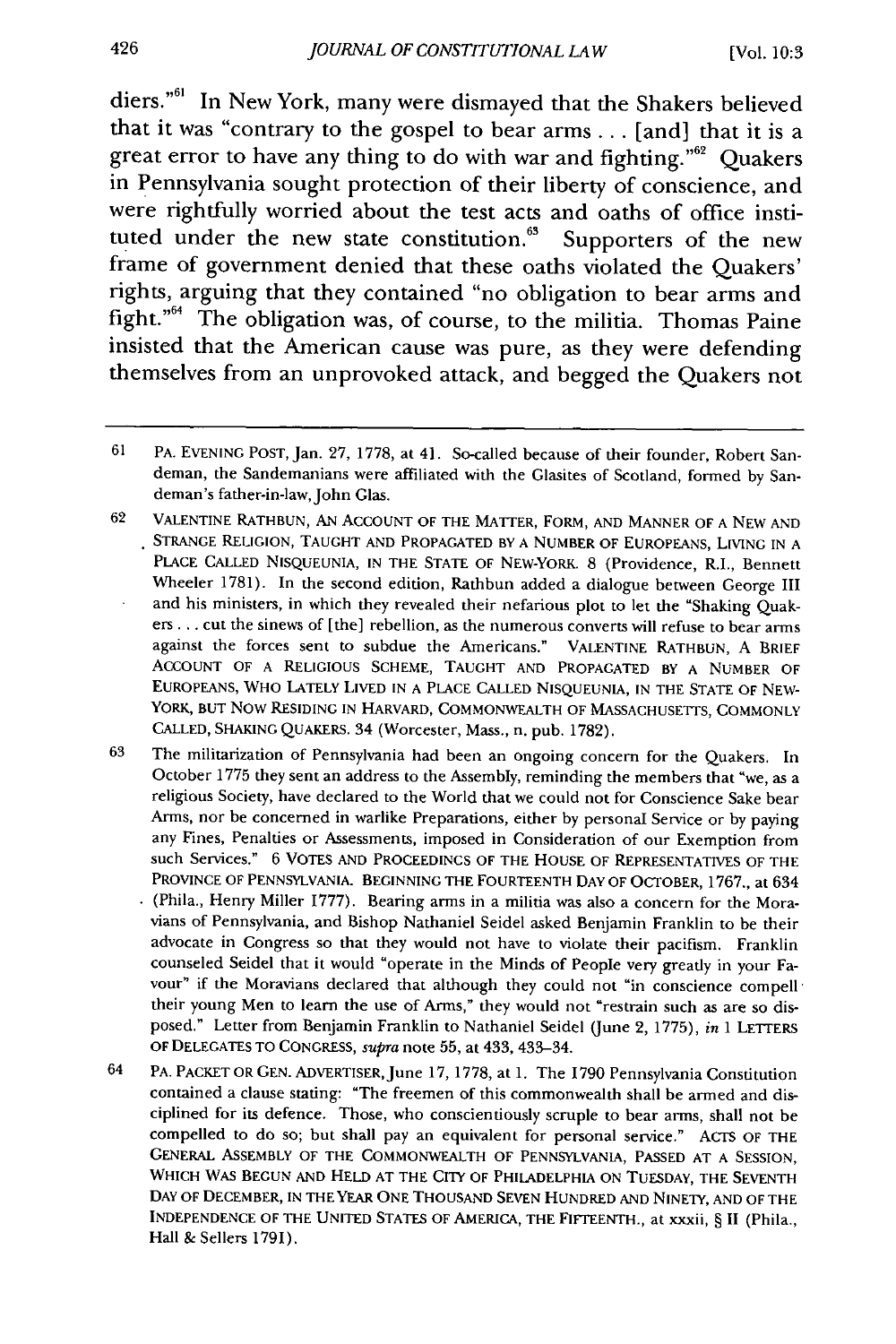diers."<sup>61</sup> In New York, many were dismayed that the Shakers believed that it was "contrary to the gospel to bear arms **...** [and] that it is a great error to have any thing to do with war and fighting."<sup>62</sup> Quakers in Pennsylvania sought protection of their liberty of conscience, and were rightfully worried about the test acts and oaths of office instituted under the new state constitution.<sup>63</sup> Supporters of the new frame of government denied that these oaths violated the Quakers' rights, arguing that they contained "no obligation to bear arms and fight."<sup>64</sup> The obligation was, of course, to the militia. Thomas Paine insisted that the American cause was pure, as they were defending themselves from an unprovoked attack, and begged the Quakers not

62 VALENTINE RATHBUN, AN ACCOUNT OF THE MATTER, FORM, AND MANNER OF A NEW AND STRANGE RELIGION, TAUGHT AND PROPAGATED BY A NUMBER OF EUROPEANS, LIVING IN A PLACE CALLED NISQUEUNIA, IN THE STATE OF NEW-YORK. 8 (Providence, R.I., Bennett Wheeler 1781). In the second edition, Rathbun added a dialogue between George III and his ministers, in which they revealed their nefarious plot to let the "Shaking Quakers *...* cut the sinews of [the] rebellion, as the numerous converts will refuse to bear arms against the forces sent to subdue the Americans." VALENTINE RATHBUN, A BRIEF ACCOUNT OF A RELIGIOUS SCHEME, TAUGHT AND PROPAGATED BY A NUMBER OF EUROPEANS, WHO LATELY LIVED IN A PLACE CALLED NISQUEUNIA, IN THE STATE OF NEW-YORK, BUT NOW RESIDING IN HARVARD, COMMONWEALTH OF MASSACHUSETTS, COMMONLY CALLED, SHAKING QUAKERS. 34 (Worcester, Mass., n. pub. 1782).

- 63 The militarization of Pennsylvania had been an ongoing concern for the Quakers. In October **1775** they sent an address to the Assembly, reminding the members that "we, as a religious Society, have declared to the World that we could not for Conscience Sake bear Arms, nor be concerned in warlike Preparations, either by personal Service or by paying any Fines, Penalties or Assessments, imposed in Consideration of our Exemption from such Services." 6 VOTES **AND** PROCEEDINGS OF THE HOUSE OF REPRESENTATIVES OF THE PROVINCE OF PENNSYLVANIA. BEGINNING THE FOURTEENTH **DAY** OF OCTOBER, 1767., at 634 (Phila., Henry Miller 1777). Bearing arms in a militia was also a concern for the Moravians of Pennsylvania, and Bishop Nathaniel Seidel asked Benjamin Franklin to be their advocate in Congress so that they would not have to violate their pacifism. Franklin counseled Seidel that it would "operate in the Minds of People very greatly in your Favour" if the Moravians declared that although they could not "in conscience compell<sup>-</sup> their young Men to learn the use of Arms," they would not "restrain such as are so disposed." Letter from Benjamin Franklin to Nathaniel Seidel (June 2, 1775), in 1 LETTERS OF DELEGATES TO CONGRESS, *supra* note 55, at 433, 433-34.
- 64 PA. PACKET OR GEN. ADVERTISER, June 17, 1778, at 1. The 1790 Pennsylvania Constitution contained a clause stating: "The freemen of this commonwealth shall be armed and disciplined for its defence. Those, who conscientiously scruple to bear arms, shall not be compelled to do so; but shall pay an equivalent for personal service." ACTS OF THE GENERAL ASSEMBLY OF THE COMMONWEALTH OF PENNSYLVANIA, PASSED AT A SESSION, WHICH WAS BEGUN AND HELD AT THE CITY OF PHILADELPHIA ON TUESDAY, THE SEVENTH DAY OF DECEMBER, IN THE YEAR **ONE** THOUSAND SEVEN HUNDRED AND NINETY, AND OF THE INDEPENDENCE OF THE UNITED STATES OF AMERICA, THE FIFTEENTH., at xxxii, § II (Phila., Hall & Sellers 1791).

426

<sup>61</sup> PA. EVENING **POST,** Jan. 27, 1778, at 41. So-called because of their founder, Robert Sandeman, the Sandemanians were affiliated with the Glasites of Scotland, formed by Sandeman's father-in-law, John Glas.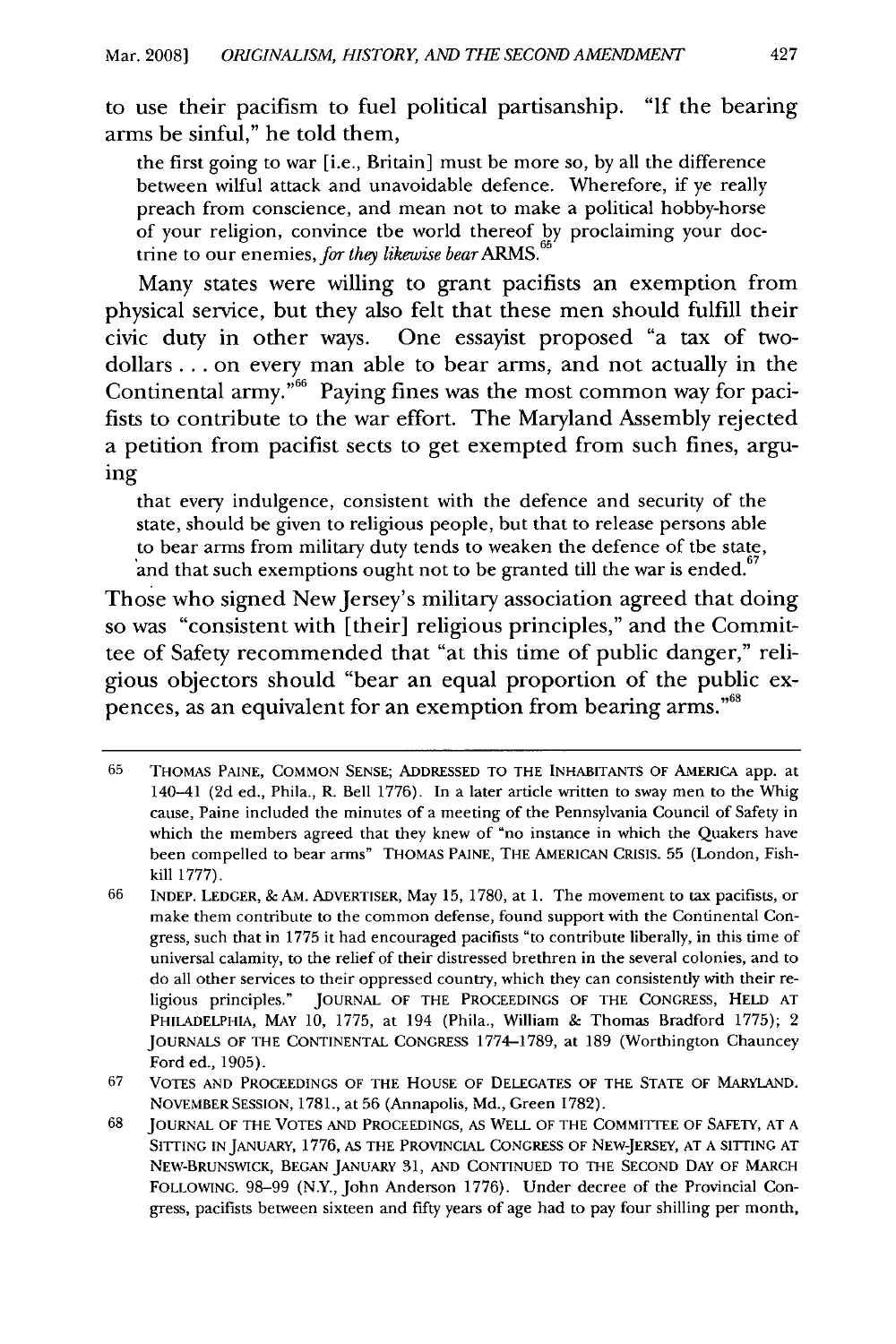to use their pacifism to fuel political partisanship. **"If** the bearing arms be sinful," he told them,

the first going to war [i.e., Britain] must be more so, by all the difference between wilful attack and unavoidable defence. Wherefore, if ye really preach from conscience, and mean not to make a political hobby-horse of your religion, convince the world thereof by proclaiming your doctrine to our enemies, *for they likewise bear* ARMS.<sup>65</sup>

Many states were willing to grant pacifists an exemption from physical service, but they also felt that these men should fulfill their civic duty in other ways. One essayist proposed "a tax of twodollars **...** on every man able to bear arms, and not actually in the Continental army.<sup> $66$ </sup> Paying fines was the most common way for pacifists to contribute to the war effort. The Maryland Assembly rejected a petition from pacifist sects to get exempted from such fines, arguing

that every indulgence, consistent with the defence and security of the state, should be given to religious people, but that to release persons able to bear arms from military duty tends to weaken the defence of the state, and that such exemptions ought not to be granted till the war is ended.

Those who signed New Jersey's military association agreed that doing so was "consistent with [their] religious principles," and the Committee of Safety recommended that "at this time of public danger," religious objectors should "bear an equal proportion of the public expences, as an equivalent for an exemption from bearing arms."<sup>68</sup>

**<sup>65</sup>** THOMAS PAINE, COMMON SENSE; ADDRESSED TO THE INHABITANTS OF AMERICA app. at 140-41 (2d ed., Phila., R. Bell 1776). In a later article written to sway men to the Whig cause, Paine included the minutes of a meeting of the Pennsylvania Council of Safety in which the members agreed that they knew of "no instance in which the Quakers have been compelled to bear arms" THOMAS PAINE, THE AMERICAN CRISIS. 55 (London, Fishkill 1777).

<sup>66</sup> INDEP. LEDGER, **&** AM. ADVERTISER, May **15,** 1780, at 1. The movement to tax pacifists, or make them contribute to the common defense, found support with the Continental Congress, such that in 1775 it had encouraged pacifists "to contribute liberally, in this time of universal calamity, to the relief of their distressed brethren in the several colonies, and to do all other services to their oppressed country, which they can consistently with their religious principles." JOURNAL OF THE PROCEEDINGS OF THE CONGRESS, HELD AT PHILADELPHIA, MAY 10, 1775, at 194 (Phila., William & Thomas Bradford 1775); 2 JOURNALS OF THE CONTINENTAL CONGRESS 1774-1789, at 189 (Worthington Chauncey Ford ed., 1905).

<sup>67</sup> VOTES AND PROCEEDINGS OF THE HOUSE OF DELEGATES OF THE STATE OF MARYLAND. NOVEMBER SESSION, 1781., at 56 (Annapolis, Md., Green 1782).

<sup>68</sup> JOURNAL OF THE VOTES AND PROCEEDINGS, AS WELL OF THE COMMITTEE OF SAFETY, AT A SITTING IN JANUARY, 1776, AS THE PROVINCIAL CONGRESS OF NEW-JERSEY, AT A SITTING AT NEw-BRUNSWICK, BEGAN JANUARY 31, AND CONTINUED TO THE SECOND DAY OF MARCH FOLLOWING. 98-99 (N.Y., John Anderson 1776). Under decree of the Provincial Congress, pacifists between sixteen and fifty years of age had to pay four shilling per month,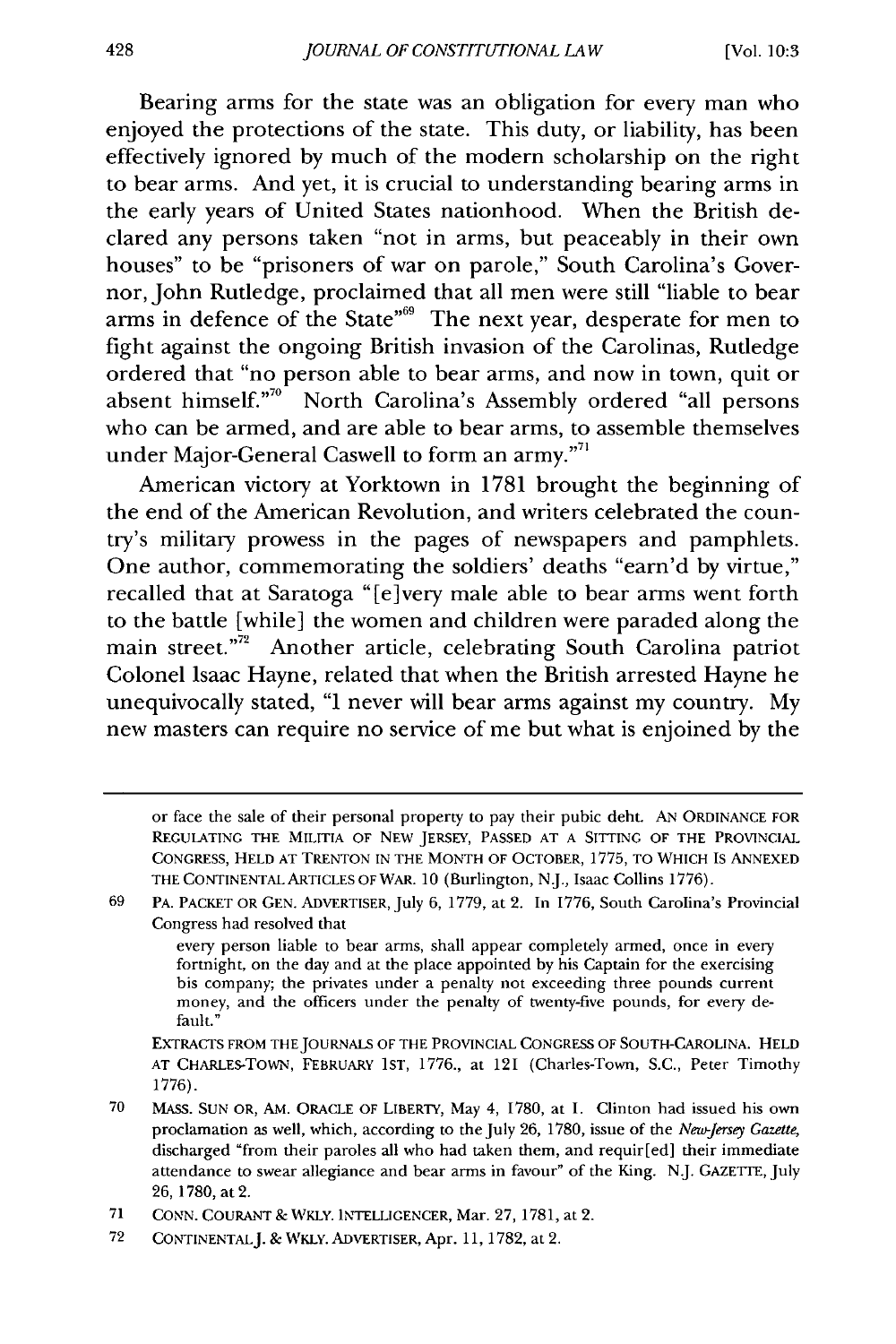Bearing arms for the state was an obligation for every man who enjoyed the protections of the state. This duty, or liability, has been effectively ignored by much of the modern scholarship on the right to bear arms. And yet, it is crucial to understanding bearing arms in the early years of United States nationhood. When the British declared any persons taken "not in arms, but peaceably in their own houses" to be "prisoners of war on parole," South Carolina's Governor, John Rutledge, proclaimed that all men were still "liable to bear arms in defence of the State"<sup>69</sup> The next year, desperate for men to fight against the ongoing British invasion of the Carolinas, Rutledge ordered that "no person able to bear arms, and now in town, quit or absent himself."<sup>70</sup> North Carolina's Assembly ordered "all persons who can be armed, and are able to bear arms, to assemble themselves who can be armed, and are able to bear arms, to<br>under Major-General Caswell to form an army."<sup>71</sup>

American victory at Yorktown in 1781 brought the beginning of the end of the American Revolution, and writers celebrated the country's military prowess in the pages of newspapers and pamphlets. One author, commemorating the soldiers' deaths "earn'd by virtue," recalled that at Saratoga "[e]very male able to bear arms went forth to the battle [while] the women and children were paraded along the main street."<sup>72</sup> Another article, celebrating South Carolina patriot Colonel Isaac Hayne, related that when the British arrested Hayne he unequivocally stated, "I never will bear arms against my country. My new masters can require no service of me but what is enjoined by the

or face the sale of their personal property to pay their pubic debt. AN ORDINANCE FOR REGULATING THE MILITIA OF NEW JERSEY, PASSED AT A SITTING OF THE PROVINCIAL CONGRESS, HELD AT TRENTON IN THE MONTH OF OCTOBER, 1775, TO WHICH IS ANNEXED THE CONTINENTAL ARTICLES OF WAR. 10 (Burlington, N.J., Isaac Collins 1776).

<sup>69</sup> PA. PACKET OR GEN. ADVERTISER, July 6, 1779, at 2. In 1776, South Carolina's Provincial Congress had resolved that

every person liable to bear arms, shall appear completely armed, once in every fortnight, on the day and at the place appointed by his Captain for the exercising his company; the privates under a penalty not exceeding three pounds current money, and the officers under the penalty of twenty-five pounds, for every default."

EXTRACTS FROM THEJOURNALS OF THE PROVINCIAL CONGRESS OF SOUTH-CAROLINA. HELD AT CHARLES-TOWN, FEBRUARY 1ST, 1776., at 121 (Charles-Town, S.C., Peter Timothy 1776).

<sup>70</sup> MASS. SUN OR, AM. ORACLE OF LIBERTY, May 4, 1780, at 1. Clinton had issued his own proclamation as well, which, according to the July 26, 1780, issue of the *New-Jersey Gazette,* discharged "from their paroles all who had taken them, and requir[ed] their immediate attendance to swear allegiance and bear arms in favour" of the King. NJ. GAZETTE, July 26, 1780, at 2.

<sup>71</sup> CONN. COURANT & WKLY. INTELLIGENCER, Mar. 27, 1781, at 2.

**<sup>72</sup>** CONTINENTALJ. & WKLY. ADVERTISER, Apr. 11, 1782, at 2.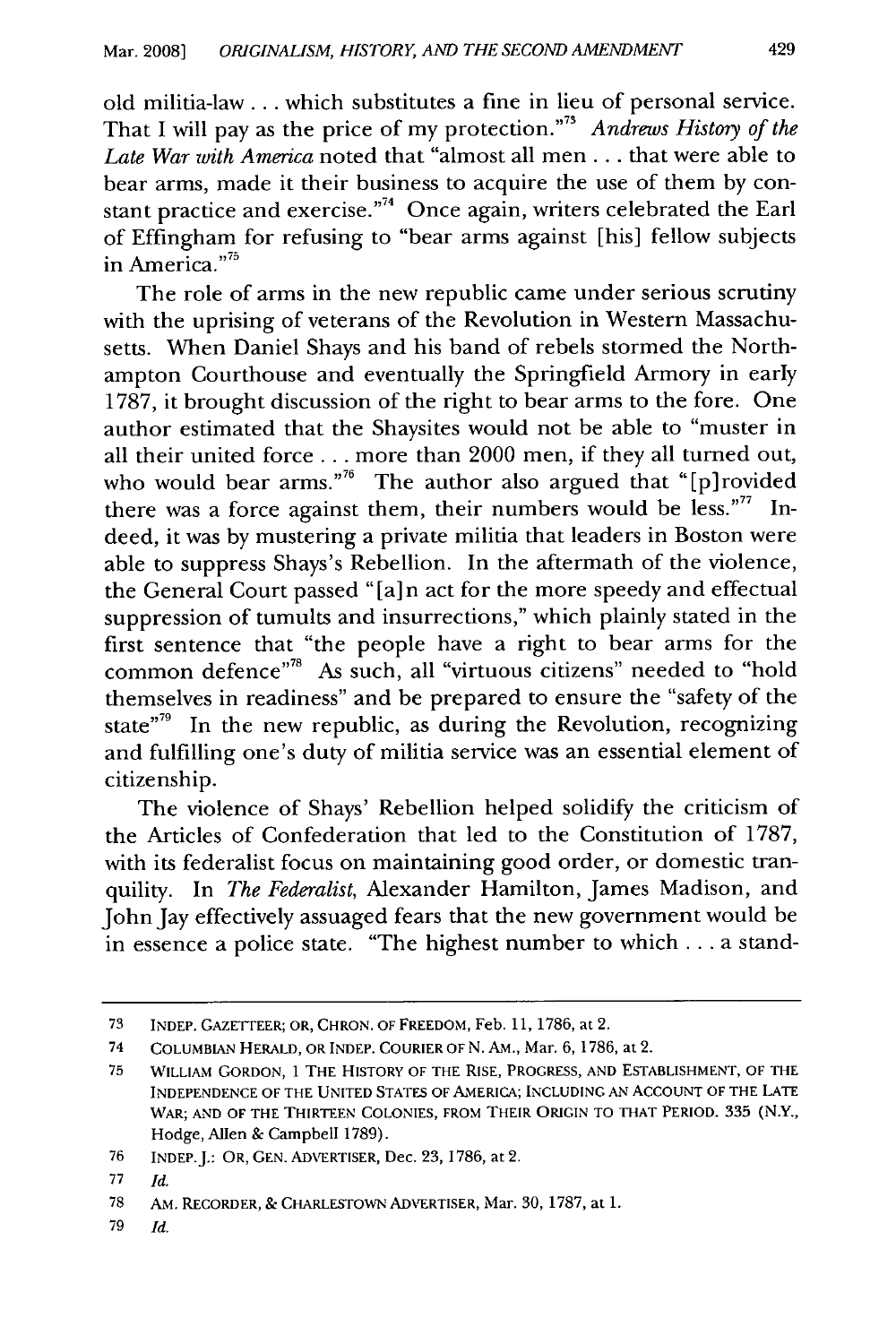old militia-law **...** which substitutes a fine in lieu of personal service. That I will pay as the price of my protection. **'73** *Andrews History of the Late War with America* noted that "almost all men.., that were able to bear arms, made it their business to acquire the use of them by constant practice and exercise."<sup>74</sup> Once again, writers celebrated the Earl of Effingham for refusing to "bear arms against [his] fellow subjects in America."<sup>75</sup>

The role of arms in the new republic came under serious scrutiny with the uprising of veterans of the Revolution in Western Massachusetts. When Daniel Shays and his band of rebels stormed the Northampton Courthouse and eventually the Springfield Armory in early 1787, it brought discussion of the right to bear arms to the fore. One author estimated that the Shaysites would not be able to "muster in all their united force **...** more than 2000 men, if they all turned out, who would bear arms."<sup>76</sup> The author also argued that "[p]rovided there was a force against them, their numbers would be less."<sup>77</sup> Indeed, it was by mustering a private militia that leaders in Boston were able to suppress Shays's Rebellion. In the aftermath of the violence, the General Court passed "[a] n act for the more speedy and effectual suppression of tumults and insurrections," which plainly stated in the first sentence that "the people have a right to bear arms for the common defence"<sup>78</sup> As such, all "virtuous citizens" needed to "hold themselves in readiness" and be prepared to ensure the "safety of the state"<sup>79</sup> In the new republic, as during the Revolution, recognizing and fulfilling one's duty of militia service was an essential element of citizenship.

The violence of Shays' Rebellion helped solidify the criticism of the Articles of Confederation that led to the Constitution of 1787, with its federalist focus on maintaining good order, or domestic tranquility. In *The Federalist,* Alexander Hamilton, James Madison, and John Jay effectively assuaged fears that the new government would be in essence a police state. "The highest number to which **...** a stand-

<sup>73</sup> INDEP. GAZETTEER; OR, CHRON. OF FREEDOM, Feb. **11,** 1786, at 2.

<sup>74</sup> COLUMBIAN HERALD, OR INDEP. COURIER OF N. AM., Mar. 6, 1786, at 2.

<sup>75</sup> WILLIAM GORDON, 1 THE HISTORY OF THE RISE, PROGRESS, AND ESTABLISHMENT, OF THE INDEPENDENCE OF THE UNITED STATES OF AMERICA; INCLUDING AN ACCOUNT OF THE LATE WAR; AND OF THE THIRTEEN COLONIES, FROM THEIR ORIGIN TO THAT PERIOD. 335 (N.Y., Hodge, Allen & Campbell 1789).

<sup>76</sup> INDEP.J.: OR, GEN. ADVERTISER, Dec. 23, 1786, at 2.

<sup>77</sup> *Id.*

<sup>78</sup> AM. RECORDER, **&** CHARLESTOWN ADVERTISER, Mar. 30, **1787,** at **1.**

<sup>79</sup> *Id.*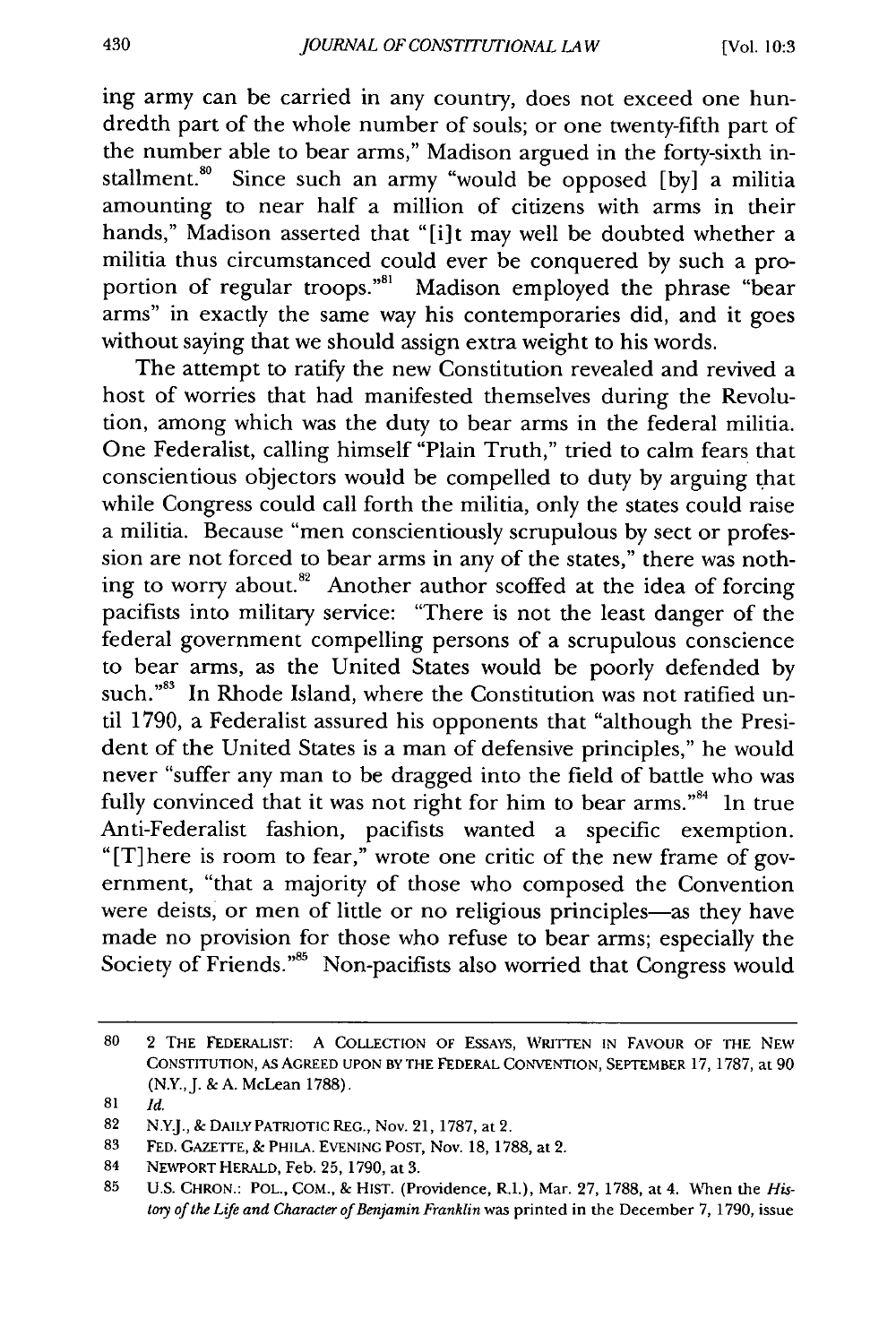ing army can be carried in any country, does not exceed one hundredth part of the whole number of souls; or one twenty-fifth part of the number able to bear arms," Madison argued in the forty-sixth installment.<sup>80</sup> Since such an army "would be opposed [by] a militia amounting to near half a million of citizens with arms in their hands," Madison asserted that "[i]t may well be doubted whether a militia thus circumstanced could ever be conquered by such a proportion of regular troops."<sup>81</sup> Madison employed the phrase "bear arms" in exactly the same way his contemporaries did, and it goes without saying that we should assign extra weight to his words.

The attempt to ratify the new Constitution revealed and revived a host of worries that had manifested themselves during the Revolution, among which was the duty to bear arms in the federal militia. One Federalist, calling himself "Plain Truth," tried to calm fears that conscientious objectors would be compelled to duty by arguing that while Congress could call forth the militia, only the states could raise a militia. Because "men conscientiously scrupulous by sect or profession are not forced to bear arms in any of the states," there was nothing to worry about.<sup>82</sup> Another author scoffed at the idea of forcing pacifists into military service: "There is not the least danger of the federal government compelling persons of a scrupulous conscience to bear arms, as the United States would be poorly defended by such."<sup>83</sup> In Rhode Island, where the Constitution was not ratified until 1790, a Federalist assured his opponents that "although the President of the United States is a man of defensive principles," he would never "suffer any man to be dragged into the field of battle who was fully convinced that it was not right for him to bear arms."<sup>84</sup> In true Anti-Federalist fashion, pacifists wanted a specific exemption. "[T]here is room to fear," wrote one critic of the new frame of government, "that a majority of those who composed the Convention were deists, or men of little or no religious principles-as they have made no provision for those who refuse to bear arms; especially the Society of Friends."<sup>85</sup> Non-pacifists also worried that Congress would

**<sup>80</sup>** 2 THE FEDERALIST: A COLLECTION OF ESSAYS, WRITTEN **IN** FAVOUR OF THE NEW CONSTITUTION, As AGREED UPON BY THE FEDERAL CONVENTION, SEPTEMBER 17, 1787, at **90** (N.Y., J. & A. McLean 1788).

<sup>81</sup> *Id.*

<sup>82</sup> N.Y.J., & DAILY PATRIOTIC REG., Nov. 21, **1787,** at 2.

<sup>83</sup> FED. GAZETTE, & PHILA. EVENING POST, Nov. 18, 1788, at 2.

<sup>84</sup> NEWPORT HERALD, Feb. 25, 1790, at 3.

<sup>85</sup> U.S. CHRON.: POL., COM., & HIST. (Providence, R.I.), Mar. 27, 1788, at 4. When the *Histoy of the Life and Character of Benjamin Franklin* was printed in the December 7, 1790, issue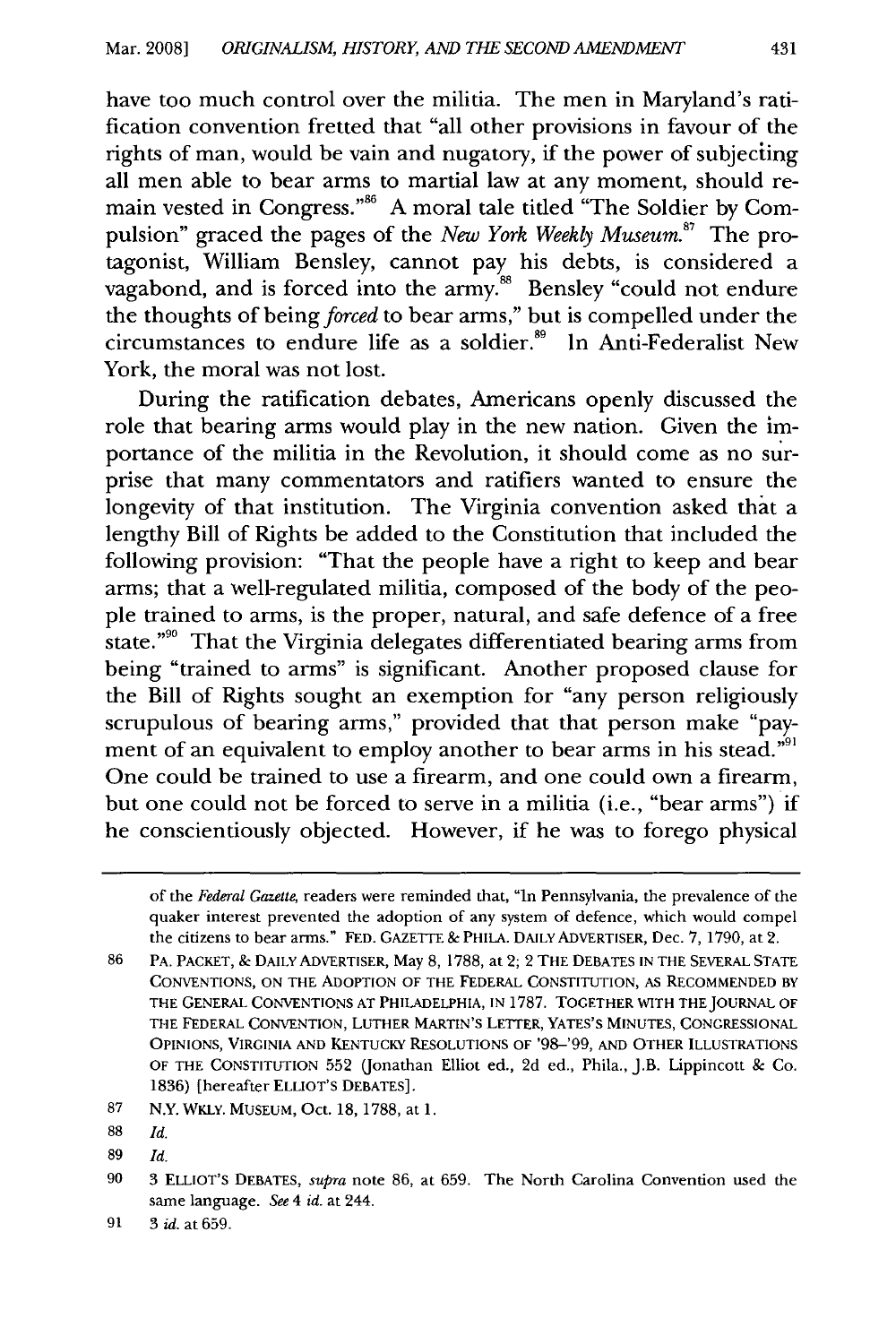have too much control over the militia. The men in Maryland's ratification convention fretted that "all other provisions in favour of the rights of man, would be vain and nugatory, if the power of subjecting all men able to bear arms to martial law at any moment, should remain vested in Congress."<sup>86</sup> A moral tale titled "The Soldier by Compulsion" graced the pages of the *New York Weekly Museum.87* The protagonist, William Bensley, cannot pay his debts, is considered a vagabond, and is forced into the army.<sup>88</sup> Bensley "could not endure the thoughts of being forced to bear arms," but is compelled under the circumstances to endure life as a soldier.<sup>89</sup> In Anti-Federalist New York, the moral was not lost.

During the ratification debates, Americans openly discussed the role that bearing arms would play in the new nation. Given the importance of the militia in the Revolution, it should come as no surprise that many commentators and ratifiers wanted to ensure the longevity of that institution. The Virginia convention asked that a lengthy Bill of Rights be added to the Constitution that included the following provision: "That the people have a right to keep and bear arms; that a well-regulated militia, composed of the body of the people trained to arms, is the proper, natural, and safe defence of a free state."<sup>90</sup> That the Virginia delegates differentiated bearing arms from being "trained to arms" is significant. Another proposed clause for the Bill of Rights sought an exemption for "any person religiously scrupulous of bearing arms," provided that that person make "payment of an equivalent to employ another to bear arms in his stead."<sup>91</sup> One could be trained to use a firearm, and one could own a firearm, but one could not be forced to serve in a militia (i.e., "bear arms") if he conscientiously objected. However, if he was to forego physical

of the *Federal Gazette,* readers were reminded that, "In Pennsylvania, the prevalence of the quaker interest prevented the adoption of any system of defence, which would compel the citizens to bear arms." **FED. GAZETTE** & PHILA. DAILY ADVERTISER, Dec. **7,** 1790, at 2.

<sup>86</sup> PA. PACKET, & DAILY ADVERTISER, May 8, 1788, at 2; 2 THE DEBATES **IN** THE SEVERAL STATE CONVENTIONS, ON THE ADOPTION OF THE FEDERAL CONSTITUTION, AS RECOMMENDED BY THE GENERAL CONVENTIONS **AT** PHILADELPHIA, **IN** 1787. TOGETHER WITH THEJOURNAL OF THE FEDERAL CONVENTION, LUTHER MARTIN'S LETTER, YATES'S MINUTES, CONGRESSIONAL OPINIONS, VIRGINIA AND KENTUCKY RESOLUTIONS OF '98-'99, **AND** OTHER ILLUSTRATIONS OF THE **CONSTITUTION 552** (Jonathan Elliot ed., **2d** ed., Phila., **J.B.** Lippincott **&** Co. 1836) [hereafter ELLIOT'S **DEBATES].**

<sup>87</sup> N.Y. WKLY. MUSEUM, Oct. 18, 1788, at 1.

**<sup>88</sup>** *Id.*

**<sup>89</sup>** *Id.*

<sup>90 3</sup> ELLIOT'S DEBATES, *supra* note 86, at 659. The North Carolina Convention used the same language. *See 4 id.* at 244.

<sup>91 3</sup> id. at 659.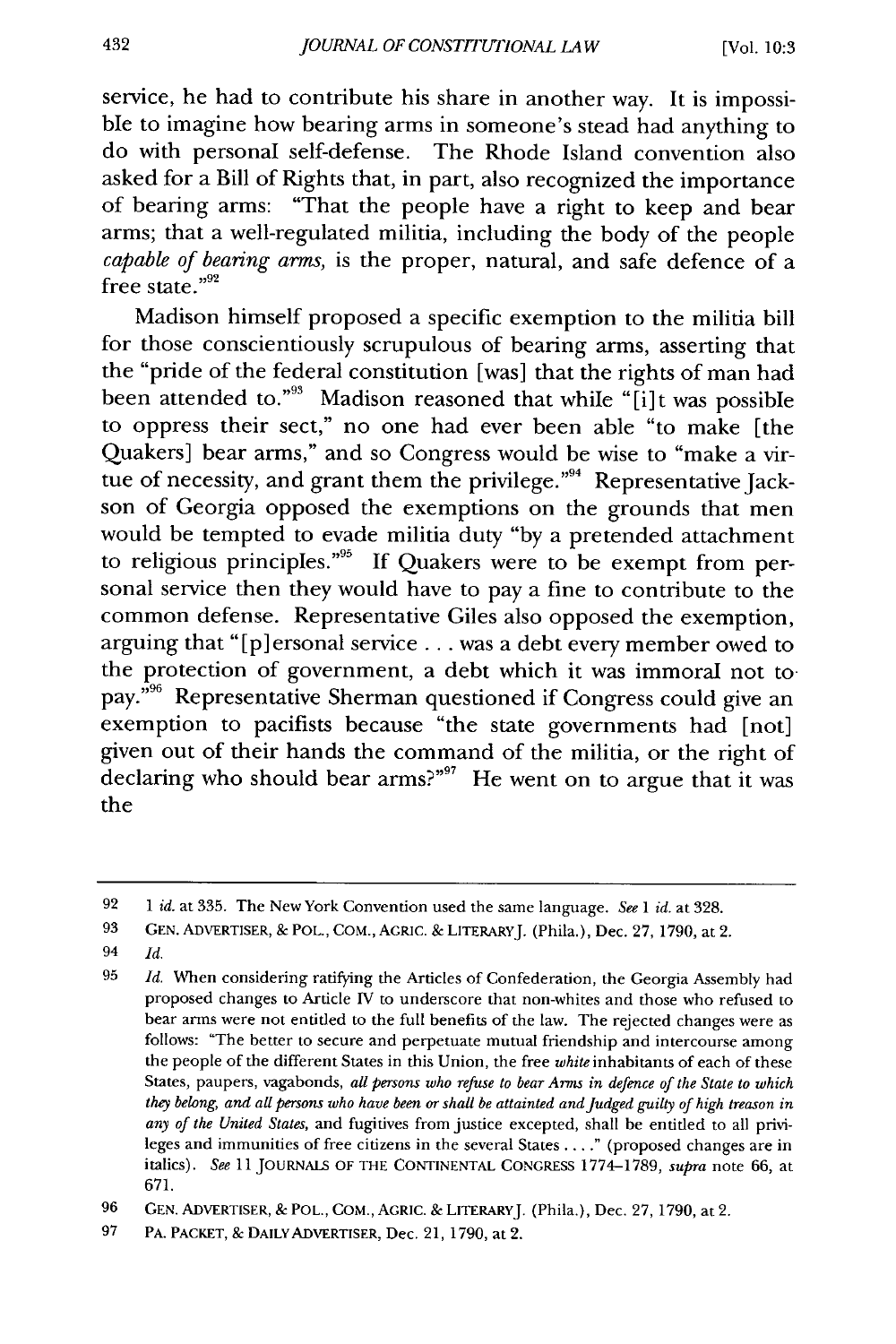service, he had to contribute his share in another way. It is impossible to imagine how bearing arms in someone's stead had anything to do with personal self-defense. The Rhode Island convention also asked for a Bill of Rights that, in part, also recognized the importance of bearing arms: "That the people have a right to keep and bear arms; that a well-regulated militia, including the body of the people *capable of bearing arms,* is the proper, natural, and safe defence of a free state. $^{\prime\prime92}$ 

Madison himself proposed a specific exemption to the militia bill for those conscientiously scrupulous of bearing arms, asserting that the "pride of the federal constitution [was] that the rights of man had been attended to."<sup>93</sup> Madison reasoned that while "[i]t was possible to oppress their sect," no one had ever been able "to make [the Quakers] bear arms," and so Congress would be wise to "make a virtue of necessity, and grant them the privilege."<sup>94</sup> Representative Jackson of Georgia opposed the exemptions on the grounds that men would be tempted to evade militia duty "by a pretended attachment to religious principles."<sup>95</sup> If Quakers were to be exempt from personal service then they would have to pay a fine to contribute to the common defense. Representative Giles also opposed the exemption, arguing that "[p] ersonal service... was a debt every member owed to the protection of government, a debt which it was immoral not to pay."<sup>96</sup> Representative Sherman questioned if Congress could give an exemption to pacifists because "the state governments had [not] given out of their hands the command of the militia, or the right of declaring who should bear arms?"<sup>97</sup> He went on to argue that it was the

94 *Id.*

<sup>92</sup> *1 id.* at 335. The New York Convention used the same language. *See l id.* at 328.

**<sup>93</sup> GEN.** ADVERTISER, & POL., COM., **AGRIC.** & LITERARYJ. (Phila.), Dec. 27, 1790, at 2.

<sup>95</sup>*Id.* When considering ratifying the Articles of Confederation, the Georgia Assembly had proposed changes to Article IV to underscore that non-whites and those who refused to bear arms were not entitled to the full benefits of the law. The rejected changes were as follows: "The better to secure and perpetuate mutual friendship and intercourse among the people of the different States in this Union, the free *white* inhabitants of each of these States, paupers, vagabonds, *all persons who refuse to bear Arms in defence of the State to which they belong, and all persons who have been or shall be attainted and Judged guilty of high treason in any of the United States,* and fugitives from justice excepted, shall be entitled to all privileges and immunities of free citizens in the several States .... " (proposed changes are in italics). *See* 11 **JOURNALS OF** THE CONTINENTAL CONGRESS 1774-1789, *supra* note 66, at 671.

<sup>96</sup> GEN. ADVERTISER, & POL., COM., AGRIC. & LITERARYJ. (Phila.), Dec. 27, 1790, at 2.

<sup>97</sup> PA. PACKET, & DAILY ADVERTISER, Dec. 21, 1790, at 2.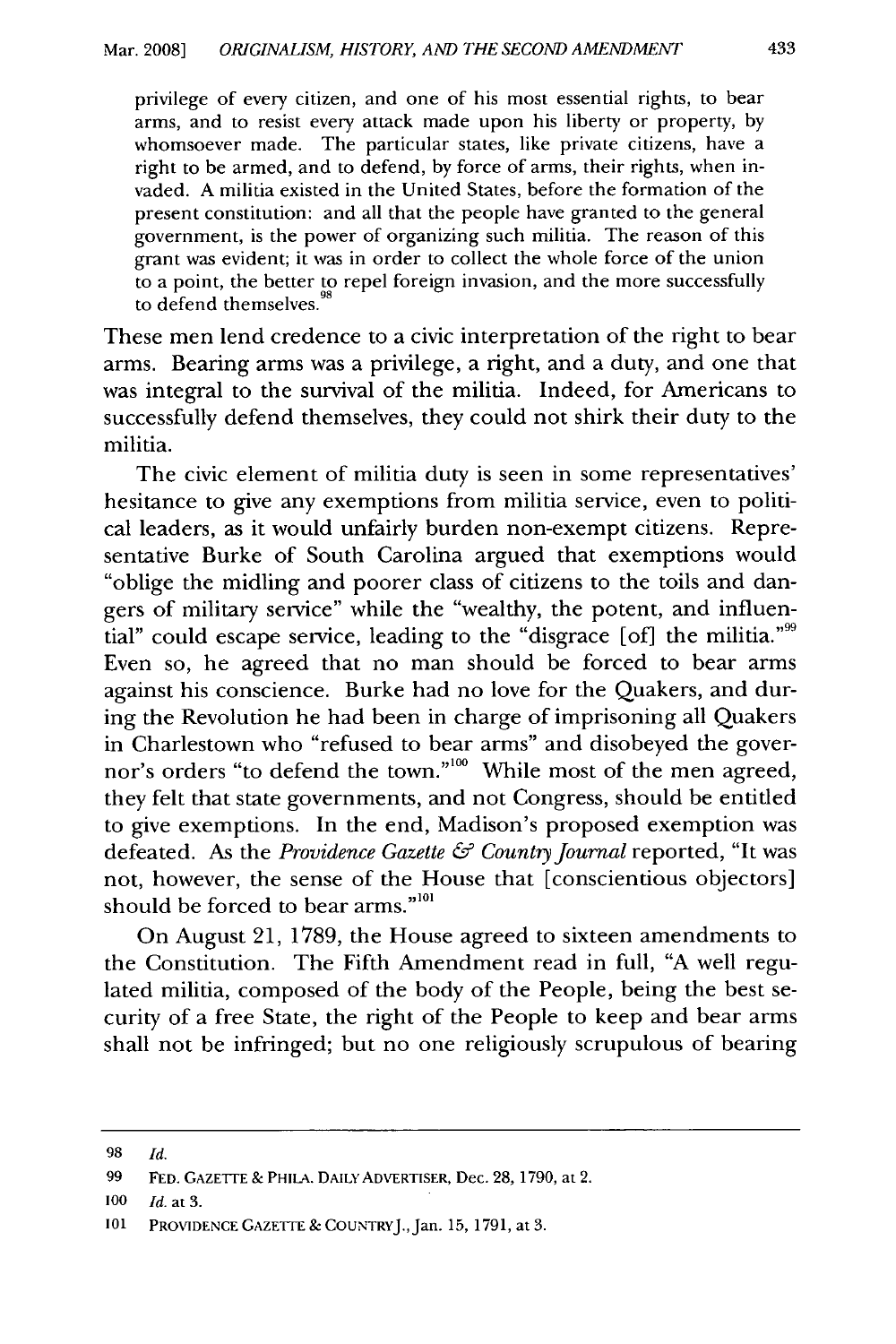privilege of every citizen, and one of his most essential rights, to bear arms, and to resist every attack made upon his liberty or property, by whomsoever made. The particular states, like private citizens, have a right to be armed, and to defend, by force of arms, their rights, when invaded. A militia existed in the United States, before the formation of the present constitution: and all that the people have granted to the general government, is the power of organizing such militia. The reason of this grant was evident; it was in order to collect the whole force of the union to a point, the better to repel foreign invasion, and the more successfully to defend themselves. "

These men lend credence to a civic interpretation of the right to bear arms. Bearing arms was a privilege, a right, and a duty, and one that was integral to the survival of the militia. Indeed, for Americans to successfully defend themselves, they could not shirk their duty to the militia.

The civic element of militia duty is seen in some representatives' hesitance to give any exemptions from militia service, even to political leaders, as it would unfairly burden non-exempt citizens. Representative Burke of South Carolina argued that exemptions would "oblige the midling and poorer class of citizens to the toils and dangers of military service" while the "wealthy, the potent, and influential" could escape service, leading to the "disgrace [of] the militia."99 Even so, he agreed that no man should be forced to bear arms against his conscience. Burke had no love for the Quakers, and during the Revolution he had been in charge of imprisoning all Quakers in Charlestown who "refused to bear arms" and disobeyed the governor's orders "to defend the town."<sup>100</sup> While most of the men agreed, they felt that state governments, and not Congress, should be entitled to give exemptions. In the end, Madison's proposed exemption was defeated. As the *Providence Gazette & Country Journal* reported, "It was not, however, the sense of the House that [conscientious objectors] should be forced to bear arms."<sup>101</sup>

On August 21, 1789, the House agreed to sixteen amendments to the Constitution. The Fifth Amendment read in full, "A well regulated militia, composed of the body of the People, being the best security of a free State, the right of the People to keep and bear arms shall not be infringed; but no one religiously scrupulous of bearing

**<sup>98</sup>** *Id.*

**<sup>99</sup> FED. GAZETrE &** PHILA. **DAILY** ADVERTISER, Dec. 28, 1790, at 2.

**<sup>100</sup>** *Id.* at **3.**

**<sup>101</sup>** PROVIDENCE **GAZETTE &** COUNTRYJ.,Jan. **15,** 1791, at3.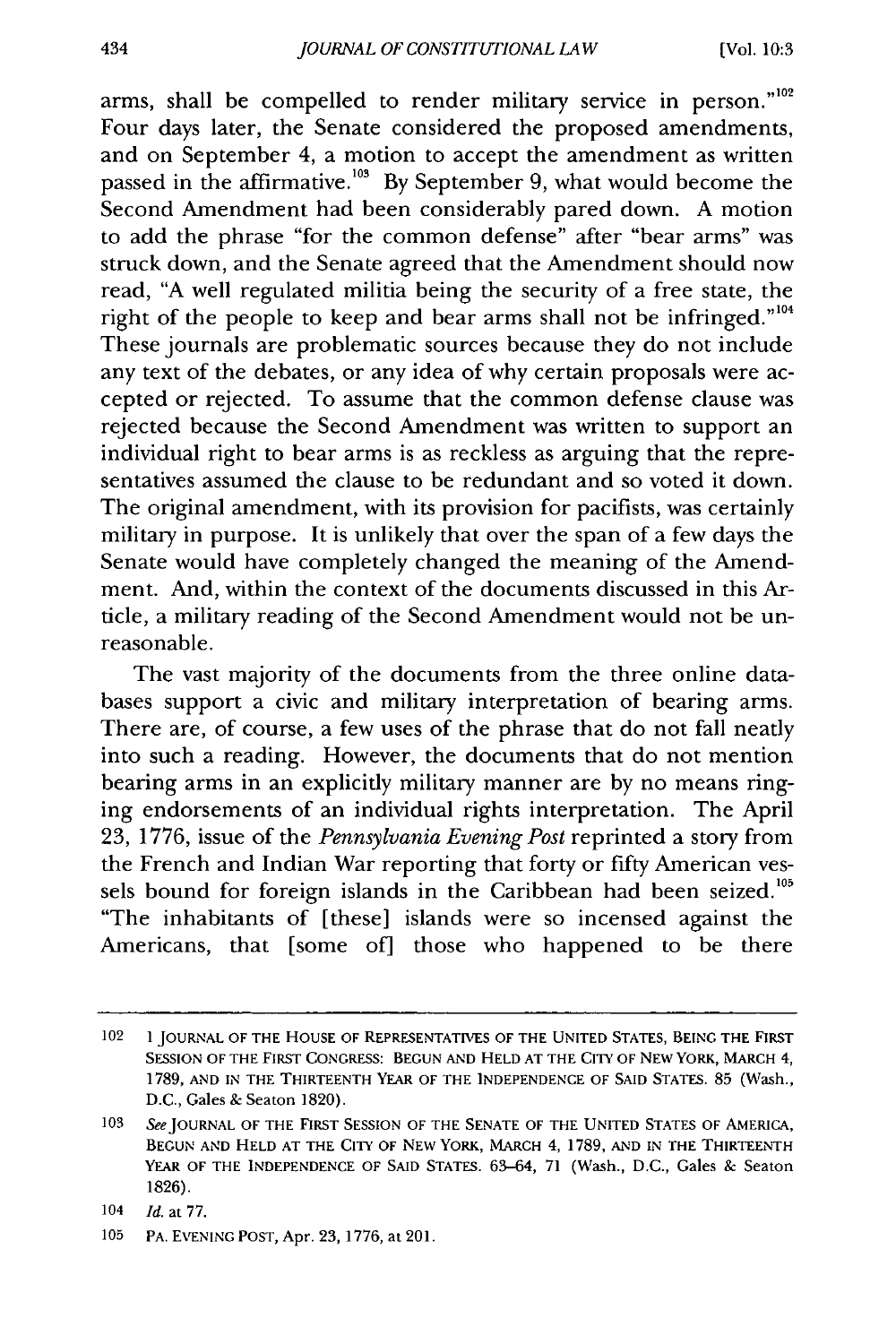arms, shall be compelled to render military service in person."<sup>102</sup> Four days later, the Senate considered the proposed amendments, and on September 4, a motion to accept the amendment as written passed in the affirmative.<sup>103</sup> By September 9, what would become the Second Amendment had been considerably pared down. A motion to add the phrase "for the common defense" after "bear arms" was struck down, and the Senate agreed that the Amendment should now read, "A well regulated militia being the security of a free state, the right of the people to keep and bear arms shall not be infringed."<sup>104</sup> These journals are problematic sources because they do not include any text of the debates, or any idea of why certain proposals were accepted or rejected. To assume that the common defense clause was rejected because the Second Amendment was written to support an individual right to bear arms is as reckless as arguing that the representatives assumed the clause to be redundant and so voted it down. The original amendment, with its provision for pacifists, was certainly military in purpose. It is unlikely that over the span of a few days the Senate would have completely changed the meaning of the Amendment. And, within the context of the documents discussed in this Article, a military reading of the Second Amendment would not be unreasonable.

The vast majority of the documents from the three online databases support a civic and military interpretation of bearing arms. There are, of course, a few uses of the phrase that do not fall neatly into such a reading. However, the documents that do not mention bearing arms in an explicitly military manner are by no means ringing endorsements of an individual rights interpretation. The April 23, 1776, issue of the *Pennsylvania Evening Post* reprinted a story from the French and Indian War reporting that forty or fifty American vessels bound for foreign islands in the Caribbean had been seized.<sup>105</sup> "The inhabitants of [these] islands were so incensed against the Americans, that [some of] those who happened to be there

<sup>102</sup> **1** JOURNAL OF THE HOUSE OF REPRESENTATIVES OF THE UNITED STATES, BEING THE FIRST SESSION OF THE FIRST CONGRESS: BEGUN AND HELD AT THE CITY OF NEW YORK, MARCH 4, 1789, AND IN THE THIRTEENTH YEAR OF THE INDEPENDENCE OF SAID STATES. 85 (Wash., D.C., Gales & Seaton 1820).

<sup>103</sup> See JOURNAL OF THE FIRST SESSION OF THE SENATE OF THE UNITED STATES OF AMERICA, BEGUN **AND HELD** AT THE CITY OF **NEW** YORK, MARCH 4, 1789, **AND IN** THE THIRTEENTH YEAR OF THE INDEPENDENCE OF SAID STATES. 63-64, 71 (Wash., D.C., Gales & Seaton 1826).

<sup>104</sup> *Id.* at 77.

**<sup>105</sup>** PA. EVENING POST, Apr. 23, 1776, at 201.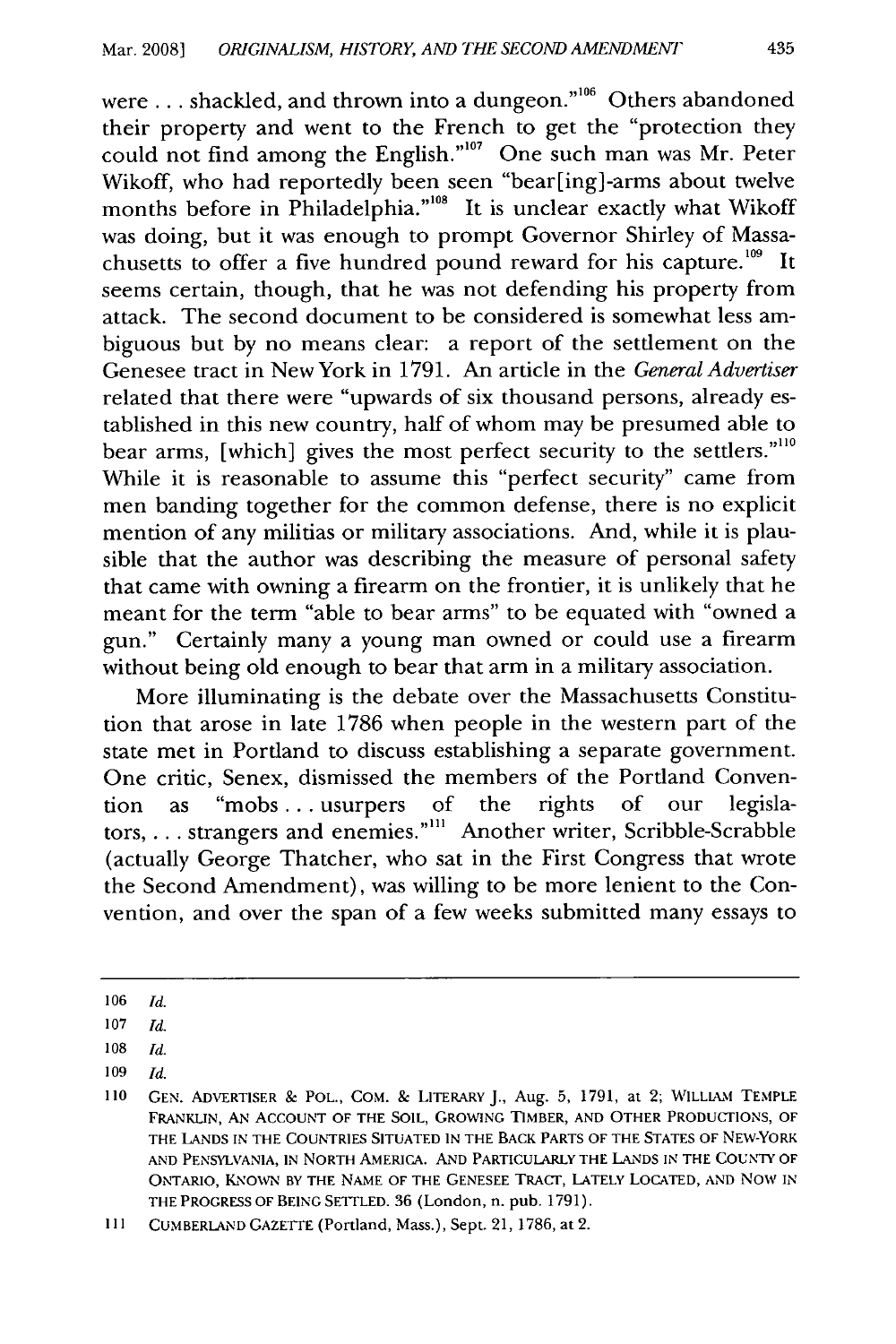were ... shackled, and thrown into a dungeon."<sup>106</sup> Others abandoned their property and went to the French to get the "protection they could not find among the English."<sup>107</sup> One such man was Mr. Peter Wikoff, who had reportedly been seen "bear[ing]-arms about twelve months before in Philadelphia."<sup>108</sup> It is unclear exactly what Wikoff was doing, but it was enough to prompt Governor Shirley of Massachusetts to offer a five hundred pound reward for his capture.<sup>109</sup> It seems certain, though, that he was not defending his property from attack. The second document to be considered is somewhat less ambiguous but by no means clear: a report of the settlement on the Genesee tract in New York in 1791. An article in the *General Advertiser* related that there were "upwards of six thousand persons, already established in this new country, half of whom may be presumed able to bear arms, [which] gives the most perfect security to the settlers."<sup>110</sup> While it is reasonable to assume this "perfect security" came from men banding together for the common defense, there is no explicit mention of any militias or military associations. And, while it is plausible that the author was describing the measure of personal safety that came with owning a firearm on the frontier, it is unlikely that he meant for the term "able to bear arms" to be equated with "owned a gun." Certainly many a young man owned or could use a firearm without being old enough to bear that arm in a military association.

More illuminating is the debate over the Massachusetts Constitution that arose in late 1786 when people in the western part of the state met in Portland to discuss establishing a separate government. One critic, Senex, dismissed the members of the Portland Convention as "mobs... usurpers of the rights of our legislators,... strangers and enemies.""' Another writer, Scribble-Scrabble (actually George Thatcher, who sat in the First Congress that wrote the Second Amendment), was willing to be more lenient to the Convention, and over the span of a few weeks submitted many essays to

<sup>106</sup>*Id.*

**<sup>107</sup>***Id.*

**<sup>108</sup>** *Id.*

<sup>109</sup> *Id.*

<sup>110</sup> GEN. ADVERTISER & POL., COM. & LITERARY J., Aug. 5, 1791, at 2; WILLIAM TEMPLE FRANKLIN, AN ACCOUNT OF THE **SOIL,** GROWING TIMBER, AND OTHER PRODUCTIONS, OF THE LANDS IN THE COUNTRIES SITUATED IN THE BACK PARTS OF THE STATES OF NEW-YORK AND PENSYLVANIA, IN NORTH AMERICA. AND PARTICULARLY THE **LANDS** IN THE COUNTY OF ONTARIO, **KNOWN** BY THE NAME OF THE GENESEE TRACT, LATELY LOCATED, AND NOW IN THE PROGRESS OF BEING SETTLED. 36 (London, n. pub. 1791).

**Ill** CUMBERLAND GAZETrE (Portland, Mass.), Sept. 21, 1786, at 2.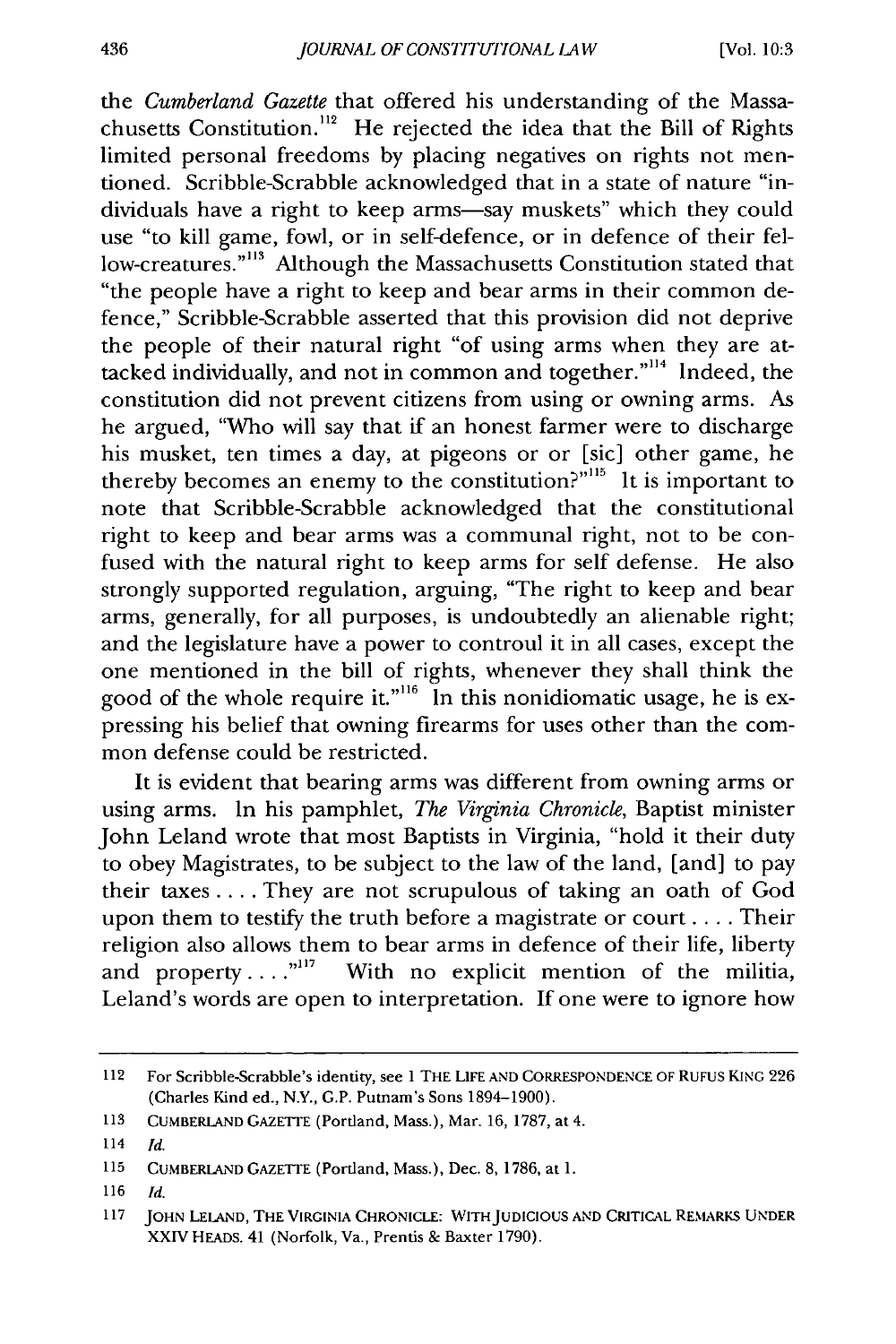the *Cumberland Gazette* that offered his understanding of the Massachusetts Constitution.<sup>112</sup> He rejected the idea that the Bill of Rights limited personal freedoms by placing negatives on rights not mentioned. Scribble-Scrabble acknowledged that in a state of nature "individuals have a right to keep arms-say muskets" which they could use "to kill game, fowl, or in self-defence, or in defence of their fellow-creatures."<sup>113</sup> Although the Massachusetts Constitution stated that "the people have a right to keep and bear arms in their common defence," Scribble-Scrabble asserted that this provision did not deprive the people of their natural right "of using arms when they are attacked individually, and not in common and together."<sup>114</sup> Indeed, the constitution did not prevent citizens from using or owning arms. As he argued, "Who will say that if an honest farmer were to discharge his musket, ten times a day, at pigeons or or [sic] other game, he thereby becomes an enemy to the constitution?"<sup>115</sup> It is important to note that Scribble-Scrabble acknowledged that the constitutional right to keep and bear arms was a communal right, not to be confused with the natural right to keep arms for self defense. He also strongly supported regulation, arguing, "The right to keep and bear arms, generally, for all purposes, is undoubtedly an alienable right; and the legislature have a power to controul it in all cases, except the one mentioned in the bill of rights, whenever they shall think the good of the whole require it."<sup>116</sup> In this nonidiomatic usage, he is expressing his belief that owning firearms for uses other than the common defense could be restricted.

It is evident that bearing arms was different from owning arms or using arms. In his pamphlet, *The Virginia Chronicle,* Baptist minister John Leland wrote that most Baptists in Virginia, "hold it their duty to obey Magistrates, to be subject to the law of the land, [and] to pay their taxes .... They are not scrupulous of taking an oath of God upon them to testify the truth before a magistrate or court **....** Their religion also allows them to bear arms in defence of their life, liberty and property ....<sup>"117</sup> With no explicit mention of the militia, Leland's words are open to interpretation. If one were to ignore how

**116** *Id.*

<sup>112</sup> For Scribble-Scrabble's identity, see **1** THE LIFE **AND CORRESPONDENCE** OF RUFUS **KING** 226 (Charles Kind ed., N.Y., G.P. Putnam's Sons 1894-1900).

**<sup>113</sup> CUMBERLAND** GAZETTE (Portland, Mass.), Mar. 16, 1787, at 4.

<sup>114</sup> Id.

**<sup>115</sup> CUMBERLAND** GAZETIE (Portland, Mass.), Dec. 8, 1786, at 1.

**<sup>117</sup> JOHN LELAND, THE** VIRGINIA CHRONICLE: **WITHJUDICIOUS AND** CRITICAL **REMARKS UNDER** XXIV HEADS. 41 (Norfolk, Va., Prentis & Baxter 1790).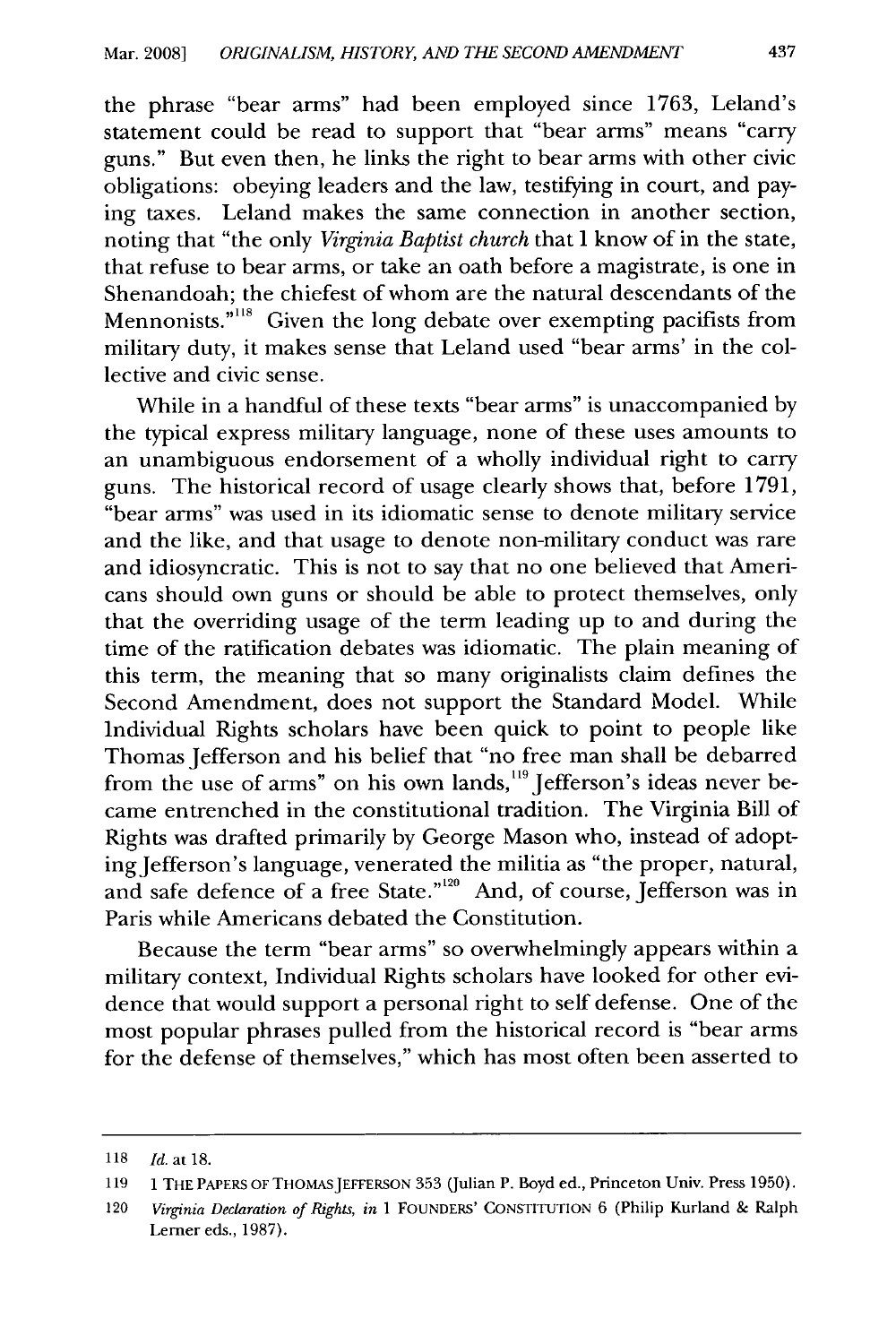the phrase "bear arms" had been employed since 1763, Leland's statement could be read to support that "bear arms" means "carry guns." But even then, he links the right to bear arms with other civic obligations: obeying leaders and the law, testifying in court, and paying taxes. Leland makes the same connection in another section, noting that "the only *Virginia Baptist church* that I know of in the state, that refuse to bear arms, or take an oath before a magistrate, is one in Shenandoah; the chiefest of whom are the natural descendants of the Mennonists."<sup>118</sup> Given the long debate over exempting pacifists from military duty, it makes sense that Leland used "bear arms' in the collective and civic sense.

While in a handful of these texts "bear arms" is unaccompanied by the typical express military language, none of these uses amounts to an unambiguous endorsement of a wholly individual right to carry guns. The historical record of usage clearly shows that, before 1791, "bear arms" was used in its idiomatic sense to denote military service and the like, and that usage to denote non-military conduct was rare and idiosyncratic. This is not to say that no one believed that Americans should own guns or should be able to protect themselves, only that the overriding usage of the term leading up to and during the time of the ratification debates was idiomatic. The plain meaning of this term, the meaning that so many originalists claim defines the Second Amendment, does not support the Standard Model. While Individual Rights scholars have been quick to point to people like Thomas Jefferson and his belief that "no free man shall be debarred from the use of arms" on his own lands,<sup>119</sup> Jefferson's ideas never became entrenched in the constitutional tradition. The Virginia Bill of Rights was drafted primarily by George Mason who, instead of adopting Jefferson's language, venerated the militia as "the proper, natural, and safe defence of a free State."<sup>120</sup> And, of course, Jefferson was in Paris while Americans debated the Constitution.

Because the term "bear arms" so overwhelmingly appears within a military context, Individual Rights scholars have looked for other evidence that would support a personal right to self defense. One of the most popular phrases pulled from the historical record is "bear arms for the defense of themselves," which has most often been asserted to

<sup>118</sup> Id. at 18.

<sup>119 1</sup> THE PAPERS OF THOMASJEFFERSON 353 (Julian P. Boyd ed., Princeton Univ. Press 1950).

<sup>120</sup> *Virginia Declaration of Rights, in* 1 FOUNDERS' CONSTITUTION 6 (Philip Kurland & Ralph Lerner eds., 1987).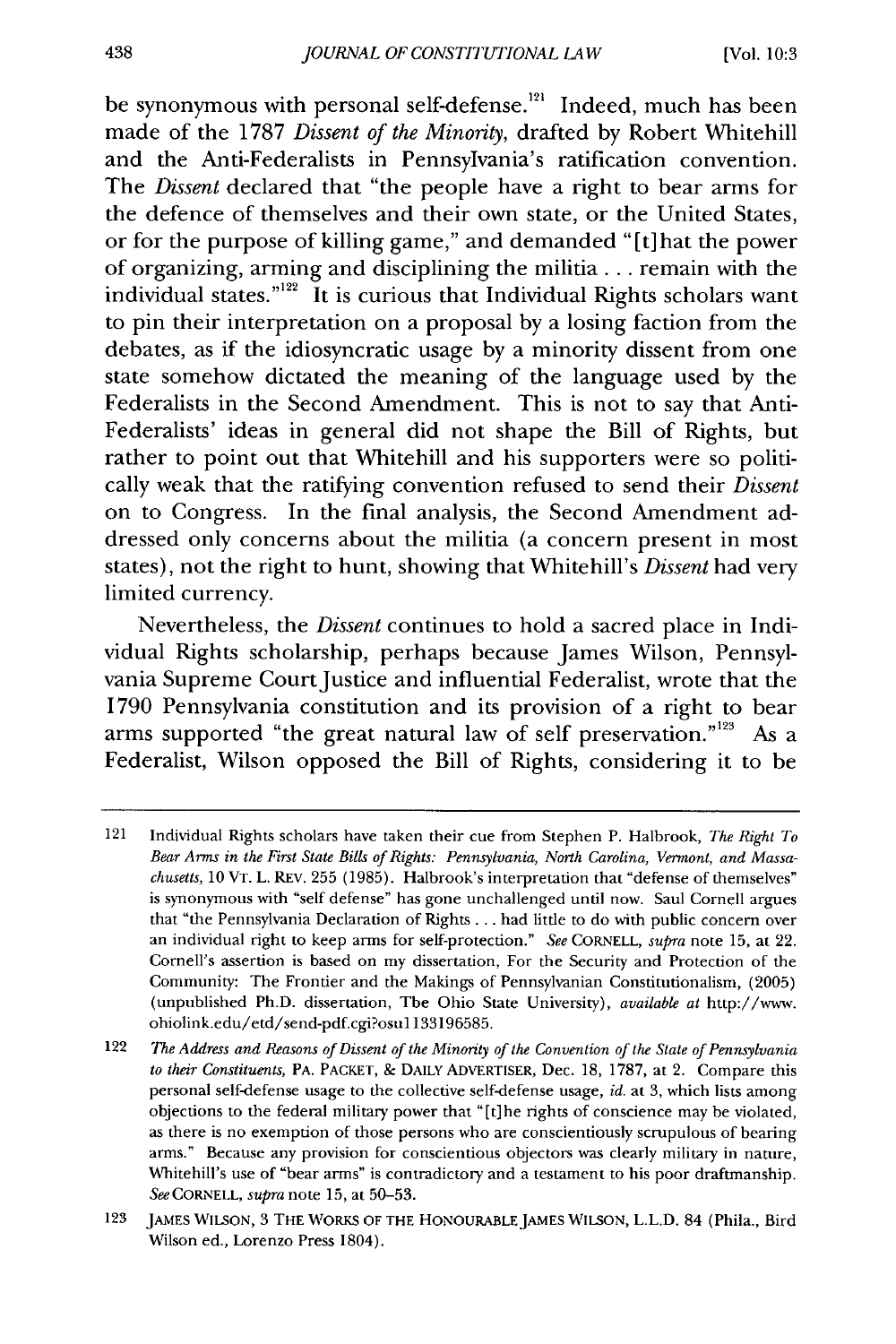be synonymous with personal self-defense.<sup>121</sup> Indeed, much has been made of the 1787 *Dissent of the Minority,* drafted by Robert Whitehill and the Anti-Federalists in Pennsylvania's ratification convention. The *Dissent* declared that "the people have a right to bear arms for the defence of themselves and their own state, or the United States, or for the purpose of killing game," and demanded "[t] hat the power of organizing, arming and disciplining the militia **...** remain with the individual states."<sup>122</sup> It is curious that Individual Rights scholars want to pin their interpretation on a proposal by a losing faction from the debates, as if the idiosyncratic usage by a minority dissent from one state somehow dictated the meaning of the language used by the Federalists in the Second Amendment. This is not to say that Anti-Federalists' ideas in general did not shape the Bill of Rights, but rather to point out that Whitehill and his supporters were so politically weak that the ratifying convention refused to send their *Dissent* on to Congress. In the final analysis, the Second Amendment addressed only concerns about the militia (a concern present in most states), not the right to hunt, showing that Whitehill's *Dissent* had very limited currency.

Nevertheless, the *Dissent* continues to hold a sacred place in Individual Rights scholarship, perhaps because James Wilson, Pennsylvania Supreme Court Justice and influential Federalist, wrote that the 1790 Pennsylvania constitution and its provision of a right to bear arms supported "the great natural law of self preservation."<sup>123</sup> As a Federalist, Wilson opposed the Bill of Rights, considering it to be

<sup>121</sup> Individual Rights scholars have taken their cue from Stephen P. Halbrook, *The Right To Bear Arms in the First State Bills of Rights: Pennsylvania, North Carolina, Vermont, and Massachusetts,* 10 VT. L. REV. 255 (1985). Halbrook's interpretation that "defense of themselves" is synonymous with "self defense" has gone unchallenged until now. Saul Cornell argues that "the Pennsylvania Declaration of Rights ... had little to do with public concern over an individual right to keep arms for self-protection." *See* CORNELL, *supra* note 15, at 22. Cornell's assertion is based on my dissertation, For the Security and Protection of the Community: The Frontier and the Makings of Pennsylvanian Constitutionalism, (2005) (unpublished Ph.D. dissertation, The Ohio State University), *available at* http://www. ohiolink.edu/etd/send-pdf.cgi?osu 1133196585.

<sup>122</sup> *The Address and Reasons of Dissent of the Minority of the Convention of the State of Pennsylvania to their Constituents,* PA. PACKET, **&** DAILY ADVERTISER, Dec. 18, 1787, at 2. Compare this personal self-defense usage to the collective self-defense usage, *id.* at 3, which lists among objections to the federal military power that "[t]he rights of conscience may be violated, as there is no exemption of those persons who are conscientiously scrupulous of bearing arms." Because any provision for conscientious objectors was clearly military in nature, Whitehill's use of "bear arms" is contradictory and a testament to his poor draftmanship. *See* CORNELL, *supra* note 15, at 50-53.

**<sup>123</sup> JAMES WILSON,** 3 THE WORKS OF THE **HONOURABLEJAMES WILSON,** L.L.D. 84 (Phila., Bird Wilson ed., Lorenzo Press 1804).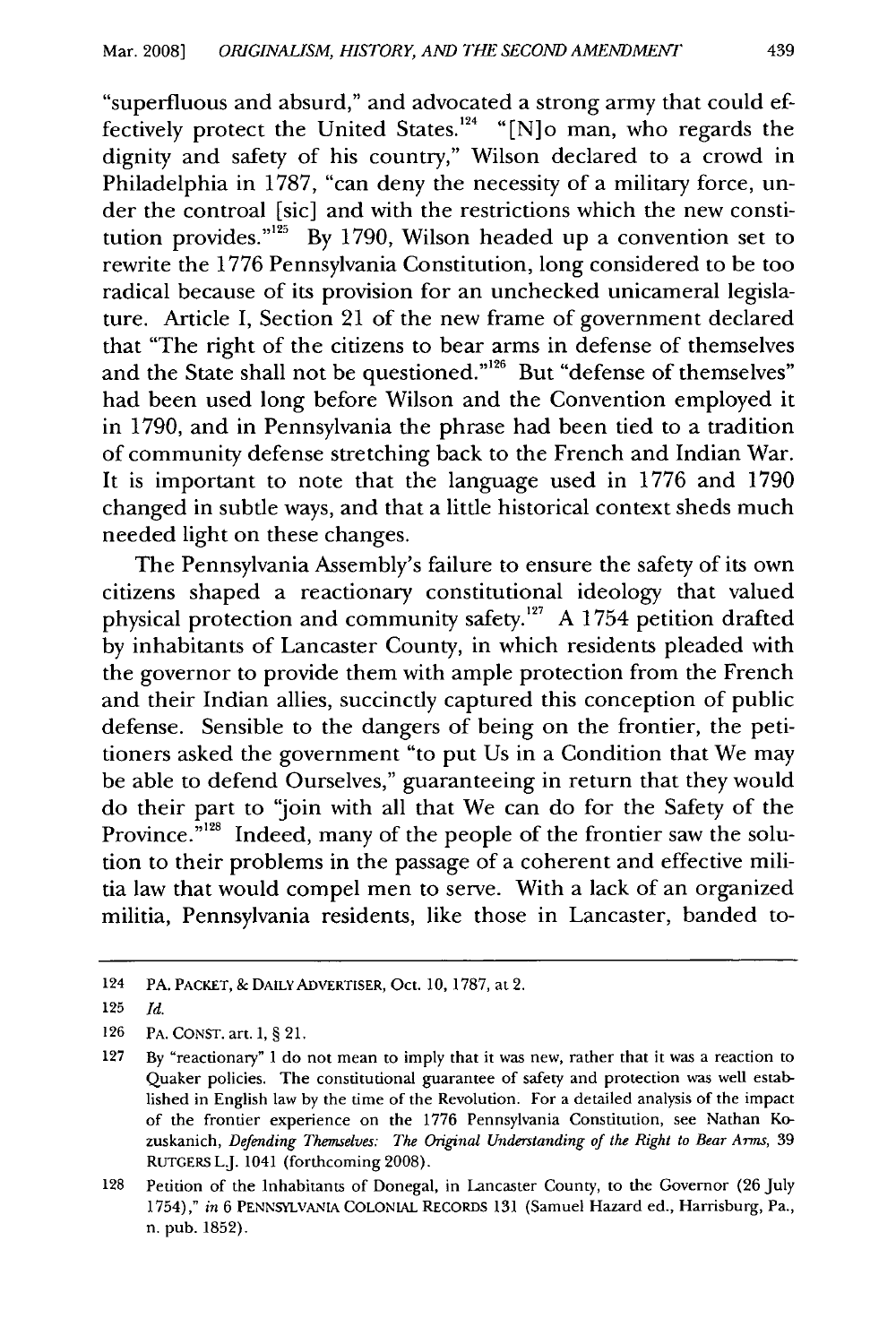"superfluous and absurd," and advocated a strong army that could effectively protect the United States.<sup>124</sup> "[N]o man, who regards the dignity and safety of his country," Wilson declared to a crowd in Philadelphia in 1787, "can deny the necessity of a military force, under the controal [sic] and with the restrictions which the new constitution provides."<sup>125</sup> By 1790, Wilson headed up a convention set to rewrite the 1776 Pennsylvania Constitution, long considered to be too radical because of its provision for an unchecked unicameral legislature. Article I, Section 21 of the new frame of government declared that "The right of the citizens to bear arms in defense of themselves and the State shall not be questioned."<sup>126</sup> But "defense of themselves" had been used long before Wilson and the Convention employed it in 1790, and in Pennsylvania the phrase had been tied to a tradition of community defense stretching back to the French and Indian War. It is important to note that the language used in 1776 and 1790 changed in subtle ways, and that a little historical context sheds much needed light on these changes.

The Pennsylvania Assembly's failure to ensure the safety of its own citizens shaped a reactionary constitutional ideology that valued physical protection and community safety.<sup>127</sup> A 1754 petition drafted by inhabitants of Lancaster County, in which residents pleaded with the governor to provide them with ample protection from the French and their Indian allies, succinctly captured this conception of public defense. Sensible to the dangers of being on the frontier, the petitioners asked the government "to put Us in a Condition that We may be able to defend Ourselves," guaranteeing in return that they would do their part to 'join with all that We can do for the Safety of the Province.<sup>5128</sup> Indeed, many of the people of the frontier saw the solution to their problems in the passage of a coherent and effective militia law that would compel men to serve. With a lack of an organized militia, Pennsylvania residents, like those in Lancaster, banded to-

<sup>124</sup> PA. PACKET, & DAILYADVERTISER, Oct. 10, 1787, at 2.

<sup>125</sup> *Id.*

<sup>126</sup> PA. CONST. art. I, § 21.

<sup>127</sup> By "reactionary" I do not mean to imply that it was new, rather that it was a reaction to Quaker policies. The constitutional guarantee of safety and protection was well established in English law by the time of the Revolution. For a detailed analysis of the impact of the frontier experience on the 1776 Pennsylvania Constitution, see Nathan Kozuskanich, *Defending Themselves: The Original Understanding of the Right to Bear Arms,* 39 RUTGERS LJ. 1041 (forthcoming 2008).

<sup>128</sup> Petition of the Inhabitants of Donegal, in Lancaster County, to the Governor (26 July 1754)," *in* 6 PENNSYLVANIA COLONIAL RECoRDS 131 (Samuel Hazard ed., Harrisburg, Pa., n. pub. 1852).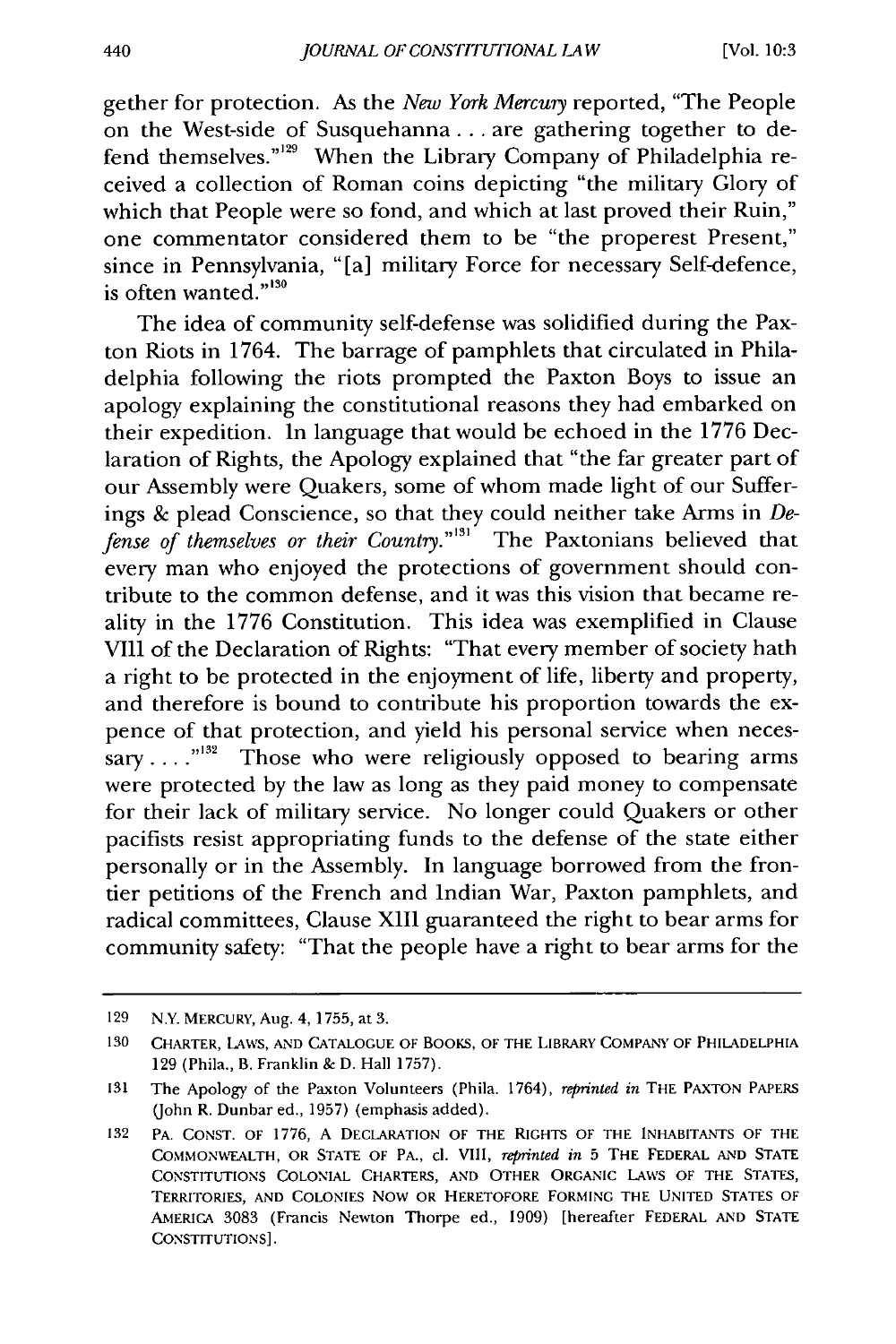gether for protection. As the *New York Mercury* reported, "The People on the West-side of Susquehanna... are gathering together to defend themselves."<sup>129</sup> When the Library Company of Philadelphia received a collection of Roman coins depicting "the military Glory of which that People were so fond, and which at last proved their Ruin," one commentator considered them to be "the properest Present," since in Pennsylvania, "[a] military Force for necessary Self-defence, is often wanted."<sup>130</sup>

The idea of community self-defense was solidified during the Paxton Riots in 1764. The barrage of pamphlets that circulated in Philadelphia following the riots prompted the Paxton Boys to issue an apology explaining the constitutional reasons they had embarked on their expedition. In language that would be echoed in the 1776 Declaration of Rights, the Apology explained that "the far greater part of our Assembly were Quakers, some of whom made light of our Sufferings & plead Conscience, so that they could neither take Arms in  $De$ fense *of themselves or their Country."''* The Paxtonians believed that every man who enjoyed the protections of government should contribute to the common defense, and it was this vision that became reality in the 1776 Constitution. This idea was exemplified in Clause VIII of the Declaration of Rights: "That every member of society hath a right to be protected in the enjoyment of life, liberty and property, and therefore is bound to contribute his proportion towards the expence of that protection, and yield his personal service when necessary ....<sup>"132</sup> Those who were religiously opposed to bearing arms were protected by the law as long as they paid money to compensate for their lack of military service. No longer could Quakers or other pacifists resist appropriating funds to the defense of the state either personally or in the Assembly. In language borrowed from the frontier petitions of the French and Indian War, Paxton pamphlets, and radical committees, Clause XIII guaranteed the right to bear arms for community safety: "That the people have a right to bear arms for the

**<sup>129</sup>** N.Y. MERCURY, Aug. 4, 1755, at 3.

**<sup>130</sup>** CHARTER, **LAWS, AND CATALOGUE** OF BOOKS, OF THE LIBRARY COMPANY OF PHILADELPHIA 129 (Phila., B. Franklin & D. Hall 1757).

**<sup>131</sup>**The Apology of the Paxton Volunteers (Phila. 1764), *reprinted in* THE **PAXTON** PAPERS (John R. Dunbar ed., 1957) (emphasis added).

**<sup>132</sup>** PA. **CONST.** OF **1776, A DECLARATION** OF THE RIGHTS OF THE **INHABITANTS** OF THE **COMMONWEALTH, OR STATE OF** PA., **cl.** VIII, *reprinted in* 5 **THE** FEDERAL **AND STATE CONSTITUTIONS COLONIAL** CHARTERS, **AND** OTHER ORGANIC **LAWS** OF THE **STATES,** TERRITORIES, **AND** COLONIES NOW OR HERETOFORE FORMING THE **UNITED STATES** OF AMERICA 3083 (Francis Newton Thorpe ed., 1909) [hereafter FEDERAL **AND STATE** CONSTITUTIONS].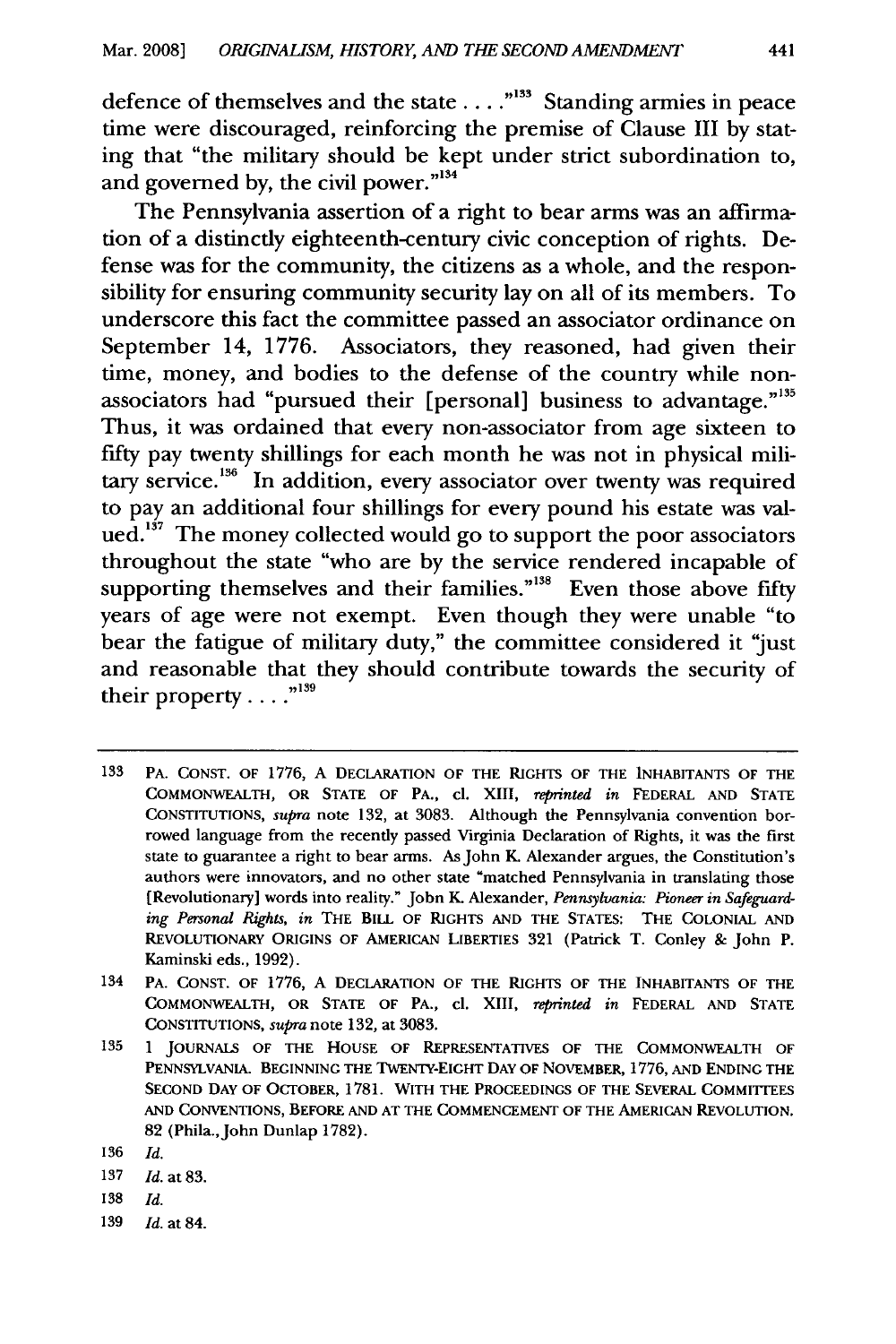defence of themselves and the state . . . ."<sup>133</sup> Standing armies in peace time were discouraged, reinforcing the premise of Clause III by stating that "the military should be kept under strict subordination to, and governed by, the civil power."<sup>134</sup>

The Pennsylvania assertion of a right to bear arms was an affirmation of a distinctly eighteenth-century civic conception of rights. Defense was for the community, the citizens as a whole, and the responsibility for ensuring community security lay on all of its members. To underscore this fact the committee passed an associator ordinance on September 14, 1776. Associators, they reasoned, had given their time, money, and bodies to the defense of the country while nonassociators had "pursued their [personal] business to advantage."<sup>135</sup> Thus, it was ordained that every non-associator from age sixteen to fifty pay twenty shillings for each month he was not in physical military service.<sup>136</sup> In addition, every associator over twenty was required to pay an additional four shillings for every pound his estate was valued.<sup>137</sup> The money collected would go to support the poor associators throughout the state "who are by the service rendered incapable of supporting themselves and their families."<sup>138</sup> Even those above fifty years of age were not exempt. Even though they were unable "to bear the fatigue of military duty," the committee considered it "just and reasonable that they should contribute towards the security of their property **....**

- **138** Id.
- 139 Id. at 84.

<sup>133</sup> PA. CONST. OF 1776, A DECLARATION OF THE RIGHTS OF THE INHABITANTS OF THE COMMONWEALTH, OR STATE OF PA., **cl.** XIII, reprinted in FEDERAL AND STATE CONSTITUTIONS, *supra* note 132, at 3083. Although the Pennsylvania convention borrowed language from the recently passed Virginia Declaration of Rights, it was the first state to guarantee a right to bear arms. As John K. Alexander argues, the Constitution's authors were innovators, and no other state "matched Pennsylvania in translating those [Revolutionary] words into reality." Jobn K. Alexander, Pennsylvania: Pioneer in Safeguarding Personal Rights, in THE BILL OF RIGHTS **AND** THE STATES: THE COLONIAL **AND** REVOLUTIONARY **ORIGINS** OF AMERICAN LIBERTIES **321** (Patrick T. Conley & John P. Kaminski eds., **1992).**

<sup>134</sup> PA. **CONST.** OF **1776,** A **DECLARATION** OF THE RIGHTS OF THE **INHABITANTS** OF THE COMMONWEALTH, OR STATE OF PA., **cl.** XIII, reprinted in FEDERAL **AND STATE** CONSTITUTIONS, supra note 132, at 3083.

**<sup>135</sup>** 1 JOURNALS OF THE HOUSE OF REPRESENTATIVES OF THE COMMONWEALTH OF PENNSYLVANIA. BEGINNING THE TWENTY-EIGHT **DAY** OF NOVEMBER, 1776, **AND** ENDING THE SECOND **DAY** OF OCTOBER, 1781. WITH THE PROCEEDINGS OF THE SEVERAL COMMITTEES AND CONVENTIONS, BEFORE AND AT THE COMMENCEMENT OF THE AMERICAN REVOLUTION. 82 (Phila., John Dunlap 1782).

<sup>136</sup> Id.

<sup>137</sup> Id. at 83.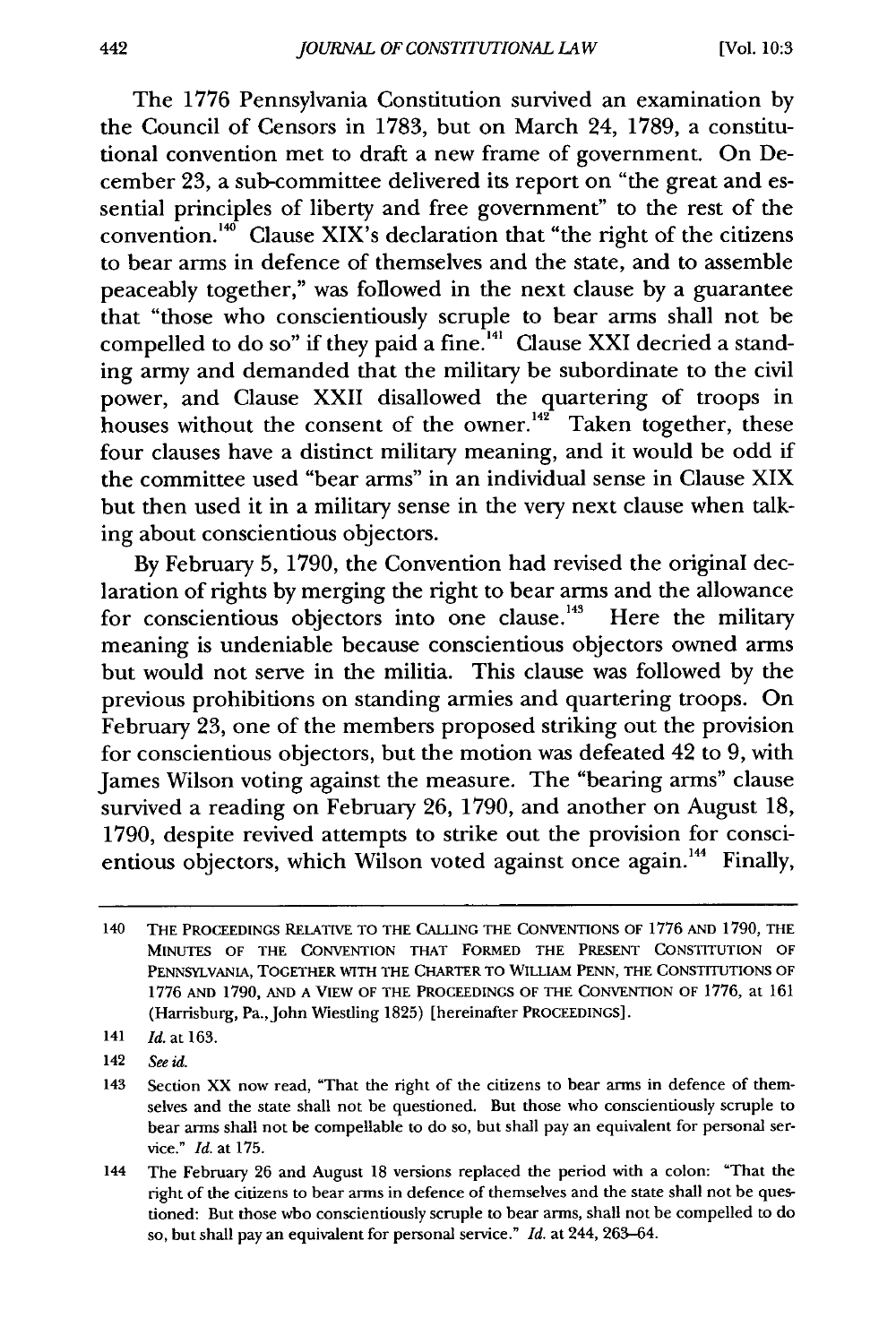The 1776 Pennsylvania Constitution survived an examination by the Council of Censors in 1783, but on March 24, 1789, a constitutional convention met to draft a new frame of government. On December 23, a sub-committee delivered its report on "the great and essential principles of liberty and free government" to the rest of the convention. $40^{\circ}$  Clause XIX's declaration that "the right of the citizens" to bear arms in defence of themselves and the state, and to assemble peaceably together," was followed in the next clause by a guarantee that "those who conscientiously scruple to bear arms shall not be compelled to do so" if they paid a fine.<sup>141</sup> Clause XXI decried a standing army and demanded that the military be subordinate to the civil power, and Clause XXII disallowed the quartering of troops in houses without the consent of the owner.<sup>142</sup> Taken together, these four clauses have a distinct military meaning, and it would be odd if the committee used "bear arms" in an individual sense in Clause XIX but then used it in a military sense in the very next clause when talking about conscientious objectors.

By February 5, 1790, the Convention had revised the original declaration of rights by merging the right to bear arms and the allowance for conscientious objectors into one clause.<sup>143</sup> Here the military meaning is undeniable because conscientious objectors owned arms but would not serve in the militia. This clause was followed by the previous prohibitions on standing armies and quartering troops. On February 23, one of the members proposed striking out the provision for conscientious objectors, but the motion was defeated 42 to 9, with James Wilson voting against the measure. The "bearing arms" clause survived a reading on February 26, 1790, and another on August 18, 1790, despite revived attempts to strike out the provision for conscientious objectors, which Wilson voted against once again.<sup>144</sup> Finally,

<sup>140</sup> THE PROCEEDINGS RELATIVE TO THE **CALLING** THE **CONVENTIONS** OF **1776 AND** 1790, THE **MINUTES** OF THE **CONVENTION** THAT FORMED THE **PRESENT CONSTITUTION** OF **PENNSYLVANIA,** TOGETHER **WITH** THE CHARTER TO WILLIAM **PENN,** THE **CONSTITUTIONS** OF **1776 AND 1790, AND A** VIEW OF THE PROCEEDINGS OF THE **CONVENTION** OF **1776,** at **161** (Harrisburg, Pa.,John Wiestling **1825)** [hereinafter **PROCEEDINGS].**

<sup>141</sup> *Id.* at **163.**

<sup>142</sup> *See id.*

<sup>143</sup> Section XX now read, "That the right of the citizens to bear arms in defence of themselves and the state shall not be questioned. But those who conscientiously scruple to bear arms shall not be compellable to do so, but shall pay an equivalent for personal service." *Id.* at 175.

<sup>144</sup> The February 26 and August 18 versions replaced the period with a colon: "That the right of the citizens to bear arms in defence of themselves and the state shall not be questioned: But those who conscientiously scruple to bear arms, shall not be compelled to do so, but shall pay an equivalent for personal service." *Id.* at 244, 263-64.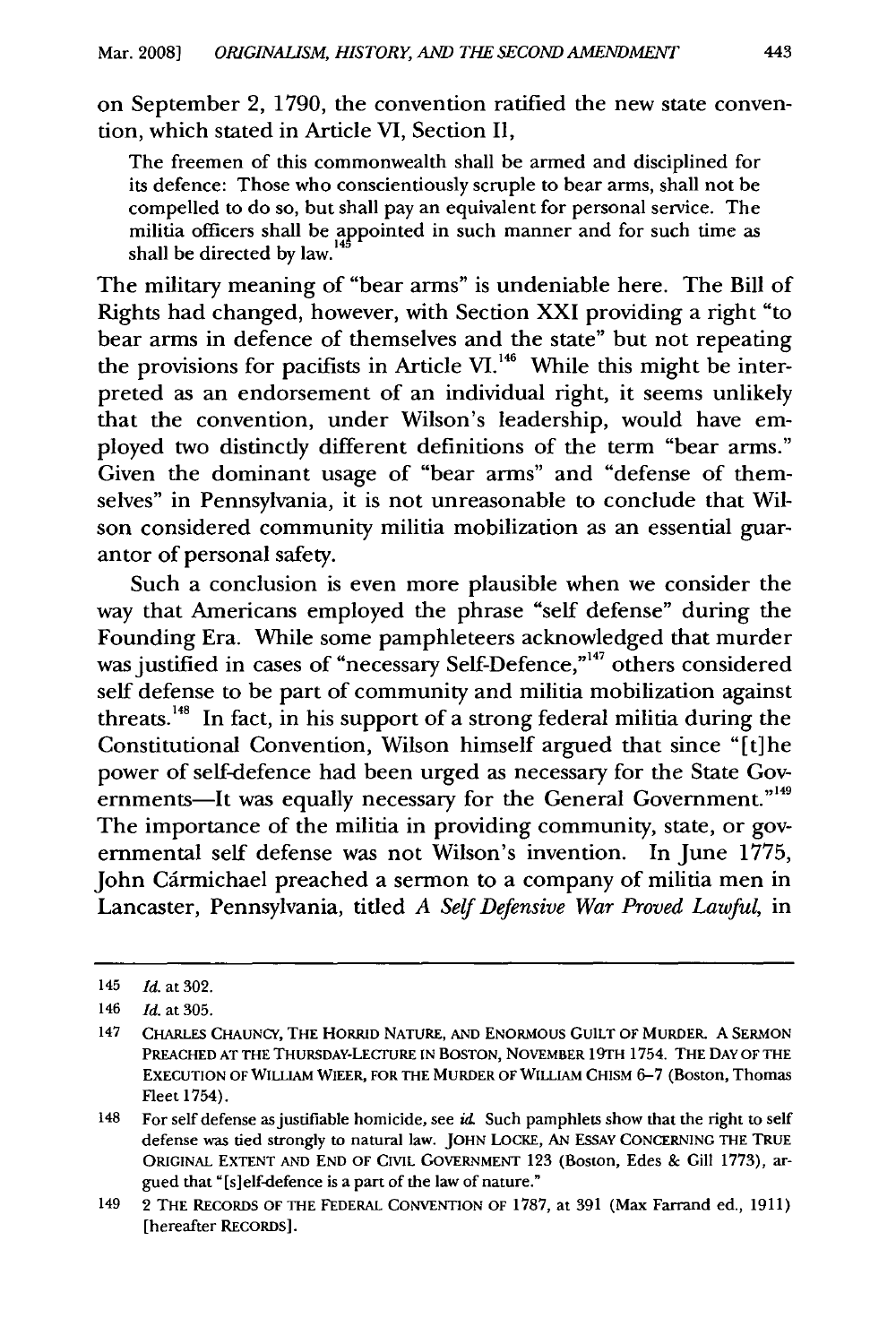on September 2, 1790, the convention ratified the new state convention, which stated in Article VI, Section II,

The freemen of this commonwealth shall be armed and disciplined for its defence: Those who conscientiously scruple to bear arms, shall not be compelled to do so, but shall pay an equivalent for personal service. The militia officers shall be appointed in such manner and for such time as shall be directed by law.

The military meaning of "bear arms" is undeniable here. The Bill of Rights had changed, however, with Section XXI providing a right "to bear arms in defence of themselves and the state" but not repeating the provisions for pacifists in Article VI.<sup>146</sup> While this might be interpreted as an endorsement of an individual right, it seems unlikely that the convention, under Wilson's leadership, would have employed two distinctly different definitions of the term "bear arms." Given the dominant usage of "bear arms" and "defense of themselves" in Pennsylvania, it is not unreasonable to conclude that Wilson considered community militia mobilization as an essential guarantor of personal safety.

Such a conclusion is even more plausible when we consider the way that Americans employed the phrase "self defense" during the Founding Era. While some pamphleteers acknowledged that murder was justified in cases of "necessary Self-Defence,"<sup>147</sup> others considered self defense to be part of community and militia mobilization against threats.<sup>148</sup> In fact, in his support of a strong federal militia during the Constitutional Convention, Wilson himself argued that since "[t]he power of self-defence had been urged as necessary for the State Governments—It was equally necessary for the General Government."<sup>149</sup> The importance of the militia in providing community, state, or governmental self defense was not Wilson's invention. In June 1775, John Cármichael preached a sermon to a company of militia men in Lancaster, Pennsylvania, titled *A Self Defensive War Proved Lawful,* in

<sup>145</sup> *Id.* at 302.

<sup>146</sup> *Id.* at 305.

**<sup>147</sup>** CHARLES CHAUNCY, **THE** HORRID NATURE, **AND** ENORMOUS **GUILT OF** MURDER. **A** SERMON PREACHED **AT THE** THURSDAY-LECrURE **IN BOSTON,** NOVEMBER **19TH** 1754. THE **DAY OF** THE **EXECUTION** OF WILLIAM WIEER, FOR THE MURDER OF WILLIAM CHISM **6-7** (Boston, Thomas Fleet 1754).

<sup>148</sup> For self defense as justifiable homicide, see  $id$ . Such pamphlets show that the right to self defense was tied strongly to natural law. **JOHN** LOCKE, **AN** ESSAY **CONCERNING** THE TRUE **ORIGINAL EXTENT AND END** OF **CIVIL** GOVERNMENT 123 (Boston, Edes & Gill 1773), argued that "[s]elf-defence is a part of the law of nature."

<sup>149 2</sup> THE RECORDS OF THE FEDERAL **CONVENTION** OF 1787, at 391 (Max Farrand ed., 1911) [hereafter RECORDS].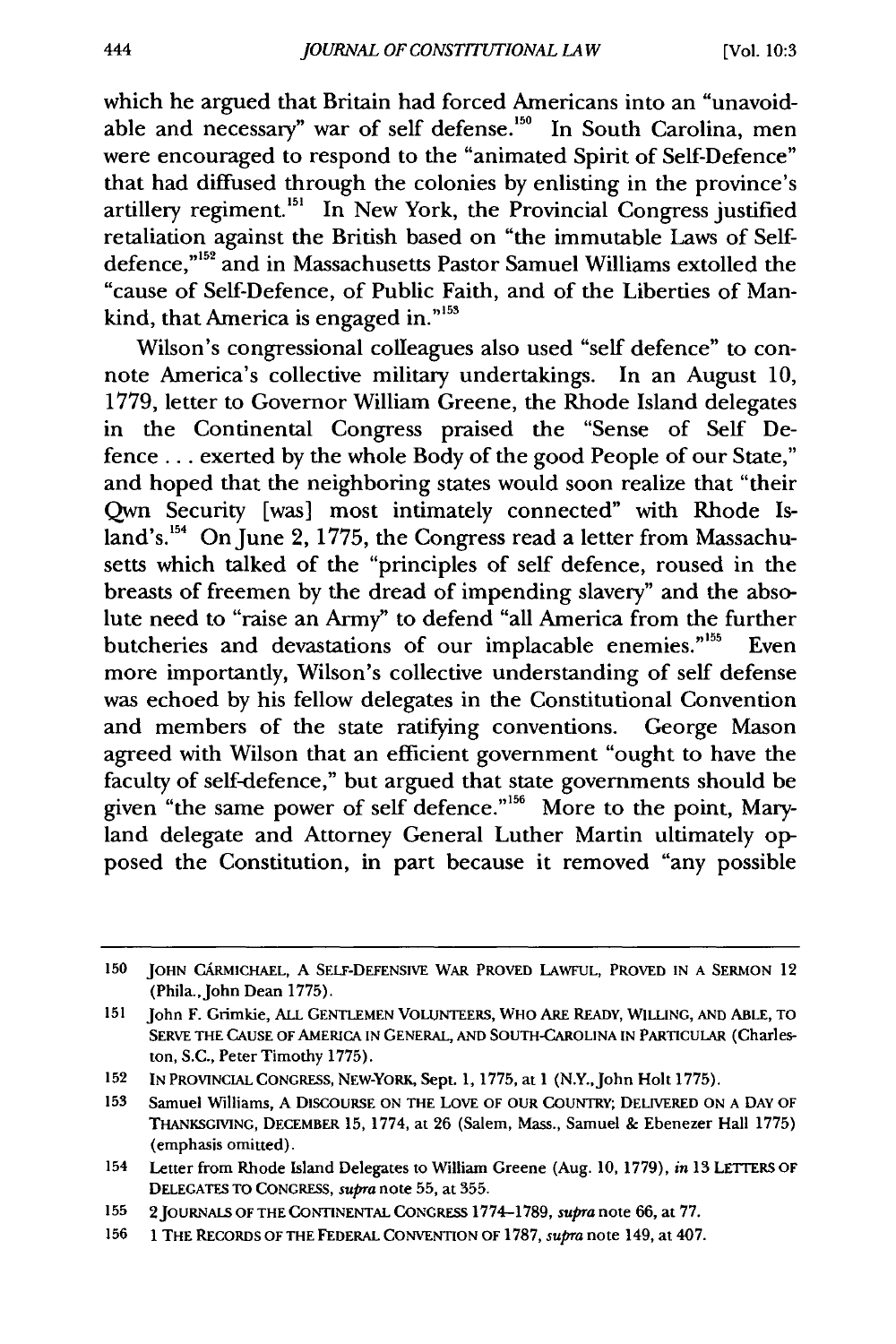which he argued that Britain had forced Americans into an "unavoidable and necessary" war of self defense.<sup>150</sup> In South Carolina, men were encouraged to respond to the "animated Spirit of Self-Defence" that had diffused through the colonies by enlisting in the province's artillery regiment.<sup>151</sup> In New York, the Provincial Congress justified retaliation against the British based on "the immutable Laws of Selfdefence,"<sup>152</sup> and in Massachusetts Pastor Samuel Williams extolled the "cause of Self-Defence, of Public Faith, and of the Liberties of Mankind, that America is engaged in."<sup>155</sup>

Wilson's congressional colleagues also used "self defence" to connote America's collective military undertakings. In an August 10, 1779, letter to Governor William Greene, the Rhode Island delegates in the Continental Congress praised the "Sense of Self Defence... exerted by the whole Body of the good People of our State," and hoped that the neighboring states would soon realize that "their Qwn Security [was] most intimately connected" with Rhode Island's.<sup>154</sup> On June 2, 1775, the Congress read a letter from Massachusetts which talked of the "principles of self defence, roused in the breasts of freemen by the dread of impending slavery" and the absolute need to "raise an Army" to defend "all America from the further butcheries and devastations of our implacable enemies."<sup>155</sup> Even more importantly, Wilson's collective understanding of self defense was echoed by his fellow delegates in the Constitutional Convention and members of the state ratifying conventions. George Mason agreed with Wilson that an efficient government "ought to have the faculty of self-defence," but argued that state governments should be given "the same power of self defence."<sup>156</sup> More to the point, Maryland delegate and Attorney General Luther Martin ultimately opposed the Constitution, in part because it removed "any possible

**<sup>150</sup>** JOHN CARMICHAEL, A SELF-DEFENSIVE WAR PROVED LAWFUL, PROVED IN A SERMON 12 (Phila., John Dean 1775).

<sup>151</sup> John F. Grimkie, ALL GENTLEMEN VOLUNTEERS, WHO ARE READY, **WILLING,** AND ABLE, TO SERVE THE CAUSE OF AMERICA **IN GENERAL,** AND SOUTH-CAROLINA IN PARTICULAR (Charleston, S.C., Peter Timothy 1775).

**<sup>152</sup> IN** PROVINCIAL CONGRESS, NEW-YORK, Sept. 1, 1775, at 1 (N.Y.,John Holt 1775).

**<sup>153</sup>** Samuel Williams, A DISCOURSE ON THE LOVE OF OUR COUNTRY; DELIVERED ON A DAY OF THANKSGMNG, DECEMBER **15,** 1774, at **26** (Salem, Mass., Samuel & Ebenezer Hall 1775) (emphasis omitted).

<sup>154</sup> Letter from Rhode Island Delegates to William Greene (Aug. 10, 1779), *in* 13 LETTERS OF DELEGATES TO CONGRESS, *supra* note **55,** at **355.**

**<sup>155</sup>** 2JOURNALS OF THE **CONTINENTAL CONGRESS 1774-1789,** supra note **66,** at **77.**

**<sup>156 1</sup>** THE RECORDS OF THE FEDERAL **CONVENTION** OF **1787,** *supra* note 149, at 407.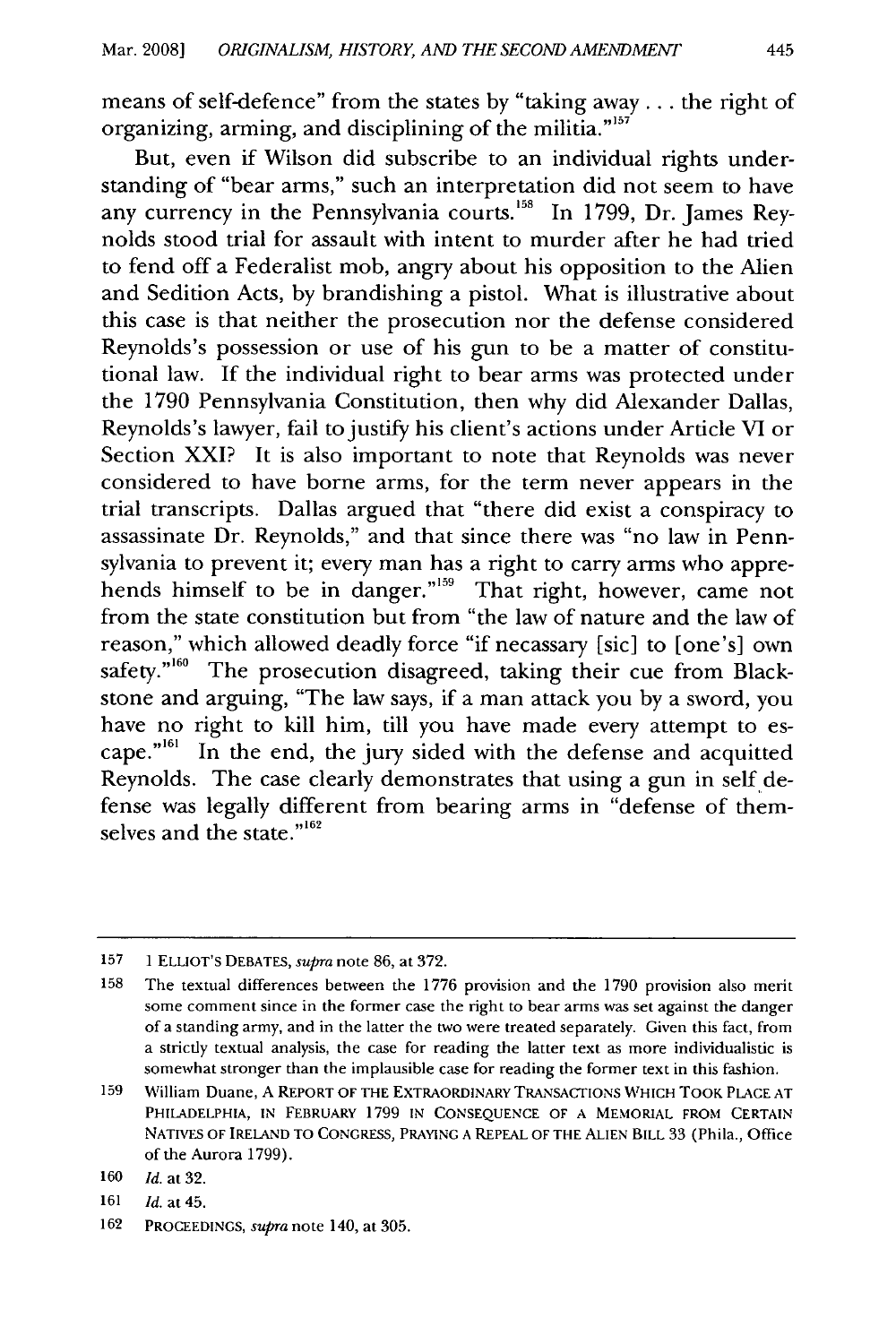means of self-defence" from the states by "taking away... the right of organizing, arming, and disciplining of the militia.<sup>"157</sup>

But, even if Wilson did subscribe to an individual rights understanding of "bear arms," such an interpretation did not seem to have any currency in the Pennsylvania courts.<sup>158</sup> In 1799, Dr. James Reynolds stood trial for assault with intent to murder after he had tried to fend off a Federalist mob, angry about his opposition to the Alien and Sedition Acts, by brandishing a pistol. What is illustrative about this case is that neither the prosecution nor the defense considered Reynolds's possession or use of his gun to be a matter of constitutional law. If the individual right to bear arms was protected under the 1790 Pennsylvania Constitution, then why did Alexander Dallas, Reynolds's lawyer, fail to justify his client's actions under Article VI or Section XXI? It is also important to note that Reynolds was never considered to have borne arms, for the term never appears in the trial transcripts. Dallas argued that "there did exist a conspiracy to assassinate Dr. Reynolds," and that since there was "no law in Pennsylvania to prevent it; every man has a right to carry arms who apprehends himself to be in danger."<sup>159</sup> That right, however, came not from the state constitution but from "the law of nature and the law of reason," which allowed deadly force "if necassary [sic] to [one's] own safety."<sup>160</sup> The prosecution disagreed, taking their cue from Blackstone and arguing, "The law says, if a man attack you by a sword, you have no right to kill him, till you have made every attempt to escape."<sup>161</sup> In the end, the jury sided with the defense and acquitted Reynolds. The case clearly demonstrates that using a gun in self defense was legally different from bearing arms in "defense of themselves and the state."<sup>162</sup>

<sup>157 1</sup> ELLIOT'S DEBATES, *supra* note 86, at 372.

<sup>158</sup> The textual differences between the 1776 provision and the 1790 provision also merit some comment since in the former case the right to bear arms was set against the danger of a standing army, and in the latter the two were treated separately. Given this fact, from a strictly textual analysis, the case for reading the latter text as more individualistic is somewhat stronger than the implausible case for reading the former text in this fashion.

**<sup>159</sup>** William Duane, A REPORT OF THE EXTRAORDINARY TRANSACTIONS WHICH TOOK **PLACE** AT PHILADELPHIA, IN FEBRUARY 1799 **IN** CONSEQUENCE OF A MEMORIAL FROM CERTAIN NATIVES OF IRELAND TO CONGRESS, PRAYING A REPEAL OF THE ALIEN BILL 33 (Phila., Office of the Aurora 1799).

<sup>160</sup> *Id.* at 32.

<sup>161</sup> *Id.* at 45.

<sup>162</sup> PROCEEDINGS, *supra* note 140, at 305.